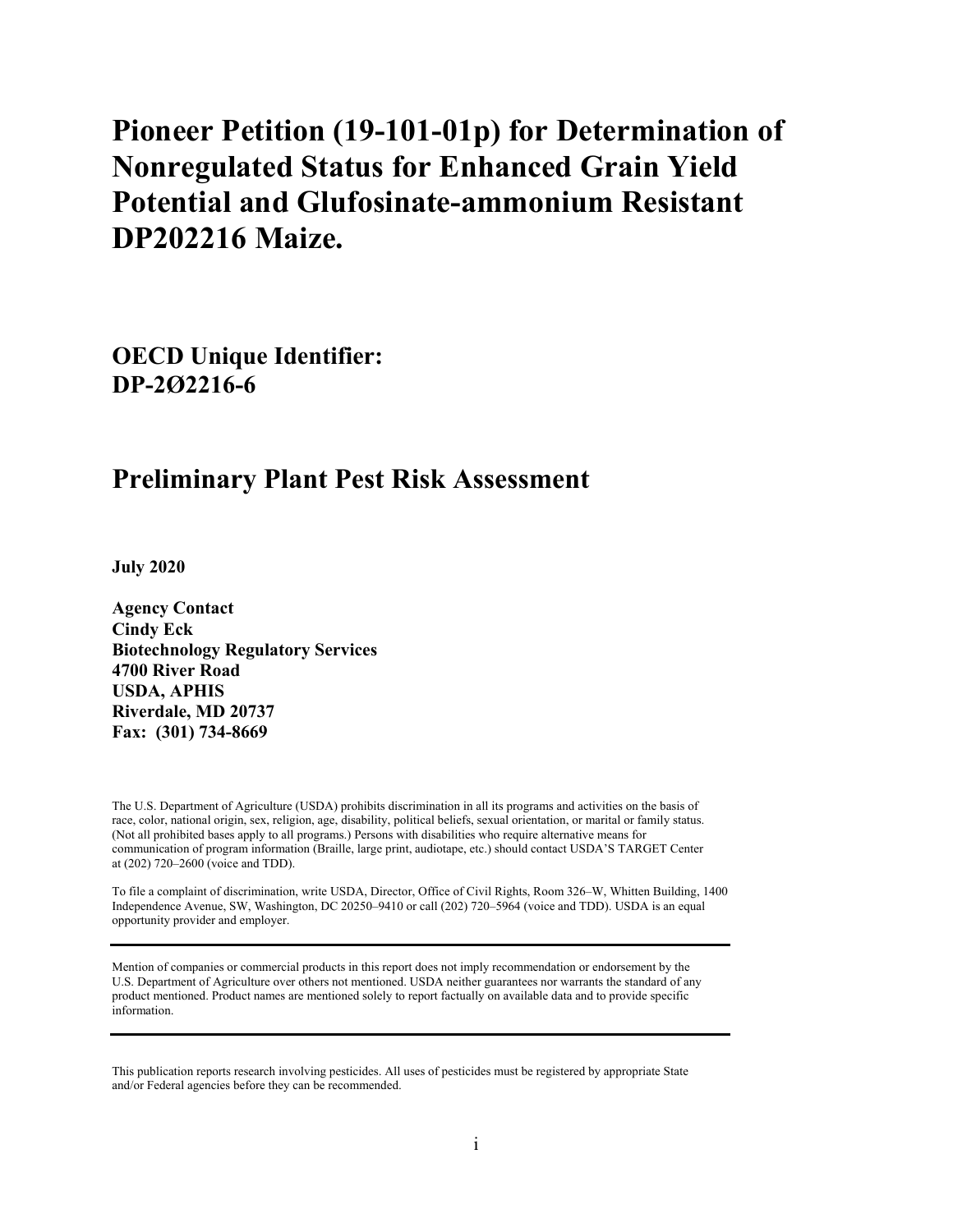# **Pioneer Petition (19-101-01p) for Determination of Nonregulated Status for Enhanced Grain Yield Potential and Glufosinate-ammonium Resistant DP202216 Maize.**

**OECD Unique Identifier: DP-2Ø2216-6**

# **Preliminary Plant Pest Risk Assessment**

**July 2020**

**Agency Contact Cindy Eck Biotechnology Regulatory Services 4700 River Road USDA, APHIS Riverdale, MD 20737 Fax: (301) 734-8669**

The U.S. Department of Agriculture (USDA) prohibits discrimination in all its programs and activities on the basis of race, color, national origin, sex, religion, age, disability, political beliefs, sexual orientation, or marital or family status. (Not all prohibited bases apply to all programs.) Persons with disabilities who require alternative means for communication of program information (Braille, large print, audiotape, etc.) should contact USDA'S TARGET Center at (202) 720–2600 (voice and TDD).

To file a complaint of discrimination, write USDA, Director, Office of Civil Rights, Room 326–W, Whitten Building, 1400 Independence Avenue, SW, Washington, DC 20250–9410 or call (202) 720–5964 (voice and TDD). USDA is an equal opportunity provider and employer.

Mention of companies or commercial products in this report does not imply recommendation or endorsement by the U.S. Department of Agriculture over others not mentioned. USDA neither guarantees nor warrants the standard of any product mentioned. Product names are mentioned solely to report factually on available data and to provide specific information.

This publication reports research involving pesticides. All uses of pesticides must be registered by appropriate State and/or Federal agencies before they can be recommended.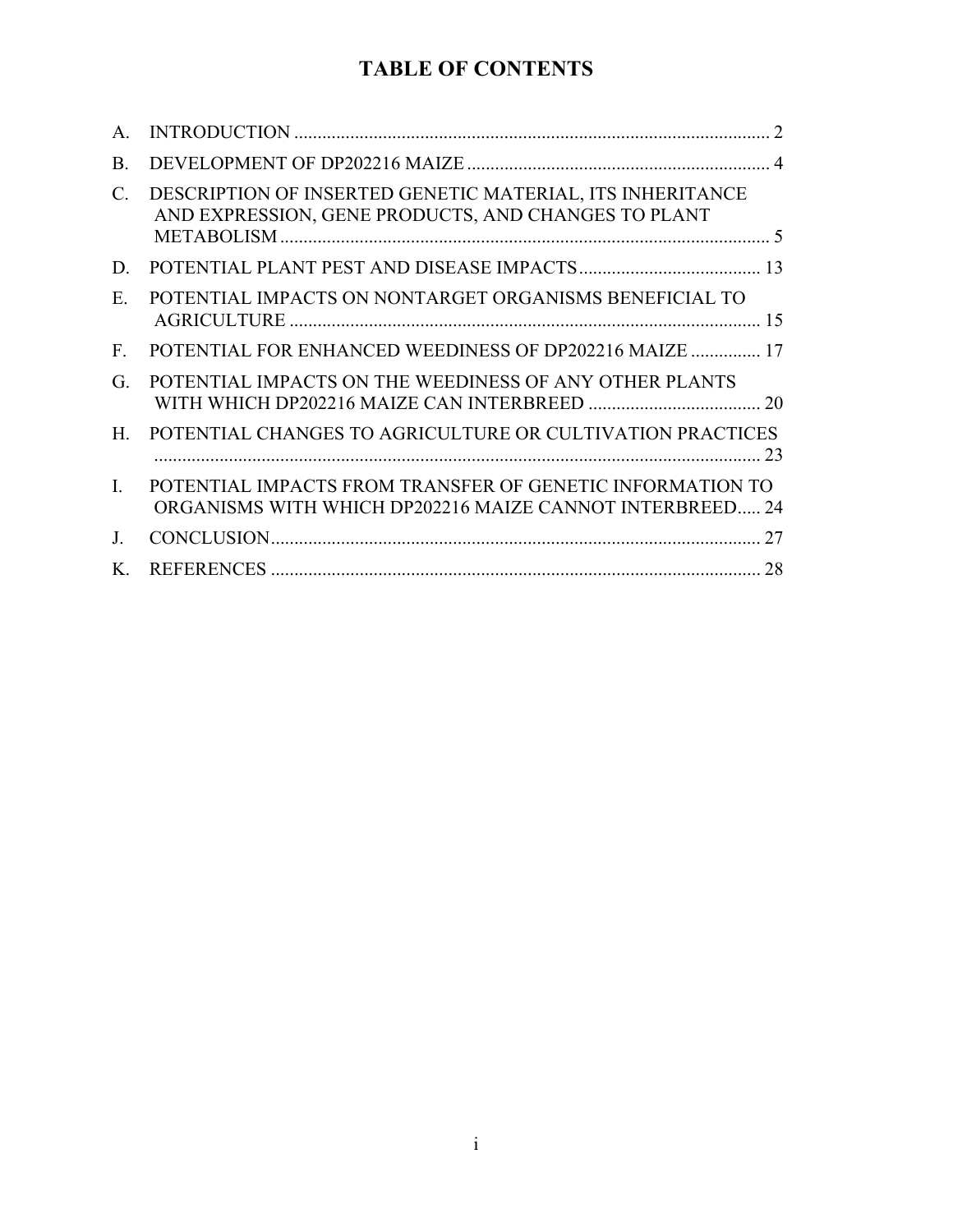# **TABLE OF CONTENTS**

| $\mathsf{A}$ . |                                                                                                                       |  |
|----------------|-----------------------------------------------------------------------------------------------------------------------|--|
| <b>B.</b>      |                                                                                                                       |  |
| C.             | DESCRIPTION OF INSERTED GENETIC MATERIAL, ITS INHERITANCE<br>AND EXPRESSION, GENE PRODUCTS, AND CHANGES TO PLANT      |  |
| D.             |                                                                                                                       |  |
| E.             | POTENTIAL IMPACTS ON NONTARGET ORGANISMS BENEFICIAL TO                                                                |  |
| $F_{\rm{L}}$   | POTENTIAL FOR ENHANCED WEEDINESS OF DP202216 MAIZE  17                                                                |  |
| G.             | POTENTIAL IMPACTS ON THE WEEDINESS OF ANY OTHER PLANTS                                                                |  |
| $H_{\cdot}$    | POTENTIAL CHANGES TO AGRICULTURE OR CULTIVATION PRACTICES                                                             |  |
| $\mathbf{I}$ . | POTENTIAL IMPACTS FROM TRANSFER OF GENETIC INFORMATION TO<br>ORGANISMS WITH WHICH DP202216 MAIZE CANNOT INTERBREED 24 |  |
| J.             |                                                                                                                       |  |
| K.             |                                                                                                                       |  |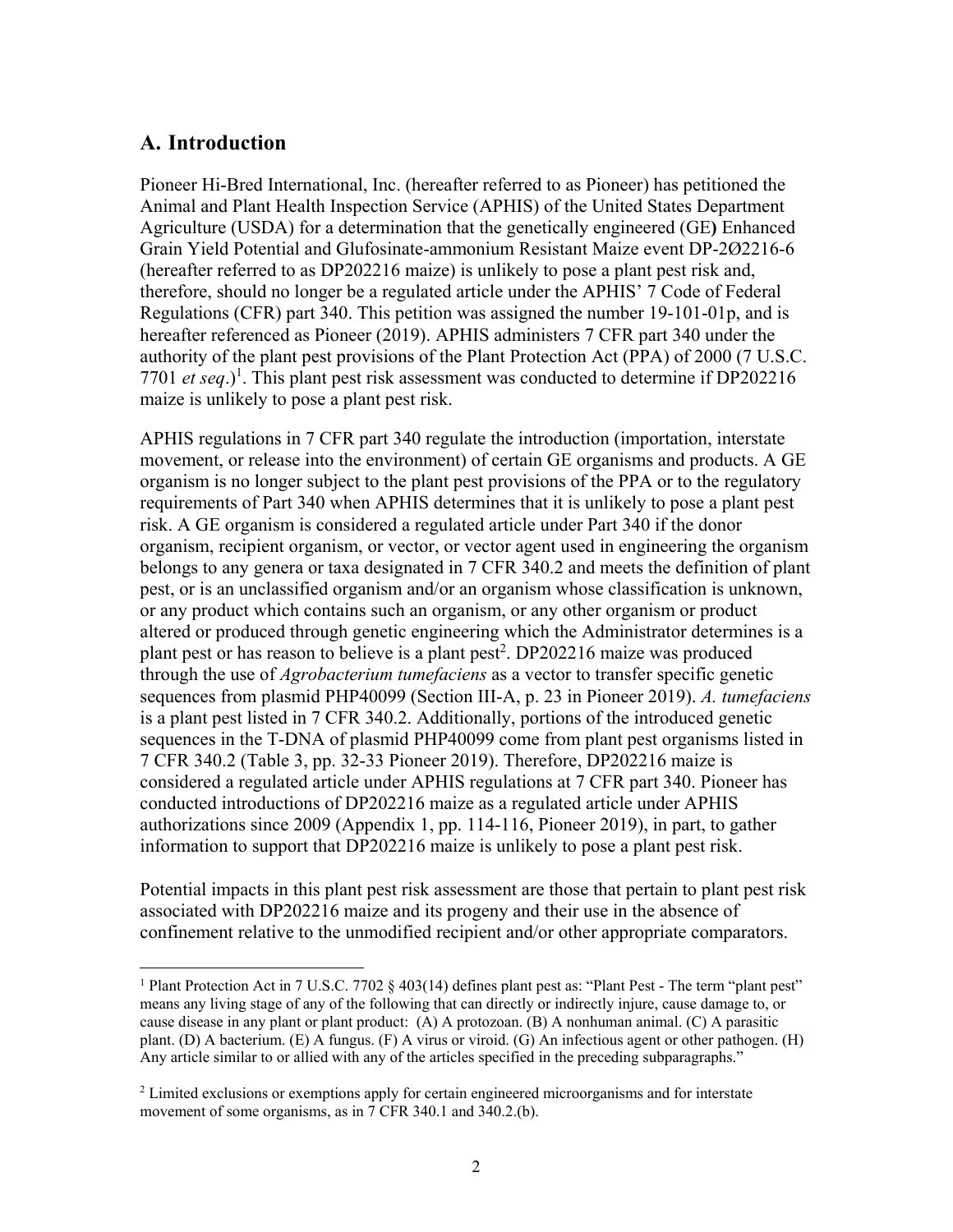### **A. Introduction**

1

Pioneer Hi-Bred International, Inc. (hereafter referred to as Pioneer) has petitioned the Animal and Plant Health Inspection Service (APHIS) of the United States Department Agriculture (USDA) for a determination that the genetically engineered (GE**)** Enhanced Grain Yield Potential and Glufosinate-ammonium Resistant Maize event DP-2Ø2216-6 (hereafter referred to as DP202216 maize) is unlikely to pose a plant pest risk and, therefore, should no longer be a regulated article under the APHIS' 7 Code of Federal Regulations (CFR) part 340. This petition was assigned the number 19-101-01p, and is hereafter referenced as Pioneer (2019). APHIS administers 7 CFR part 340 under the authority of the plant pest provisions of the Plant Protection Act (PPA) of 2000 (7 U.S.C. 7701 *et seq.*)<sup>1</sup>. This plant pest risk assessment was conducted to determine if DP202216 maize is unlikely to pose a plant pest risk.

APHIS regulations in 7 CFR part 340 regulate the introduction (importation, interstate movement, or release into the environment) of certain GE organisms and products. A GE organism is no longer subject to the plant pest provisions of the PPA or to the regulatory requirements of Part 340 when APHIS determines that it is unlikely to pose a plant pest risk. A GE organism is considered a regulated article under Part 340 if the donor organism, recipient organism, or vector, or vector agent used in engineering the organism belongs to any genera or taxa designated in 7 CFR 340.2 and meets the definition of plant pest, or is an unclassified organism and/or an organism whose classification is unknown, or any product which contains such an organism, or any other organism or product altered or produced through genetic engineering which the Administrator determines is a plant pest or has reason to believe is a plant pest<sup>2</sup>. DP202216 maize was produced through the use of *Agrobacterium tumefaciens* as a vector to transfer specific genetic sequences from plasmid PHP40099 (Section III-A, p. 23 in Pioneer 2019). *A. tumefaciens*  is a plant pest listed in 7 CFR 340.2. Additionally, portions of the introduced genetic sequences in the T-DNA of plasmid PHP40099 come from plant pest organisms listed in 7 CFR 340.2 (Table 3, pp. 32-33 Pioneer 2019). Therefore, DP202216 maize is considered a regulated article under APHIS regulations at 7 CFR part 340. Pioneer has conducted introductions of DP202216 maize as a regulated article under APHIS authorizations since 2009 (Appendix 1, pp. 114-116, Pioneer 2019), in part, to gather information to support that DP202216 maize is unlikely to pose a plant pest risk.

Potential impacts in this plant pest risk assessment are those that pertain to plant pest risk associated with DP202216 maize and its progeny and their use in the absence of confinement relative to the unmodified recipient and/or other appropriate comparators.

<sup>&</sup>lt;sup>1</sup> Plant Protection Act in 7 U.S.C. 7702 § 403(14) defines plant pest as: "Plant Pest - The term "plant pest" means any living stage of any of the following that can directly or indirectly injure, cause damage to, or cause disease in any plant or plant product: (A) A protozoan. (B) A nonhuman animal. (C) A parasitic plant. (D) A bacterium. (E) A fungus. (F) A virus or viroid. (G) An infectious agent or other pathogen. (H) Any article similar to or allied with any of the articles specified in the preceding subparagraphs."

<sup>&</sup>lt;sup>2</sup> Limited exclusions or exemptions apply for certain engineered microorganisms and for interstate movement of some organisms, as in 7 CFR 340.1 and 340.2.(b).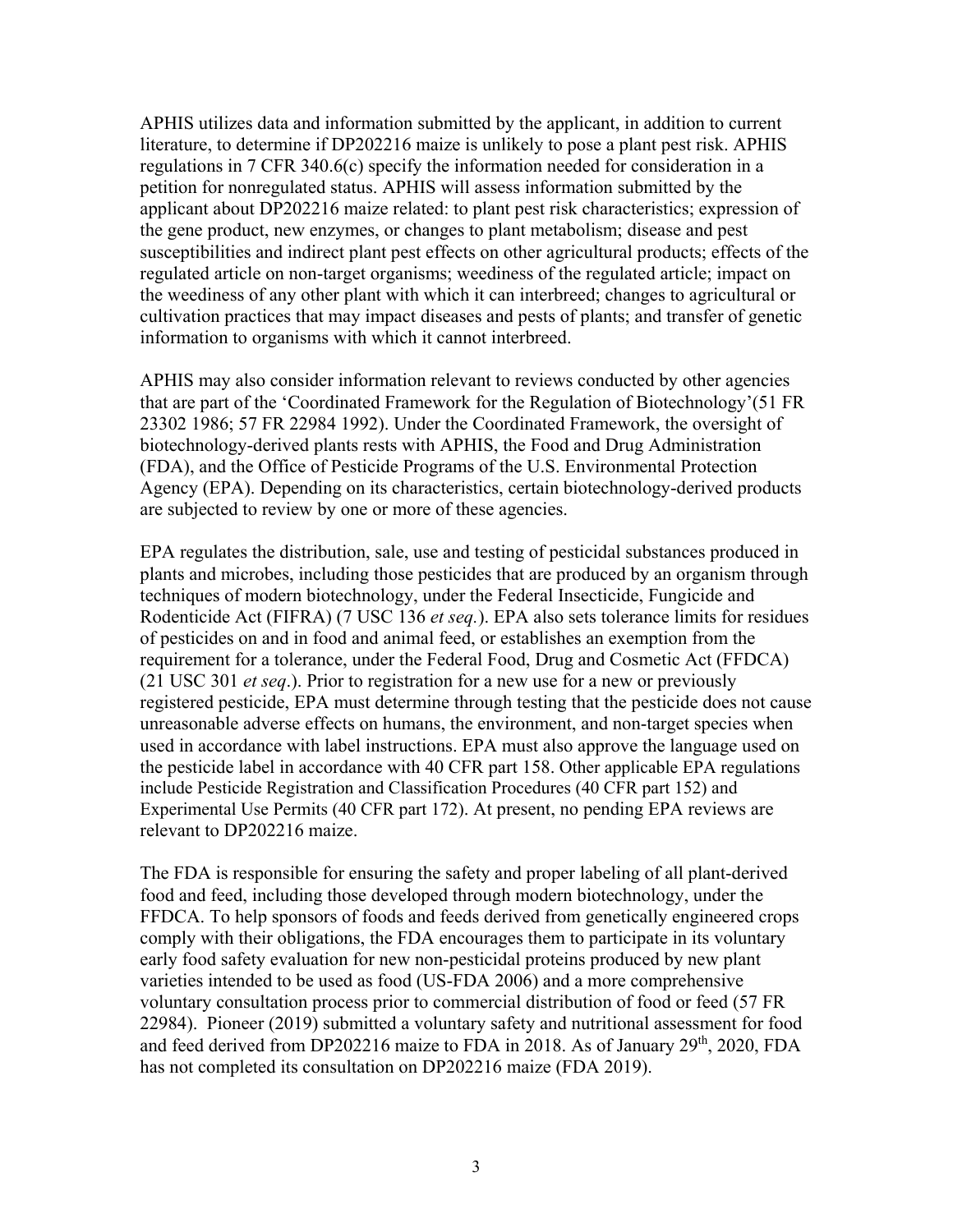APHIS utilizes data and information submitted by the applicant, in addition to current literature, to determine if DP202216 maize is unlikely to pose a plant pest risk. APHIS regulations in 7 CFR 340.6(c) specify the information needed for consideration in a petition for nonregulated status. APHIS will assess information submitted by the applicant about DP202216 maize related: to plant pest risk characteristics; expression of the gene product, new enzymes, or changes to plant metabolism; disease and pest susceptibilities and indirect plant pest effects on other agricultural products; effects of the regulated article on non-target organisms; weediness of the regulated article; impact on the weediness of any other plant with which it can interbreed; changes to agricultural or cultivation practices that may impact diseases and pests of plants; and transfer of genetic information to organisms with which it cannot interbreed.

APHIS may also consider information relevant to reviews conducted by other agencies that are part of the 'Coordinated Framework for the Regulation of Biotechnology'(51 FR 23302 1986; 57 FR 22984 1992). Under the Coordinated Framework, the oversight of biotechnology-derived plants rests with APHIS, the Food and Drug Administration (FDA), and the Office of Pesticide Programs of the U.S. Environmental Protection Agency (EPA). Depending on its characteristics, certain biotechnology-derived products are subjected to review by one or more of these agencies.

EPA regulates the distribution, sale, use and testing of pesticidal substances produced in plants and microbes, including those pesticides that are produced by an organism through techniques of modern biotechnology, under the Federal Insecticide, Fungicide and Rodenticide Act (FIFRA) (7 USC 136 *et seq.*). EPA also sets tolerance limits for residues of pesticides on and in food and animal feed, or establishes an exemption from the requirement for a tolerance, under the Federal Food, Drug and Cosmetic Act (FFDCA) (21 USC 301 *et seq*.). Prior to registration for a new use for a new or previously registered pesticide, EPA must determine through testing that the pesticide does not cause unreasonable adverse effects on humans, the environment, and non-target species when used in accordance with label instructions. EPA must also approve the language used on the pesticide label in accordance with 40 CFR part 158. Other applicable EPA regulations include Pesticide Registration and Classification Procedures (40 CFR part 152) and Experimental Use Permits (40 CFR part 172). At present, no pending EPA reviews are relevant to DP202216 maize.

The FDA is responsible for ensuring the safety and proper labeling of all plant-derived food and feed, including those developed through modern biotechnology, under the FFDCA. To help sponsors of foods and feeds derived from genetically engineered crops comply with their obligations, the FDA encourages them to participate in its voluntary early food safety evaluation for new non-pesticidal proteins produced by new plant varieties intended to be used as food (US-FDA 2006) and a more comprehensive voluntary consultation process prior to commercial distribution of food or feed (57 FR 22984). Pioneer (2019) submitted a voluntary safety and nutritional assessment for food and feed derived from DP202216 maize to FDA in 2018. As of January  $29<sup>th</sup>$ , 2020, FDA has not completed its consultation on DP202216 maize (FDA 2019).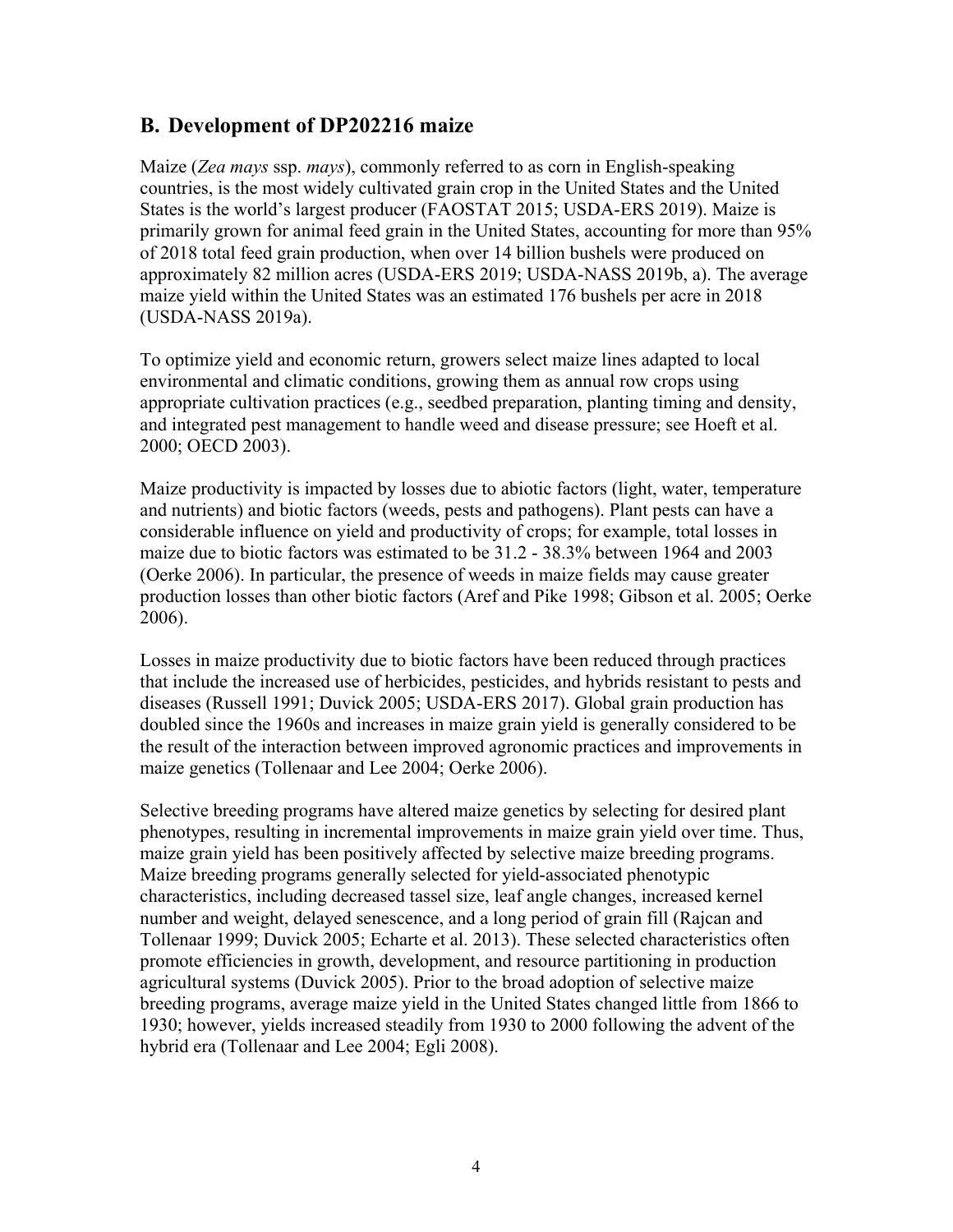### **B. Development of DP202216 maize**

Maize (*Zea mays* ssp. *mays*), commonly referred to as corn in English-speaking countries, is the most widely cultivated grain crop in the United States and the United States is the world's largest producer (FAOSTAT 2015; USDA-ERS 2019). Maize is primarily grown for animal feed grain in the United States, accounting for more than 95% of 2018 total feed grain production, when over 14 billion bushels were produced on approximately 82 million acres (USDA-ERS 2019; USDA-NASS 2019b, a). The average maize yield within the United States was an estimated 176 bushels per acre in 2018 (USDA-NASS 2019a).

To optimize yield and economic return, growers select maize lines adapted to local environmental and climatic conditions, growing them as annual row crops using appropriate cultivation practices (e.g., seedbed preparation, planting timing and density, and integrated pest management to handle weed and disease pressure; see Hoeft et al. 2000; OECD 2003).

Maize productivity is impacted by losses due to abiotic factors (light, water, temperature and nutrients) and biotic factors (weeds, pests and pathogens). Plant pests can have a considerable influence on yield and productivity of crops; for example, total losses in maize due to biotic factors was estimated to be 31.2 - 38.3% between 1964 and 2003 (Oerke 2006). In particular, the presence of weeds in maize fields may cause greater production losses than other biotic factors (Aref and Pike 1998; Gibson et al. 2005; Oerke 2006).

Losses in maize productivity due to biotic factors have been reduced through practices that include the increased use of herbicides, pesticides, and hybrids resistant to pests and diseases (Russell 1991; Duvick 2005; USDA-ERS 2017). Global grain production has doubled since the 1960s and increases in maize grain yield is generally considered to be the result of the interaction between improved agronomic practices and improvements in maize genetics (Tollenaar and Lee 2004; Oerke 2006).

Selective breeding programs have altered maize genetics by selecting for desired plant phenotypes, resulting in incremental improvements in maize grain yield over time. Thus, maize grain yield has been positively affected by selective maize breeding programs. Maize breeding programs generally selected for yield-associated phenotypic characteristics, including decreased tassel size, leaf angle changes, increased kernel number and weight, delayed senescence, and a long period of grain fill (Rajcan and Tollenaar 1999; Duvick 2005; Echarte et al. 2013). These selected characteristics often promote efficiencies in growth, development, and resource partitioning in production agricultural systems (Duvick 2005). Prior to the broad adoption of selective maize breeding programs, average maize yield in the United States changed little from 1866 to 1930; however, yields increased steadily from 1930 to 2000 following the advent of the hybrid era (Tollenaar and Lee 2004; Egli 2008).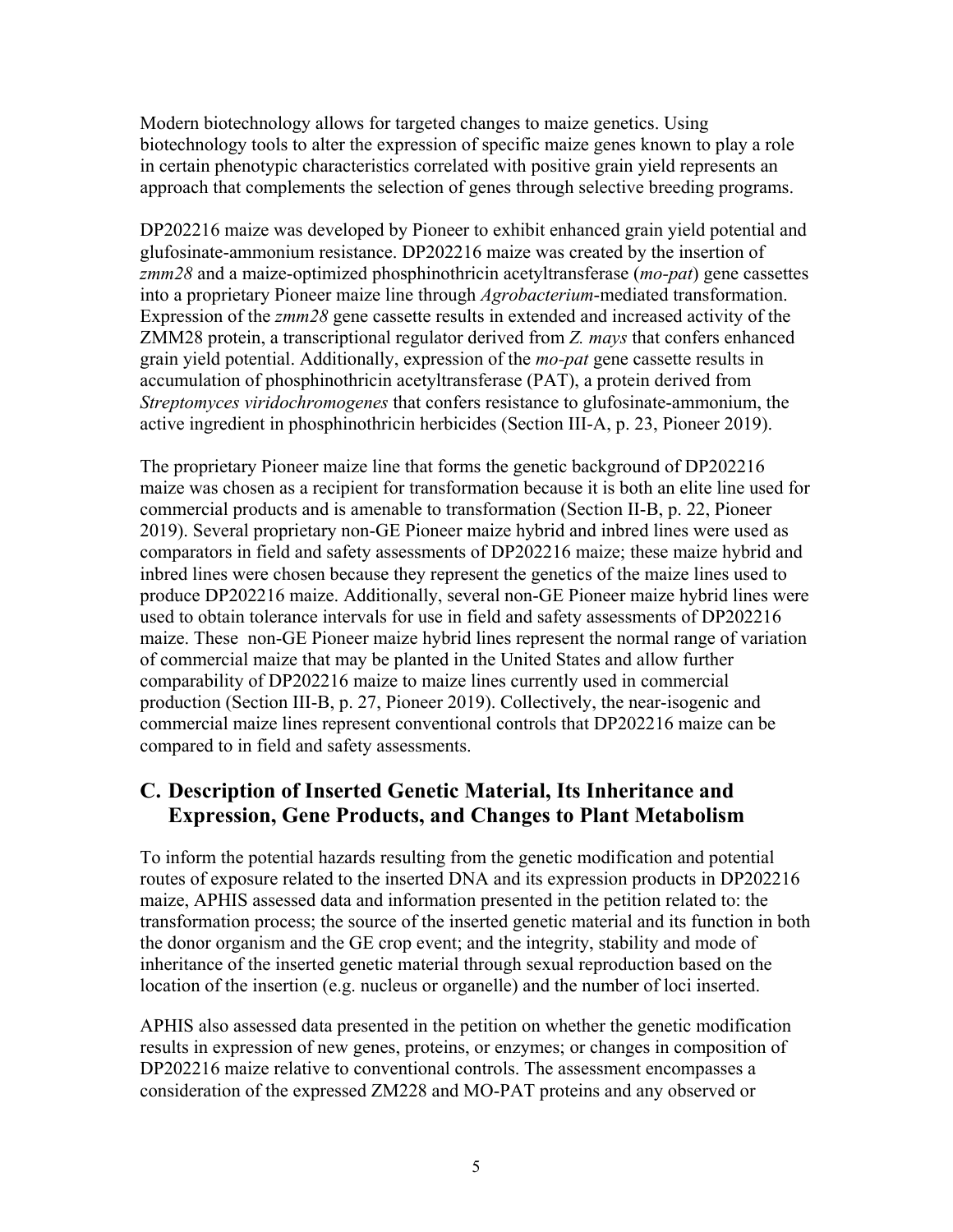Modern biotechnology allows for targeted changes to maize genetics. Using biotechnology tools to alter the expression of specific maize genes known to play a role in certain phenotypic characteristics correlated with positive grain yield represents an approach that complements the selection of genes through selective breeding programs.

DP202216 maize was developed by Pioneer to exhibit enhanced grain yield potential and glufosinate-ammonium resistance. DP202216 maize was created by the insertion of *zmm28* and a maize-optimized phosphinothricin acetyltransferase (*mo-pat*) gene cassettes into a proprietary Pioneer maize line through *Agrobacterium*-mediated transformation. Expression of the *zmm28* gene cassette results in extended and increased activity of the ZMM28 protein, a transcriptional regulator derived from *Z. mays* that confers enhanced grain yield potential. Additionally, expression of the *mo-pat* gene cassette results in accumulation of phosphinothricin acetyltransferase (PAT), a protein derived from *Streptomyces viridochromogenes* that confers resistance to glufosinate-ammonium, the active ingredient in phosphinothricin herbicides (Section III-A, p. 23, Pioneer 2019).

The proprietary Pioneer maize line that forms the genetic background of DP202216 maize was chosen as a recipient for transformation because it is both an elite line used for commercial products and is amenable to transformation (Section II-B, p. 22, Pioneer 2019). Several proprietary non-GE Pioneer maize hybrid and inbred lines were used as comparators in field and safety assessments of DP202216 maize; these maize hybrid and inbred lines were chosen because they represent the genetics of the maize lines used to produce DP202216 maize. Additionally, several non-GE Pioneer maize hybrid lines were used to obtain tolerance intervals for use in field and safety assessments of DP202216 maize. These non-GE Pioneer maize hybrid lines represent the normal range of variation of commercial maize that may be planted in the United States and allow further comparability of DP202216 maize to maize lines currently used in commercial production (Section III-B, p. 27, Pioneer 2019). Collectively, the near-isogenic and commercial maize lines represent conventional controls that DP202216 maize can be compared to in field and safety assessments.

### **C. Description of Inserted Genetic Material, Its Inheritance and Expression, Gene Products, and Changes to Plant Metabolism**

To inform the potential hazards resulting from the genetic modification and potential routes of exposure related to the inserted DNA and its expression products in DP202216 maize, APHIS assessed data and information presented in the petition related to: the transformation process; the source of the inserted genetic material and its function in both the donor organism and the GE crop event; and the integrity, stability and mode of inheritance of the inserted genetic material through sexual reproduction based on the location of the insertion (e.g. nucleus or organelle) and the number of loci inserted.

APHIS also assessed data presented in the petition on whether the genetic modification results in expression of new genes, proteins, or enzymes; or changes in composition of DP202216 maize relative to conventional controls. The assessment encompasses a consideration of the expressed ZM228 and MO-PAT proteins and any observed or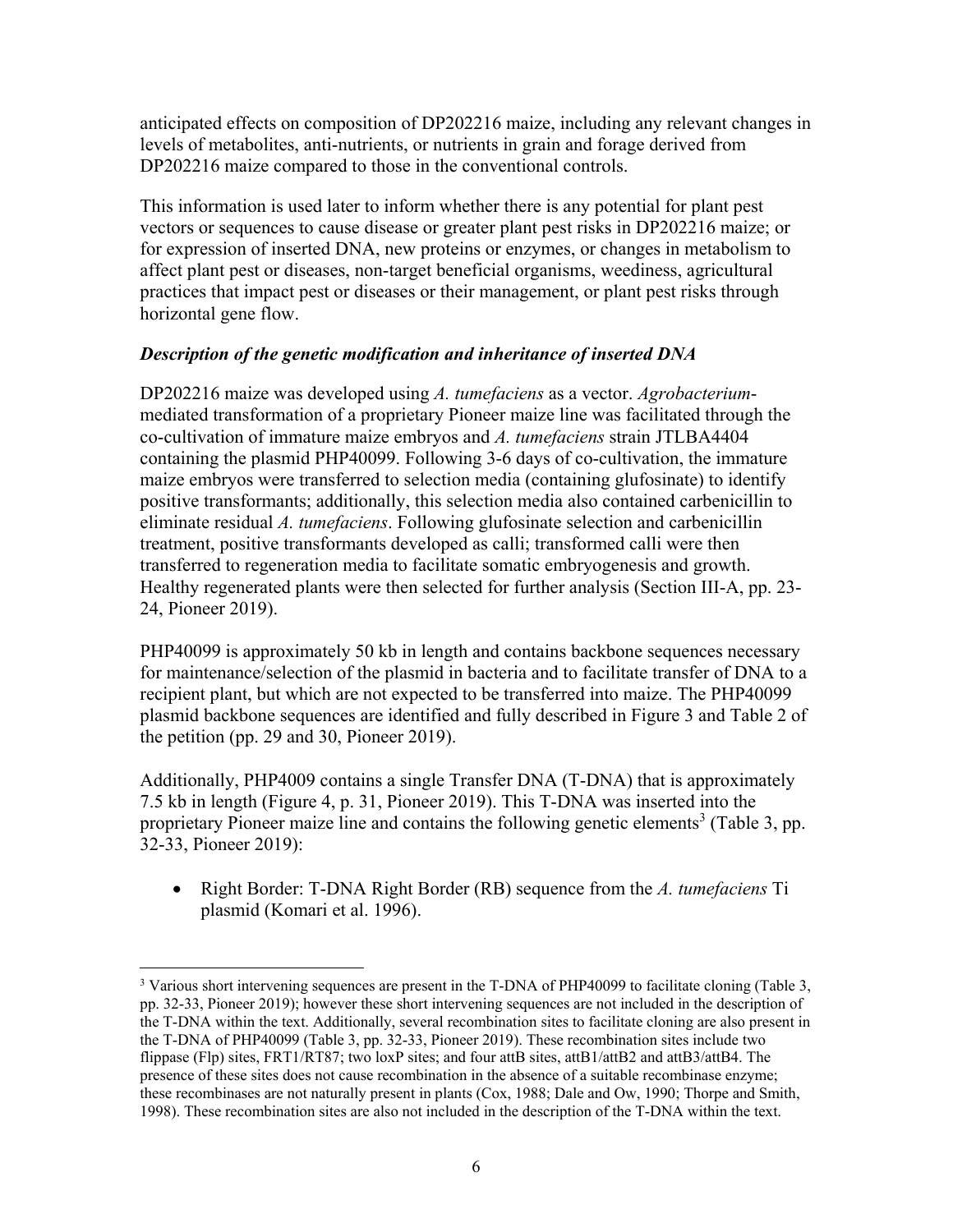anticipated effects on composition of DP202216 maize, including any relevant changes in levels of metabolites, anti-nutrients, or nutrients in grain and forage derived from DP202216 maize compared to those in the conventional controls.

This information is used later to inform whether there is any potential for plant pest vectors or sequences to cause disease or greater plant pest risks in DP202216 maize; or for expression of inserted DNA, new proteins or enzymes, or changes in metabolism to affect plant pest or diseases, non-target beneficial organisms, weediness, agricultural practices that impact pest or diseases or their management, or plant pest risks through horizontal gene flow.

### *Description of the genetic modification and inheritance of inserted DNA*

DP202216 maize was developed using *A. tumefaciens* as a vector. *Agrobacterium*mediated transformation of a proprietary Pioneer maize line was facilitated through the co-cultivation of immature maize embryos and *A. tumefaciens* strain JTLBA4404 containing the plasmid PHP40099. Following 3-6 days of co-cultivation, the immature maize embryos were transferred to selection media (containing glufosinate) to identify positive transformants; additionally, this selection media also contained carbenicillin to eliminate residual *A. tumefaciens*. Following glufosinate selection and carbenicillin treatment, positive transformants developed as calli; transformed calli were then transferred to regeneration media to facilitate somatic embryogenesis and growth. Healthy regenerated plants were then selected for further analysis (Section III-A, pp. 23- 24, Pioneer 2019).

PHP40099 is approximately 50 kb in length and contains backbone sequences necessary for maintenance/selection of the plasmid in bacteria and to facilitate transfer of DNA to a recipient plant, but which are not expected to be transferred into maize. The PHP40099 plasmid backbone sequences are identified and fully described in Figure 3 and Table 2 of the petition (pp. 29 and 30, Pioneer 2019).

Additionally, PHP4009 contains a single Transfer DNA (T-DNA) that is approximately 7.5 kb in length (Figure 4, p. 31, Pioneer 2019). This T-DNA was inserted into the proprietary Pioneer maize line and contains the following genetic elements<sup>3</sup> (Table 3, pp. 32-33, Pioneer 2019):

 Right Border: T-DNA Right Border (RB) sequence from the *A. tumefaciens* Ti plasmid (Komari et al. 1996).

 $\overline{a}$ 

<sup>&</sup>lt;sup>3</sup> Various short intervening sequences are present in the T-DNA of PHP40099 to facilitate cloning (Table 3, pp. 32-33, Pioneer 2019); however these short intervening sequences are not included in the description of the T-DNA within the text. Additionally, several recombination sites to facilitate cloning are also present in the T-DNA of PHP40099 (Table 3, pp. 32-33, Pioneer 2019). These recombination sites include two flippase (Flp) sites, FRT1/RT87; two loxP sites; and four attB sites, attB1/attB2 and attB3/attB4. The presence of these sites does not cause recombination in the absence of a suitable recombinase enzyme; these recombinases are not naturally present in plants (Cox, 1988; Dale and Ow, 1990; Thorpe and Smith, 1998). These recombination sites are also not included in the description of the T-DNA within the text.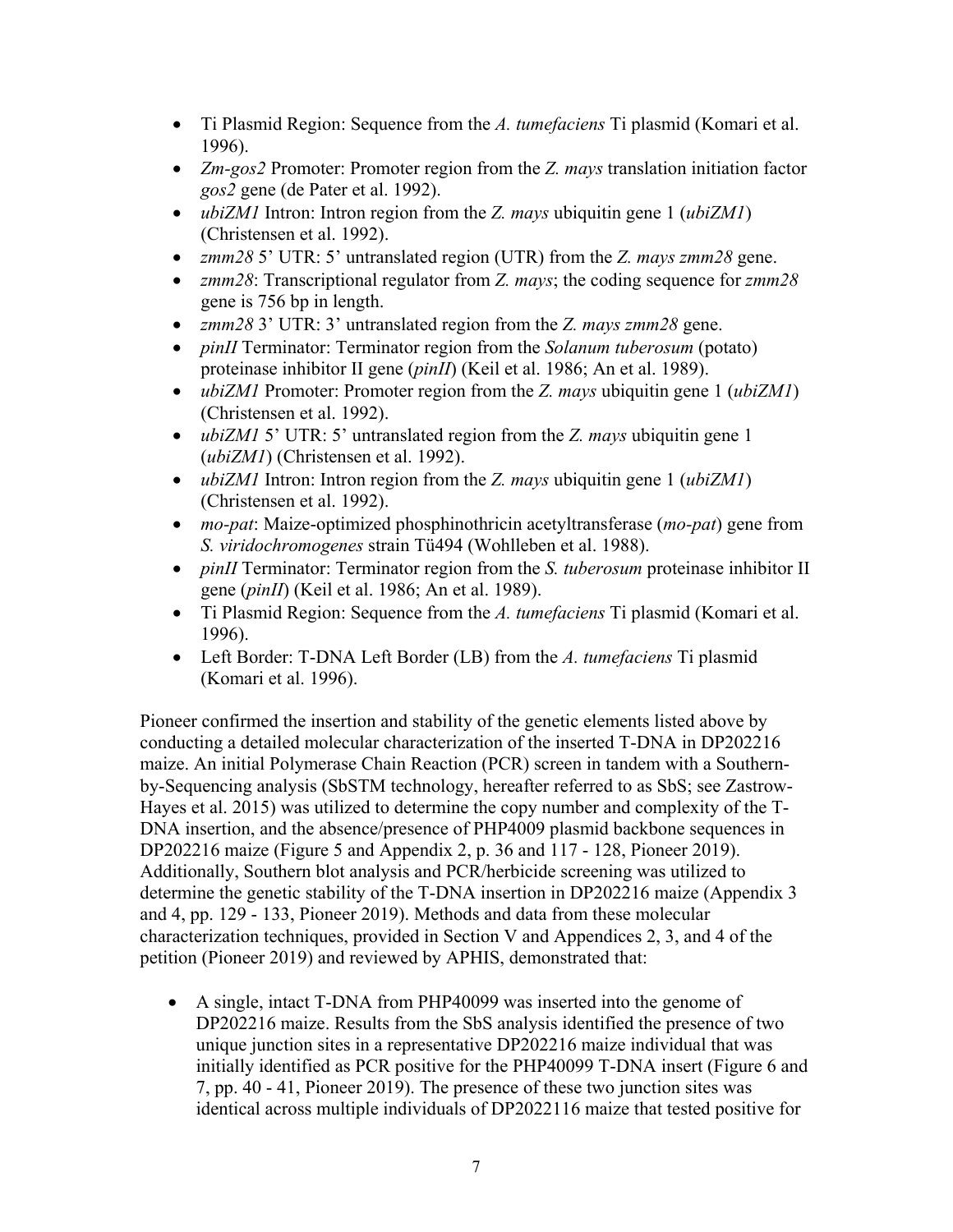- Ti Plasmid Region: Sequence from the *A. tumefaciens* Ti plasmid (Komari et al. 1996).
- *Zm-gos2* Promoter: Promoter region from the *Z. mays* translation initiation factor *gos2* gene (de Pater et al. 1992).
- *ubiZM1* Intron: Intron region from the *Z. mays* ubiquitin gene 1 (*ubiZM1*) (Christensen et al. 1992).
- *zmm28* 5' UTR: 5' untranslated region (UTR) from the *Z. mays zmm28* gene.
- *zmm28*: Transcriptional regulator from *Z. mays*; the coding sequence for *zmm28* gene is 756 bp in length.
- *zmm28* 3' UTR: 3' untranslated region from the *Z. mays zmm28* gene.
- *pinII* Terminator: Terminator region from the *Solanum tuberosum* (potato) proteinase inhibitor II gene (*pinII*) (Keil et al. 1986; An et al. 1989).
- *ubiZM1* Promoter: Promoter region from the *Z. mays* ubiquitin gene 1 (*ubiZM1*) (Christensen et al. 1992).
- *ubiZM1* 5' UTR: 5' untranslated region from the *Z. mays* ubiquitin gene 1 (*ubiZM1*) (Christensen et al. 1992).
- *ubiZM1* Intron: Intron region from the *Z. mays* ubiquitin gene 1 (*ubiZM1*) (Christensen et al. 1992).
- *mo-pat*: Maize-optimized phosphinothricin acetyltransferase (*mo-pat*) gene from *S. viridochromogenes* strain Tü494 (Wohlleben et al. 1988).
- *pinII* Terminator: Terminator region from the *S. tuberosum* proteinase inhibitor II gene (*pinII*) (Keil et al. 1986; An et al. 1989).
- Ti Plasmid Region: Sequence from the *A. tumefaciens* Ti plasmid (Komari et al. 1996).
- Left Border: T-DNA Left Border (LB) from the *A. tumefaciens* Ti plasmid (Komari et al. 1996).

Pioneer confirmed the insertion and stability of the genetic elements listed above by conducting a detailed molecular characterization of the inserted T-DNA in DP202216 maize. An initial Polymerase Chain Reaction (PCR) screen in tandem with a Southernby-Sequencing analysis (SbSTM technology, hereafter referred to as SbS; see Zastrow-Hayes et al. 2015) was utilized to determine the copy number and complexity of the T-DNA insertion, and the absence/presence of PHP4009 plasmid backbone sequences in DP202216 maize (Figure 5 and Appendix 2, p. 36 and 117 - 128, Pioneer 2019). Additionally, Southern blot analysis and PCR/herbicide screening was utilized to determine the genetic stability of the T-DNA insertion in DP202216 maize (Appendix 3 and 4, pp. 129 - 133, Pioneer 2019). Methods and data from these molecular characterization techniques, provided in Section V and Appendices 2, 3, and 4 of the petition (Pioneer 2019) and reviewed by APHIS, demonstrated that:

 A single, intact T-DNA from PHP40099 was inserted into the genome of DP202216 maize. Results from the SbS analysis identified the presence of two unique junction sites in a representative DP202216 maize individual that was initially identified as PCR positive for the PHP40099 T-DNA insert (Figure 6 and 7, pp. 40 - 41, Pioneer 2019). The presence of these two junction sites was identical across multiple individuals of DP2022116 maize that tested positive for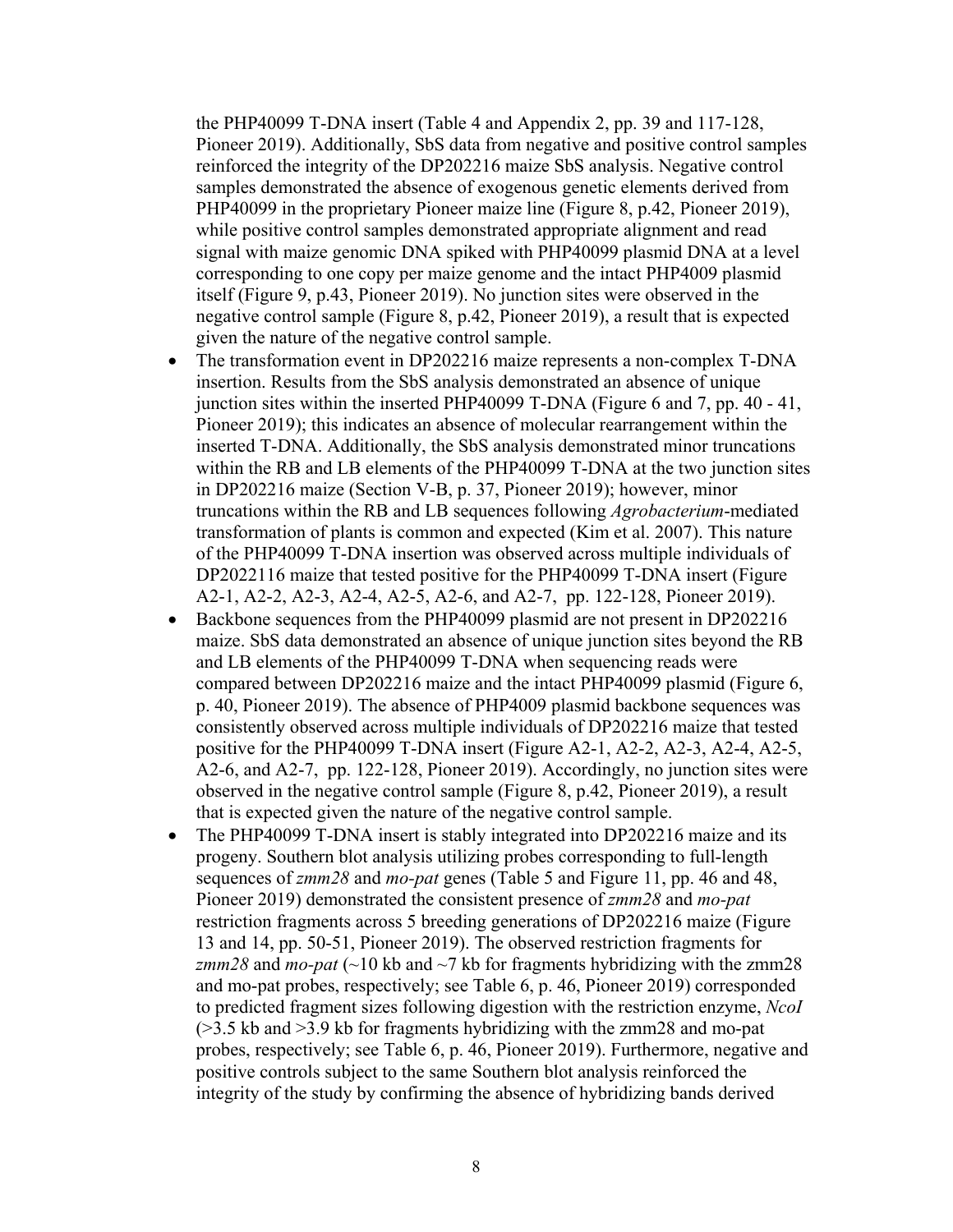the PHP40099 T-DNA insert (Table 4 and Appendix 2, pp. 39 and 117-128, Pioneer 2019). Additionally, SbS data from negative and positive control samples reinforced the integrity of the DP202216 maize SbS analysis. Negative control samples demonstrated the absence of exogenous genetic elements derived from PHP40099 in the proprietary Pioneer maize line (Figure 8, p.42, Pioneer 2019), while positive control samples demonstrated appropriate alignment and read signal with maize genomic DNA spiked with PHP40099 plasmid DNA at a level corresponding to one copy per maize genome and the intact PHP4009 plasmid itself (Figure 9, p.43, Pioneer 2019). No junction sites were observed in the negative control sample (Figure 8, p.42, Pioneer 2019), a result that is expected given the nature of the negative control sample.

- The transformation event in DP202216 maize represents a non-complex T-DNA insertion. Results from the SbS analysis demonstrated an absence of unique junction sites within the inserted PHP40099 T-DNA (Figure 6 and 7, pp. 40 - 41, Pioneer 2019); this indicates an absence of molecular rearrangement within the inserted T-DNA. Additionally, the SbS analysis demonstrated minor truncations within the RB and LB elements of the PHP40099 T-DNA at the two junction sites in DP202216 maize (Section V-B, p. 37, Pioneer 2019); however, minor truncations within the RB and LB sequences following *Agrobacterium*-mediated transformation of plants is common and expected (Kim et al. 2007). This nature of the PHP40099 T-DNA insertion was observed across multiple individuals of DP2022116 maize that tested positive for the PHP40099 T-DNA insert (Figure A2-1, A2-2, A2-3, A2-4, A2-5, A2-6, and A2-7, pp. 122-128, Pioneer 2019).
- Backbone sequences from the PHP40099 plasmid are not present in DP202216 maize. SbS data demonstrated an absence of unique junction sites beyond the RB and LB elements of the PHP40099 T-DNA when sequencing reads were compared between DP202216 maize and the intact PHP40099 plasmid (Figure 6, p. 40, Pioneer 2019). The absence of PHP4009 plasmid backbone sequences was consistently observed across multiple individuals of DP202216 maize that tested positive for the PHP40099 T-DNA insert (Figure A2-1, A2-2, A2-3, A2-4, A2-5, A2-6, and A2-7, pp. 122-128, Pioneer 2019). Accordingly, no junction sites were observed in the negative control sample (Figure 8, p.42, Pioneer 2019), a result that is expected given the nature of the negative control sample.
- The PHP40099 T-DNA insert is stably integrated into DP202216 maize and its progeny. Southern blot analysis utilizing probes corresponding to full-length sequences of *zmm28* and *mo-pat* genes (Table 5 and Figure 11, pp. 46 and 48, Pioneer 2019) demonstrated the consistent presence of *zmm28* and *mo-pat*  restriction fragments across 5 breeding generations of DP202216 maize (Figure 13 and 14, pp. 50-51, Pioneer 2019). The observed restriction fragments for *zmm28* and *mo-pat* (~10 kb and ~7 kb for fragments hybridizing with the zmm28 and mo-pat probes, respectively; see Table 6, p. 46, Pioneer 2019) corresponded to predicted fragment sizes following digestion with the restriction enzyme, *NcoI* (>3.5 kb and >3.9 kb for fragments hybridizing with the zmm28 and mo-pat probes, respectively; see Table 6, p. 46, Pioneer 2019). Furthermore, negative and positive controls subject to the same Southern blot analysis reinforced the integrity of the study by confirming the absence of hybridizing bands derived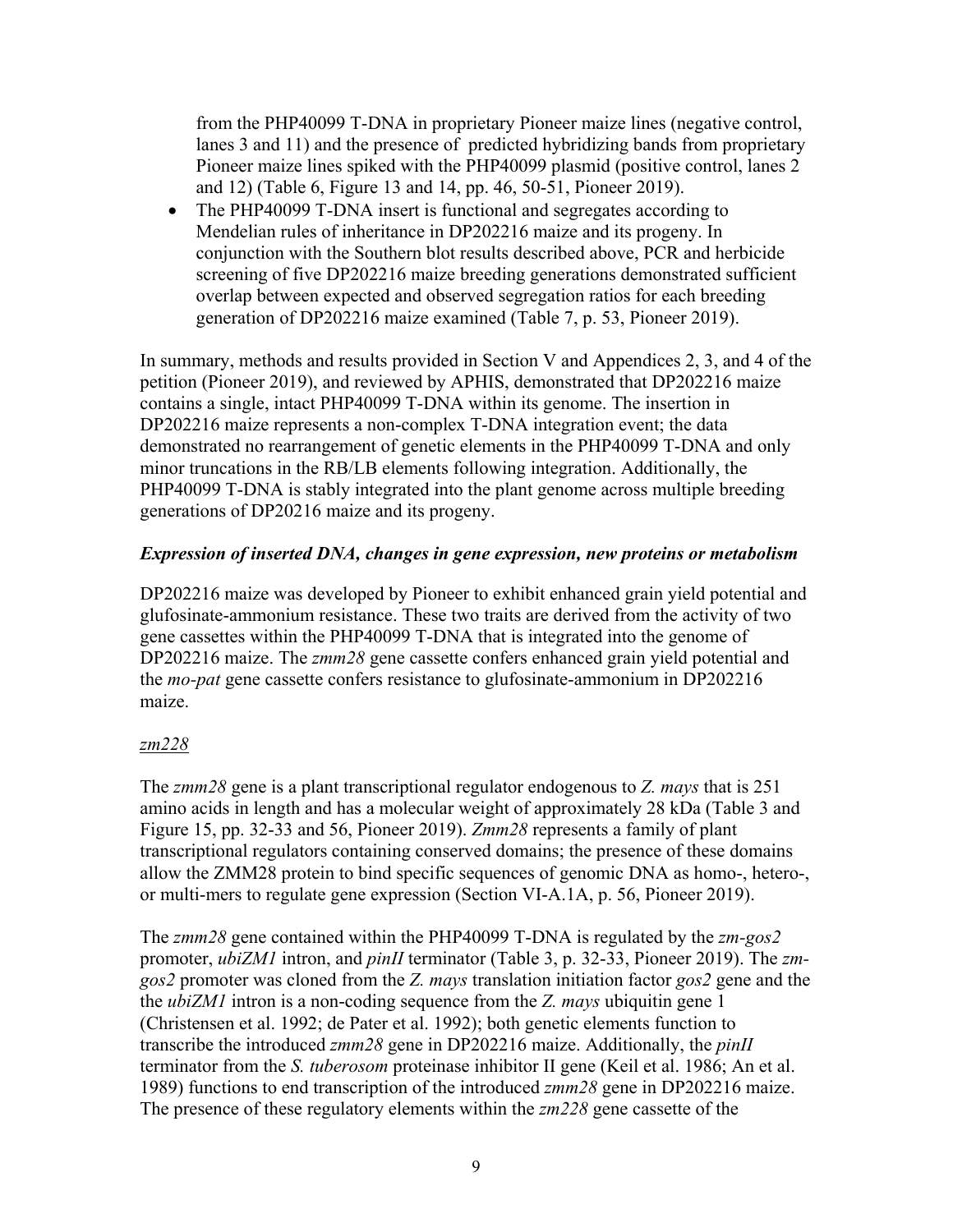from the PHP40099 T-DNA in proprietary Pioneer maize lines (negative control, lanes 3 and 11) and the presence of predicted hybridizing bands from proprietary Pioneer maize lines spiked with the PHP40099 plasmid (positive control, lanes 2 and 12) (Table 6, Figure 13 and 14, pp. 46, 50-51, Pioneer 2019).

• The PHP40099 T-DNA insert is functional and segregates according to Mendelian rules of inheritance in DP202216 maize and its progeny. In conjunction with the Southern blot results described above, PCR and herbicide screening of five DP202216 maize breeding generations demonstrated sufficient overlap between expected and observed segregation ratios for each breeding generation of DP202216 maize examined (Table 7, p. 53, Pioneer 2019).

In summary, methods and results provided in Section V and Appendices 2, 3, and 4 of the petition (Pioneer 2019), and reviewed by APHIS, demonstrated that DP202216 maize contains a single, intact PHP40099 T-DNA within its genome. The insertion in DP202216 maize represents a non-complex T-DNA integration event; the data demonstrated no rearrangement of genetic elements in the PHP40099 T-DNA and only minor truncations in the RB/LB elements following integration. Additionally, the PHP40099 T-DNA is stably integrated into the plant genome across multiple breeding generations of DP20216 maize and its progeny.

### *Expression of inserted DNA, changes in gene expression, new proteins or metabolism*

DP202216 maize was developed by Pioneer to exhibit enhanced grain yield potential and glufosinate-ammonium resistance. These two traits are derived from the activity of two gene cassettes within the PHP40099 T-DNA that is integrated into the genome of DP202216 maize. The *zmm28* gene cassette confers enhanced grain yield potential and the *mo-pat* gene cassette confers resistance to glufosinate-ammonium in DP202216 maize.

### *zm228*

The *zmm28* gene is a plant transcriptional regulator endogenous to *Z. mays* that is 251 amino acids in length and has a molecular weight of approximately 28 kDa (Table 3 and Figure 15, pp. 32-33 and 56, Pioneer 2019). *Zmm28* represents a family of plant transcriptional regulators containing conserved domains; the presence of these domains allow the ZMM28 protein to bind specific sequences of genomic DNA as homo-, hetero-, or multi-mers to regulate gene expression (Section VI-A.1A, p. 56, Pioneer 2019).

The *zmm28* gene contained within the PHP40099 T-DNA is regulated by the *zm-gos2* promoter, *ubiZM1* intron, and *pinII* terminator (Table 3, p. 32-33, Pioneer 2019). The *zmgos2* promoter was cloned from the *Z. mays* translation initiation factor *gos2* gene and the the *ubiZM1* intron is a non-coding sequence from the *Z. mays* ubiquitin gene 1 (Christensen et al. 1992; de Pater et al. 1992); both genetic elements function to transcribe the introduced *zmm28* gene in DP202216 maize. Additionally, the *pinII* terminator from the *S. tuberosom* proteinase inhibitor II gene (Keil et al. 1986; An et al. 1989) functions to end transcription of the introduced *zmm28* gene in DP202216 maize. The presence of these regulatory elements within the *zm228* gene cassette of the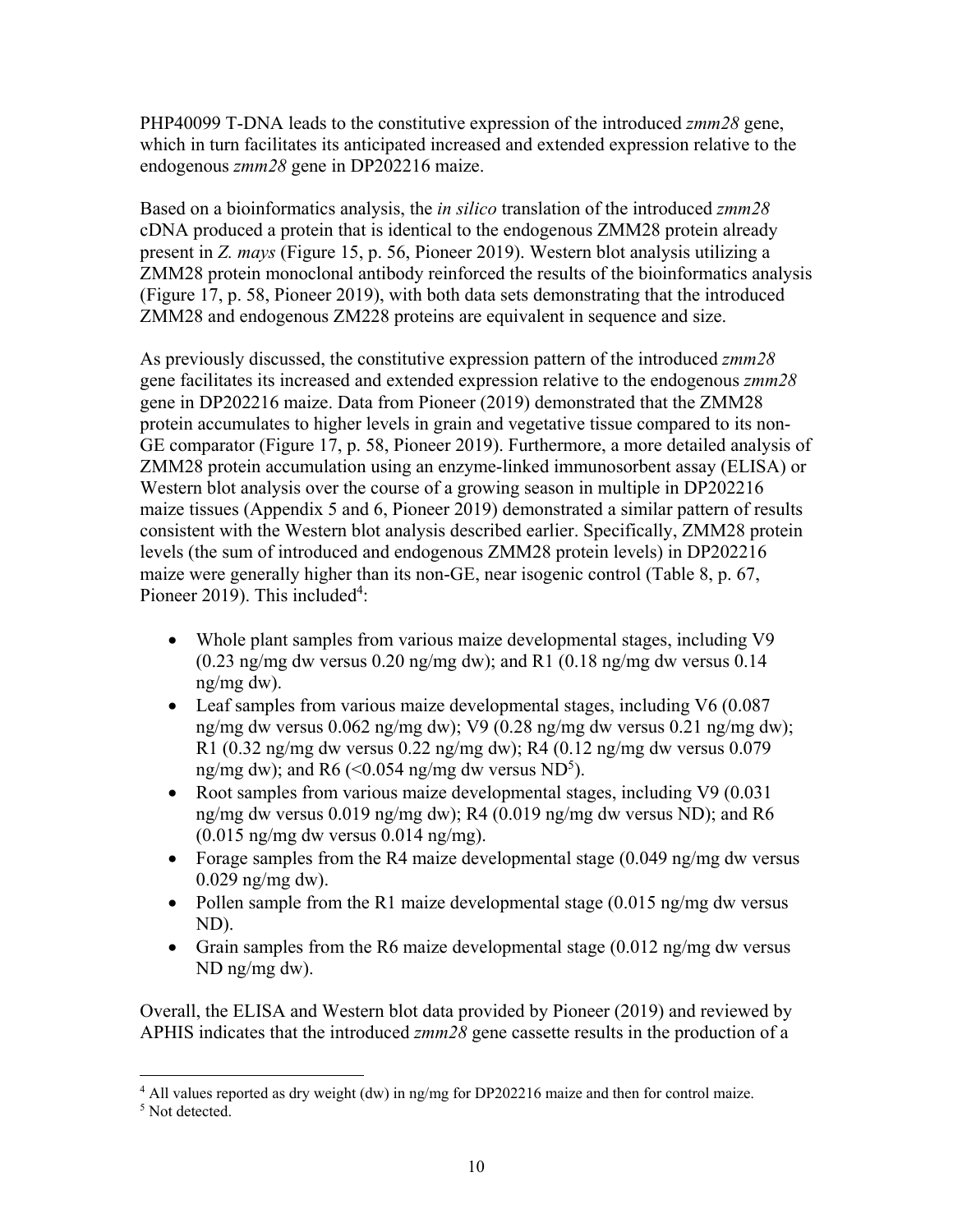PHP40099 T-DNA leads to the constitutive expression of the introduced *zmm28* gene, which in turn facilitates its anticipated increased and extended expression relative to the endogenous *zmm28* gene in DP202216 maize.

Based on a bioinformatics analysis, the *in silico* translation of the introduced *zmm28* cDNA produced a protein that is identical to the endogenous ZMM28 protein already present in *Z. mays* (Figure 15, p. 56, Pioneer 2019). Western blot analysis utilizing a ZMM28 protein monoclonal antibody reinforced the results of the bioinformatics analysis (Figure 17, p. 58, Pioneer 2019), with both data sets demonstrating that the introduced ZMM28 and endogenous ZM228 proteins are equivalent in sequence and size.

As previously discussed, the constitutive expression pattern of the introduced *zmm28* gene facilitates its increased and extended expression relative to the endogenous *zmm28* gene in DP202216 maize. Data from Pioneer (2019) demonstrated that the ZMM28 protein accumulates to higher levels in grain and vegetative tissue compared to its non-GE comparator (Figure 17, p. 58, Pioneer 2019). Furthermore, a more detailed analysis of ZMM28 protein accumulation using an enzyme-linked immunosorbent assay (ELISA) or Western blot analysis over the course of a growing season in multiple in DP202216 maize tissues (Appendix 5 and 6, Pioneer 2019) demonstrated a similar pattern of results consistent with the Western blot analysis described earlier. Specifically, ZMM28 protein levels (the sum of introduced and endogenous ZMM28 protein levels) in DP202216 maize were generally higher than its non-GE, near isogenic control (Table 8, p. 67, Pioneer 2019). This included<sup>4</sup>:

- Whole plant samples from various maize developmental stages, including V9  $(0.23 \text{ ng/mg}$  dw versus  $0.20 \text{ ng/mg}$  dw); and R1  $(0.18 \text{ ng/mg}$  dw versus  $0.14$ ng/mg dw).
- Leaf samples from various maize developmental stages, including V6 (0.087) ng/mg dw versus 0.062 ng/mg dw); V9 (0.28 ng/mg dw versus 0.21 ng/mg dw); R1 (0.32 ng/mg dw versus 0.22 ng/mg dw); R4 (0.12 ng/mg dw versus 0.079 ng/mg dw); and R6 (< $0.054$  ng/mg dw versus ND<sup>5</sup>).
- Root samples from various maize developmental stages, including V9 (0.031) ng/mg dw versus 0.019 ng/mg dw); R4 (0.019 ng/mg dw versus ND); and R6  $(0.015 \text{ ng/mg}$  dw versus  $0.014 \text{ ng/mg}$ ).
- Forage samples from the R4 maize developmental stage  $(0.049 \text{ ng/mg} \, \text{dw} \, \text{versus})$ 0.029 ng/mg dw).
- Pollen sample from the R1 maize developmental stage  $(0.015 \text{ ng/mg}$  dw versus ND).
- Grain samples from the R6 maize developmental stage  $(0.012 \text{ ng/mg} \, \text{dw} \, \text{versus})$ ND ng/mg dw).

Overall, the ELISA and Western blot data provided by Pioneer (2019) and reviewed by APHIS indicates that the introduced *zmm28* gene cassette results in the production of a

1

<sup>4</sup> All values reported as dry weight (dw) in ng/mg for DP202216 maize and then for control maize.

<sup>&</sup>lt;sup>5</sup> Not detected.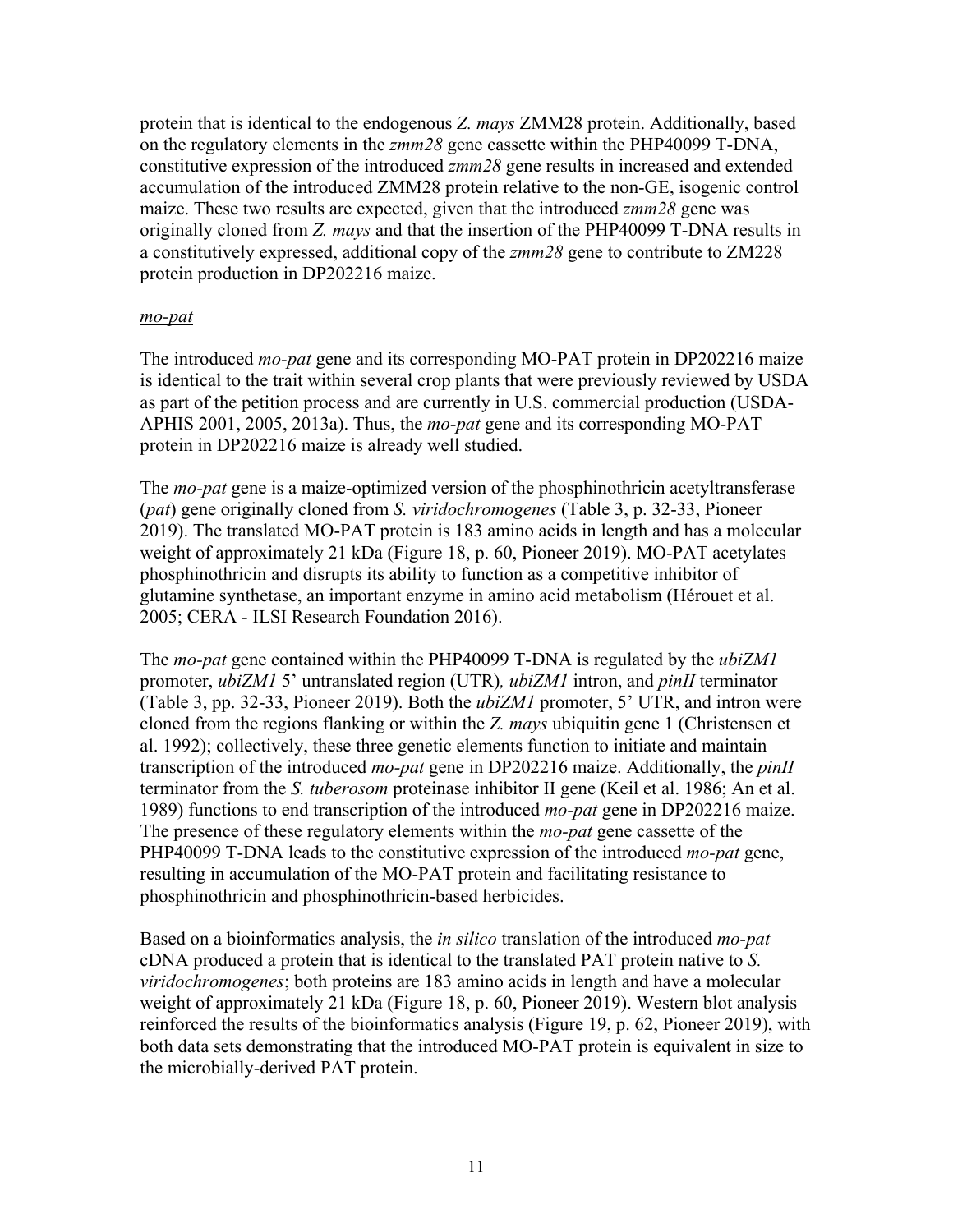protein that is identical to the endogenous *Z. mays* ZMM28 protein. Additionally, based on the regulatory elements in the *zmm28* gene cassette within the PHP40099 T-DNA, constitutive expression of the introduced *zmm28* gene results in increased and extended accumulation of the introduced ZMM28 protein relative to the non-GE, isogenic control maize. These two results are expected, given that the introduced *zmm28* gene was originally cloned from *Z. mays* and that the insertion of the PHP40099 T-DNA results in a constitutively expressed, additional copy of the *zmm28* gene to contribute to ZM228 protein production in DP202216 maize.

#### *mo-pat*

The introduced *mo-pat* gene and its corresponding MO-PAT protein in DP202216 maize is identical to the trait within several crop plants that were previously reviewed by USDA as part of the petition process and are currently in U.S. commercial production (USDA-APHIS 2001, 2005, 2013a). Thus, the *mo-pat* gene and its corresponding MO-PAT protein in DP202216 maize is already well studied.

The *mo-pat* gene is a maize-optimized version of the phosphinothricin acetyltransferase (*pat*) gene originally cloned from *S. viridochromogenes* (Table 3, p. 32-33, Pioneer 2019). The translated MO-PAT protein is 183 amino acids in length and has a molecular weight of approximately 21 kDa (Figure 18, p. 60, Pioneer 2019). MO-PAT acetylates phosphinothricin and disrupts its ability to function as a competitive inhibitor of glutamine synthetase, an important enzyme in amino acid metabolism (Hérouet et al. 2005; CERA - ILSI Research Foundation 2016).

The *mo-pat* gene contained within the PHP40099 T-DNA is regulated by the *ubiZM1* promoter, *ubiZM1* 5' untranslated region (UTR)*, ubiZM1* intron, and *pinII* terminator (Table 3, pp. 32-33, Pioneer 2019). Both the *ubiZM1* promoter, 5' UTR, and intron were cloned from the regions flanking or within the *Z. mays* ubiquitin gene 1 (Christensen et al. 1992); collectively, these three genetic elements function to initiate and maintain transcription of the introduced *mo-pat* gene in DP202216 maize. Additionally, the *pinII* terminator from the *S. tuberosom* proteinase inhibitor II gene (Keil et al. 1986; An et al. 1989) functions to end transcription of the introduced *mo-pat* gene in DP202216 maize. The presence of these regulatory elements within the *mo-pat* gene cassette of the PHP40099 T-DNA leads to the constitutive expression of the introduced *mo-pat* gene, resulting in accumulation of the MO-PAT protein and facilitating resistance to phosphinothricin and phosphinothricin-based herbicides.

Based on a bioinformatics analysis, the *in silico* translation of the introduced *mo-pat* cDNA produced a protein that is identical to the translated PAT protein native to *S. viridochromogenes*; both proteins are 183 amino acids in length and have a molecular weight of approximately 21 kDa (Figure 18, p. 60, Pioneer 2019). Western blot analysis reinforced the results of the bioinformatics analysis (Figure 19, p. 62, Pioneer 2019), with both data sets demonstrating that the introduced MO-PAT protein is equivalent in size to the microbially-derived PAT protein.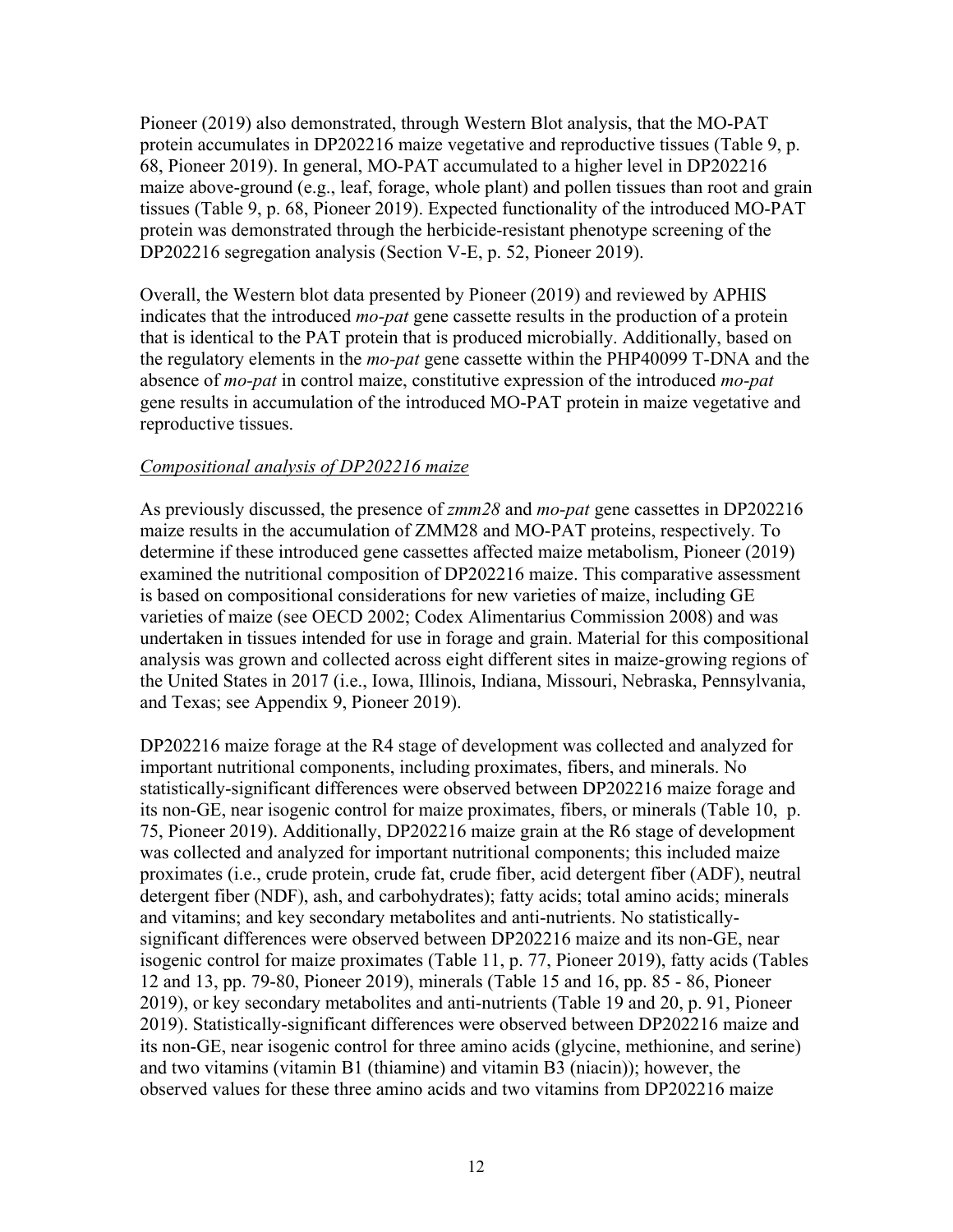Pioneer (2019) also demonstrated, through Western Blot analysis, that the MO-PAT protein accumulates in DP202216 maize vegetative and reproductive tissues (Table 9, p. 68, Pioneer 2019). In general, MO-PAT accumulated to a higher level in DP202216 maize above-ground (e.g., leaf, forage, whole plant) and pollen tissues than root and grain tissues (Table 9, p. 68, Pioneer 2019). Expected functionality of the introduced MO-PAT protein was demonstrated through the herbicide-resistant phenotype screening of the DP202216 segregation analysis (Section V-E, p. 52, Pioneer 2019).

Overall, the Western blot data presented by Pioneer (2019) and reviewed by APHIS indicates that the introduced *mo-pat* gene cassette results in the production of a protein that is identical to the PAT protein that is produced microbially. Additionally, based on the regulatory elements in the *mo-pat* gene cassette within the PHP40099 T-DNA and the absence of *mo-pat* in control maize, constitutive expression of the introduced *mo-pat*  gene results in accumulation of the introduced MO-PAT protein in maize vegetative and reproductive tissues.

### *Compositional analysis of DP202216 maize*

As previously discussed, the presence of *zmm28* and *mo-pat* gene cassettes in DP202216 maize results in the accumulation of ZMM28 and MO-PAT proteins, respectively. To determine if these introduced gene cassettes affected maize metabolism, Pioneer (2019) examined the nutritional composition of DP202216 maize. This comparative assessment is based on compositional considerations for new varieties of maize, including GE varieties of maize (see OECD 2002; Codex Alimentarius Commission 2008) and was undertaken in tissues intended for use in forage and grain. Material for this compositional analysis was grown and collected across eight different sites in maize-growing regions of the United States in 2017 (i.e., Iowa, Illinois, Indiana, Missouri, Nebraska, Pennsylvania, and Texas; see Appendix 9, Pioneer 2019).

DP202216 maize forage at the R4 stage of development was collected and analyzed for important nutritional components, including proximates, fibers, and minerals. No statistically-significant differences were observed between DP202216 maize forage and its non-GE, near isogenic control for maize proximates, fibers, or minerals (Table 10, p. 75, Pioneer 2019). Additionally, DP202216 maize grain at the R6 stage of development was collected and analyzed for important nutritional components; this included maize proximates (i.e., crude protein, crude fat, crude fiber, acid detergent fiber (ADF), neutral detergent fiber (NDF), ash, and carbohydrates); fatty acids; total amino acids; minerals and vitamins; and key secondary metabolites and anti-nutrients. No statisticallysignificant differences were observed between DP202216 maize and its non-GE, near isogenic control for maize proximates (Table 11, p. 77, Pioneer 2019), fatty acids (Tables 12 and 13, pp. 79-80, Pioneer 2019), minerals (Table 15 and 16, pp. 85 - 86, Pioneer 2019), or key secondary metabolites and anti-nutrients (Table 19 and 20, p. 91, Pioneer 2019). Statistically-significant differences were observed between DP202216 maize and its non-GE, near isogenic control for three amino acids (glycine, methionine, and serine) and two vitamins (vitamin B1 (thiamine) and vitamin B3 (niacin)); however, the observed values for these three amino acids and two vitamins from DP202216 maize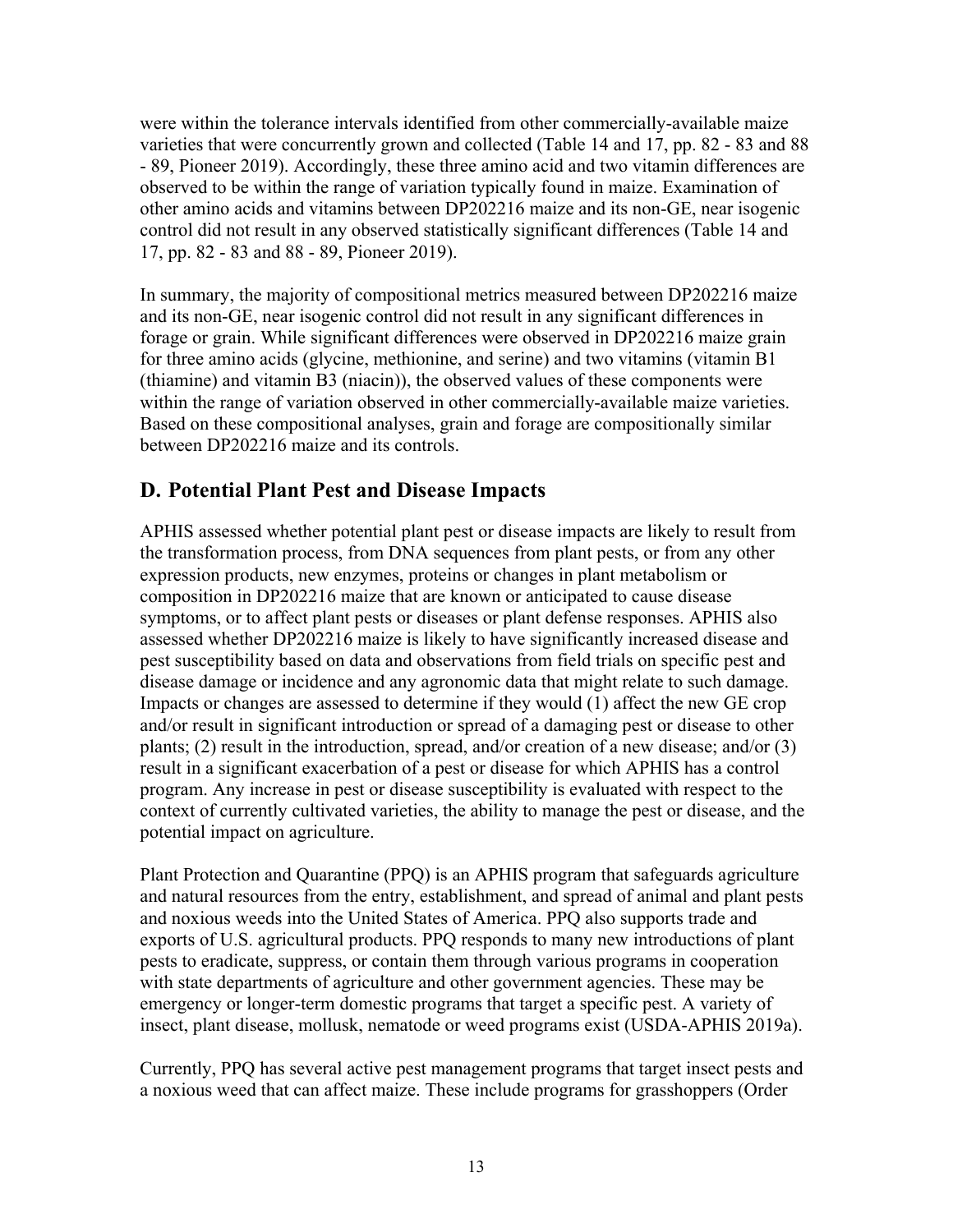were within the tolerance intervals identified from other commercially-available maize varieties that were concurrently grown and collected (Table 14 and 17, pp. 82 - 83 and 88 - 89, Pioneer 2019). Accordingly, these three amino acid and two vitamin differences are observed to be within the range of variation typically found in maize. Examination of other amino acids and vitamins between DP202216 maize and its non-GE, near isogenic control did not result in any observed statistically significant differences (Table 14 and 17, pp. 82 - 83 and 88 - 89, Pioneer 2019).

In summary, the majority of compositional metrics measured between DP202216 maize and its non-GE, near isogenic control did not result in any significant differences in forage or grain. While significant differences were observed in DP202216 maize grain for three amino acids (glycine, methionine, and serine) and two vitamins (vitamin B1 (thiamine) and vitamin B3 (niacin)), the observed values of these components were within the range of variation observed in other commercially-available maize varieties. Based on these compositional analyses, grain and forage are compositionally similar between DP202216 maize and its controls.

### **D. Potential Plant Pest and Disease Impacts**

APHIS assessed whether potential plant pest or disease impacts are likely to result from the transformation process, from DNA sequences from plant pests, or from any other expression products, new enzymes, proteins or changes in plant metabolism or composition in DP202216 maize that are known or anticipated to cause disease symptoms, or to affect plant pests or diseases or plant defense responses. APHIS also assessed whether DP202216 maize is likely to have significantly increased disease and pest susceptibility based on data and observations from field trials on specific pest and disease damage or incidence and any agronomic data that might relate to such damage. Impacts or changes are assessed to determine if they would (1) affect the new GE crop and/or result in significant introduction or spread of a damaging pest or disease to other plants; (2) result in the introduction, spread, and/or creation of a new disease; and/or (3) result in a significant exacerbation of a pest or disease for which APHIS has a control program. Any increase in pest or disease susceptibility is evaluated with respect to the context of currently cultivated varieties, the ability to manage the pest or disease, and the potential impact on agriculture.

Plant Protection and Quarantine (PPQ) is an APHIS program that safeguards agriculture and natural resources from the entry, establishment, and spread of animal and plant pests and noxious weeds into the United States of America. PPQ also supports trade and exports of U.S. agricultural products. PPQ responds to many new introductions of plant pests to eradicate, suppress, or contain them through various programs in cooperation with state departments of agriculture and other government agencies. These may be emergency or longer-term domestic programs that target a specific pest. A variety of insect, plant disease, mollusk, nematode or weed programs exist (USDA-APHIS 2019a).

Currently, PPQ has several active pest management programs that target insect pests and a noxious weed that can affect maize. These include programs for grasshoppers (Order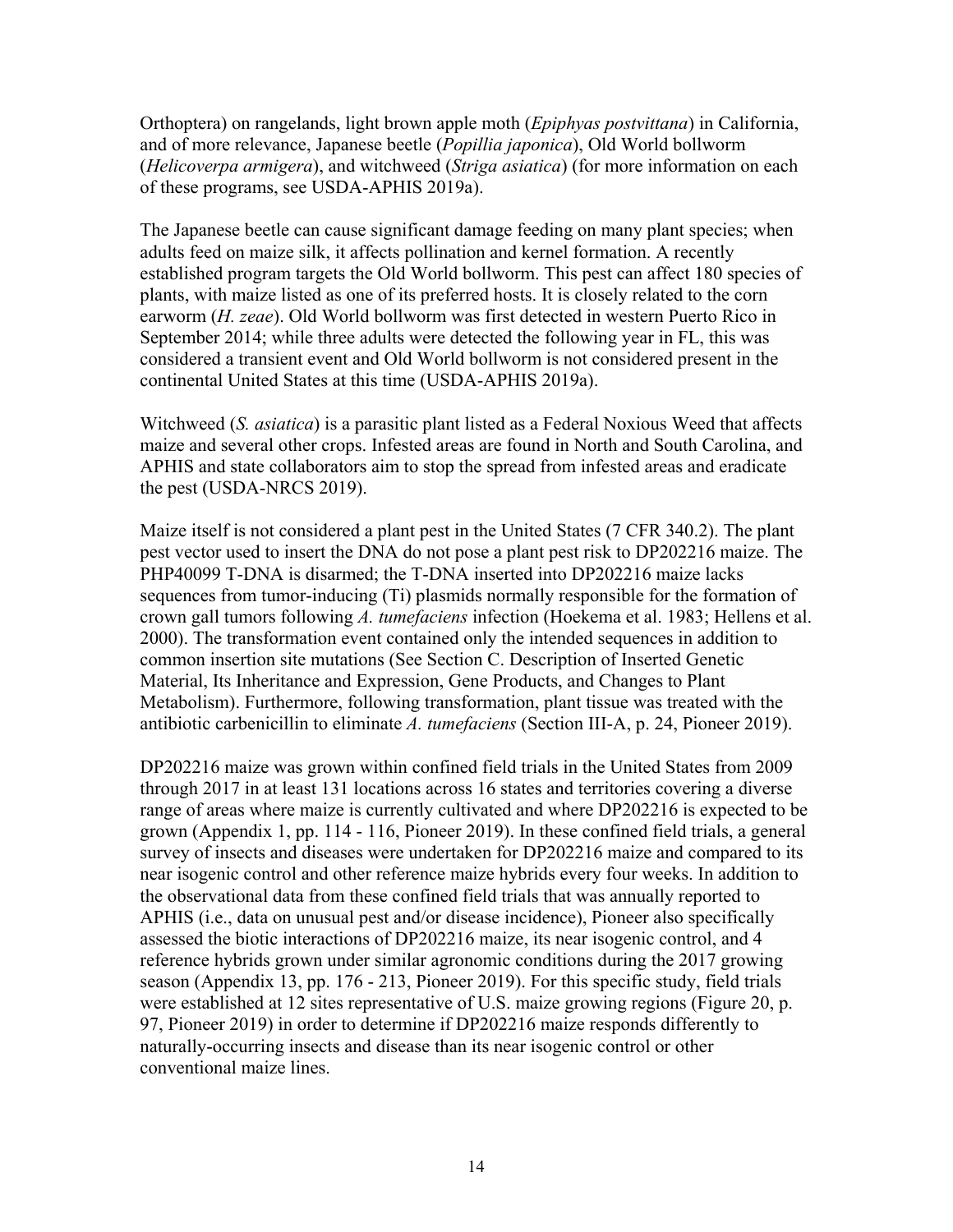Orthoptera) on rangelands, light brown apple moth (*Epiphyas postvittana*) in California, and of more relevance, Japanese beetle (*Popillia japonica*), Old World bollworm (*Helicoverpa armigera*), and witchweed (*Striga asiatica*) (for more information on each of these programs, see USDA-APHIS 2019a).

The Japanese beetle can cause significant damage feeding on many plant species; when adults feed on maize silk, it affects pollination and kernel formation. A recently established program targets the Old World bollworm. This pest can affect 180 species of plants, with maize listed as one of its preferred hosts. It is closely related to the corn earworm (*H. zeae*). Old World bollworm was first detected in western Puerto Rico in September 2014; while three adults were detected the following year in FL, this was considered a transient event and Old World bollworm is not considered present in the continental United States at this time (USDA-APHIS 2019a).

Witchweed (*S. asiatica*) is a parasitic plant listed as a Federal Noxious Weed that affects maize and several other crops. Infested areas are found in North and South Carolina, and APHIS and state collaborators aim to stop the spread from infested areas and eradicate the pest (USDA-NRCS 2019).

Maize itself is not considered a plant pest in the United States (7 CFR 340.2). The plant pest vector used to insert the DNA do not pose a plant pest risk to DP202216 maize. The PHP40099 T-DNA is disarmed; the T-DNA inserted into DP202216 maize lacks sequences from tumor-inducing (Ti) plasmids normally responsible for the formation of crown gall tumors following *A. tumefaciens* infection (Hoekema et al. 1983; Hellens et al. 2000). The transformation event contained only the intended sequences in addition to common insertion site mutations (See Section C. Description of Inserted Genetic Material, Its Inheritance and Expression, Gene Products, and Changes to Plant Metabolism). Furthermore, following transformation, plant tissue was treated with the antibiotic carbenicillin to eliminate *A. tumefaciens* (Section III-A, p. 24, Pioneer 2019).

DP202216 maize was grown within confined field trials in the United States from 2009 through 2017 in at least 131 locations across 16 states and territories covering a diverse range of areas where maize is currently cultivated and where DP202216 is expected to be grown (Appendix 1, pp. 114 - 116, Pioneer 2019). In these confined field trials, a general survey of insects and diseases were undertaken for DP202216 maize and compared to its near isogenic control and other reference maize hybrids every four weeks. In addition to the observational data from these confined field trials that was annually reported to APHIS (i.e., data on unusual pest and/or disease incidence), Pioneer also specifically assessed the biotic interactions of DP202216 maize, its near isogenic control, and 4 reference hybrids grown under similar agronomic conditions during the 2017 growing season (Appendix 13, pp. 176 - 213, Pioneer 2019). For this specific study, field trials were established at 12 sites representative of U.S. maize growing regions (Figure 20, p. 97, Pioneer 2019) in order to determine if DP202216 maize responds differently to naturally-occurring insects and disease than its near isogenic control or other conventional maize lines.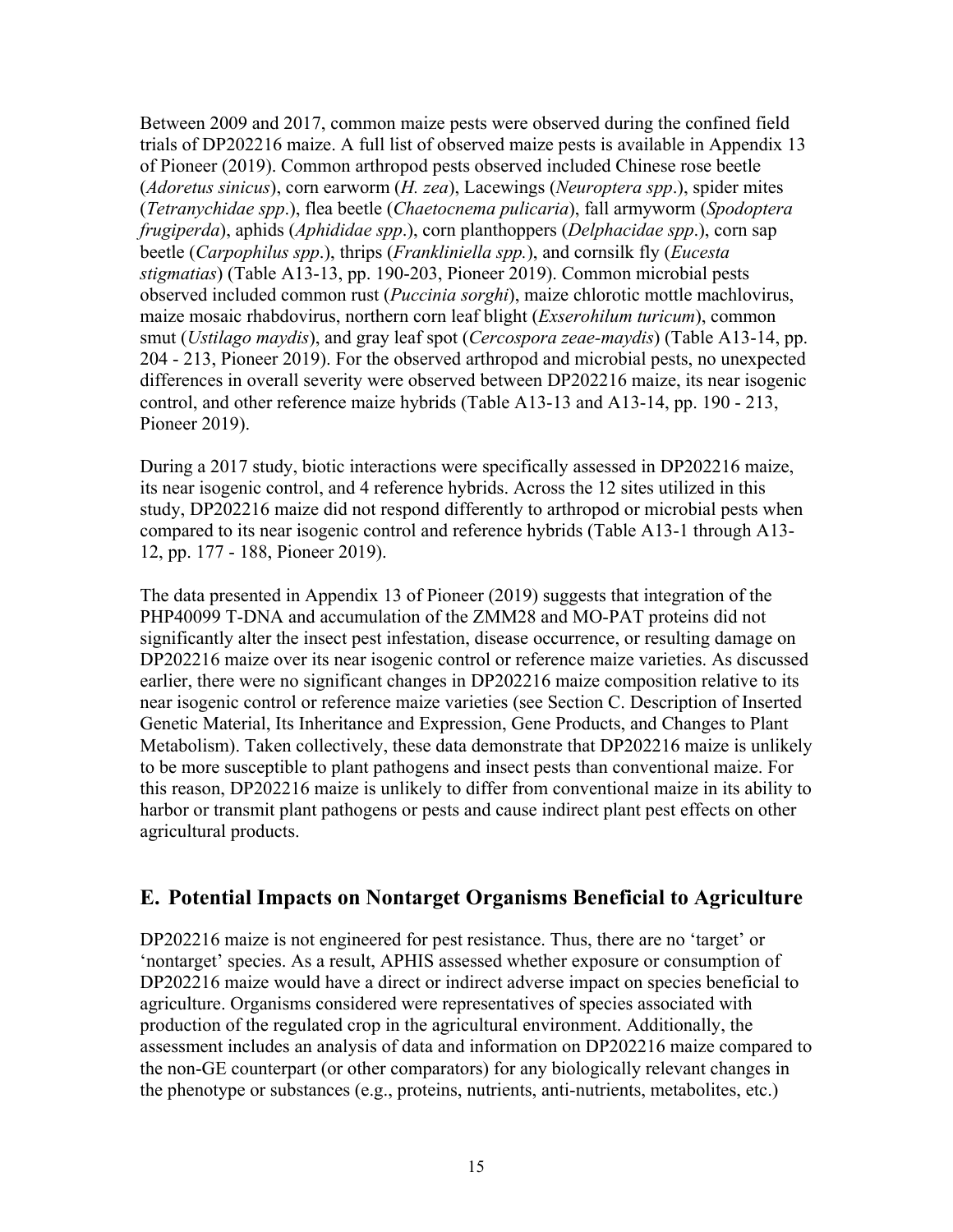Between 2009 and 2017, common maize pests were observed during the confined field trials of DP202216 maize. A full list of observed maize pests is available in Appendix 13 of Pioneer (2019). Common arthropod pests observed included Chinese rose beetle (*Adoretus sinicus*), corn earworm (*H. zea*), Lacewings (*Neuroptera spp*.), spider mites (*Tetranychidae spp*.), flea beetle (*Chaetocnema pulicaria*), fall armyworm (*Spodoptera frugiperda*), aphids (*Aphididae spp*.), corn planthoppers (*Delphacidae spp*.), corn sap beetle (*Carpophilus spp*.), thrips (*Frankliniella spp.*), and cornsilk fly (*Eucesta stigmatias*) (Table A13-13, pp. 190-203, Pioneer 2019). Common microbial pests observed included common rust (*Puccinia sorghi*), maize chlorotic mottle machlovirus, maize mosaic rhabdovirus, northern corn leaf blight (*Exserohilum turicum*), common smut (*Ustilago maydis*), and gray leaf spot (*Cercospora zeae-maydis*) (Table A13-14, pp. 204 - 213, Pioneer 2019). For the observed arthropod and microbial pests, no unexpected differences in overall severity were observed between DP202216 maize, its near isogenic control, and other reference maize hybrids (Table A13-13 and A13-14, pp. 190 - 213, Pioneer 2019).

During a 2017 study, biotic interactions were specifically assessed in DP202216 maize, its near isogenic control, and 4 reference hybrids. Across the 12 sites utilized in this study, DP202216 maize did not respond differently to arthropod or microbial pests when compared to its near isogenic control and reference hybrids (Table A13-1 through A13- 12, pp. 177 - 188, Pioneer 2019).

The data presented in Appendix 13 of Pioneer (2019) suggests that integration of the PHP40099 T-DNA and accumulation of the ZMM28 and MO-PAT proteins did not significantly alter the insect pest infestation, disease occurrence, or resulting damage on DP202216 maize over its near isogenic control or reference maize varieties. As discussed earlier, there were no significant changes in DP202216 maize composition relative to its near isogenic control or reference maize varieties (see Section C. Description of Inserted Genetic Material, Its Inheritance and Expression, Gene Products, and Changes to Plant Metabolism). Taken collectively, these data demonstrate that DP202216 maize is unlikely to be more susceptible to plant pathogens and insect pests than conventional maize. For this reason, DP202216 maize is unlikely to differ from conventional maize in its ability to harbor or transmit plant pathogens or pests and cause indirect plant pest effects on other agricultural products.

### **E. Potential Impacts on Nontarget Organisms Beneficial to Agriculture**

DP202216 maize is not engineered for pest resistance. Thus, there are no 'target' or 'nontarget' species. As a result, APHIS assessed whether exposure or consumption of DP202216 maize would have a direct or indirect adverse impact on species beneficial to agriculture. Organisms considered were representatives of species associated with production of the regulated crop in the agricultural environment. Additionally, the assessment includes an analysis of data and information on DP202216 maize compared to the non-GE counterpart (or other comparators) for any biologically relevant changes in the phenotype or substances (e.g., proteins, nutrients, anti-nutrients, metabolites, etc.)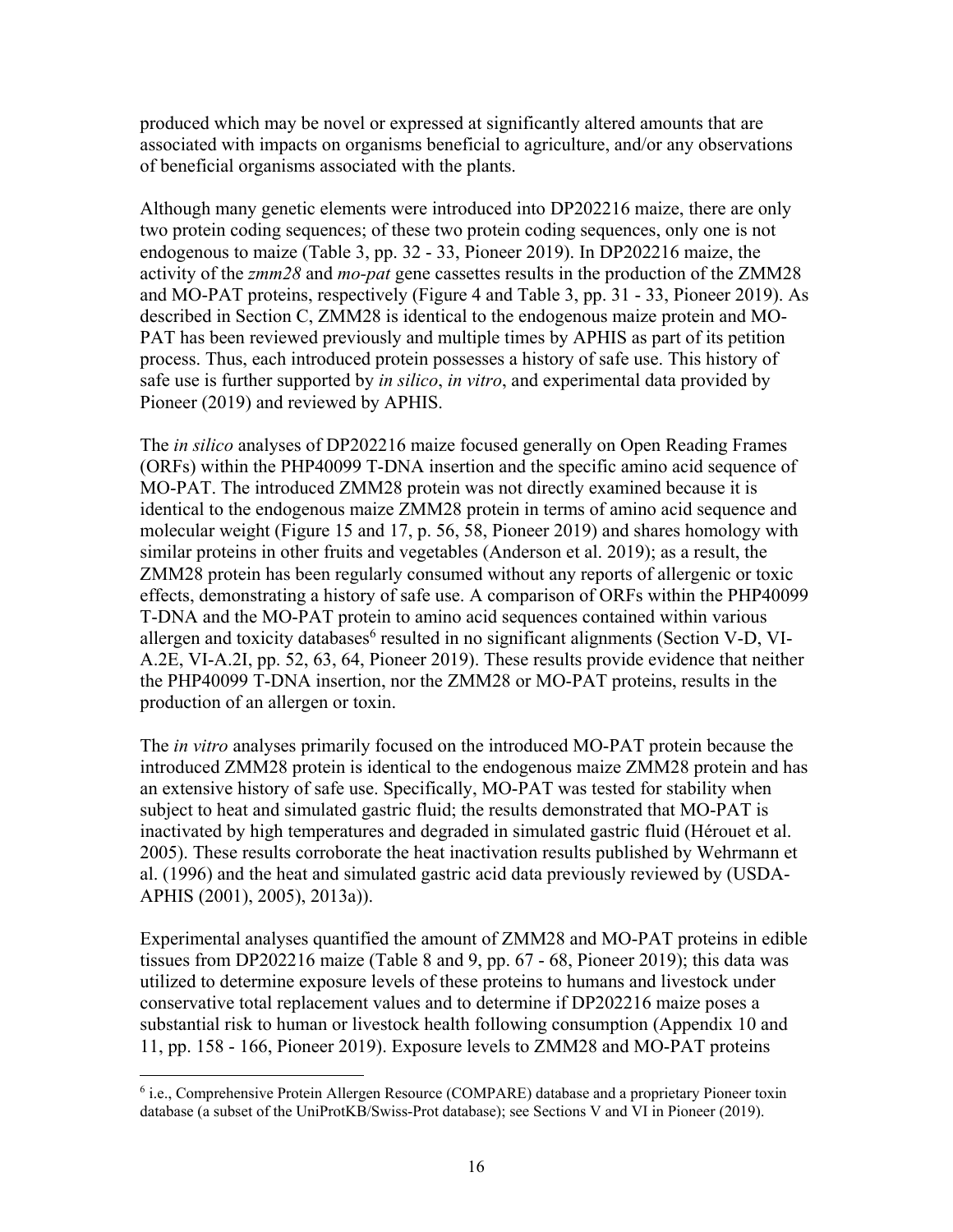produced which may be novel or expressed at significantly altered amounts that are associated with impacts on organisms beneficial to agriculture, and/or any observations of beneficial organisms associated with the plants.

Although many genetic elements were introduced into DP202216 maize, there are only two protein coding sequences; of these two protein coding sequences, only one is not endogenous to maize (Table 3, pp. 32 - 33, Pioneer 2019). In DP202216 maize, the activity of the *zmm28* and *mo-pat* gene cassettes results in the production of the ZMM28 and MO-PAT proteins, respectively (Figure 4 and Table 3, pp. 31 - 33, Pioneer 2019). As described in Section C, ZMM28 is identical to the endogenous maize protein and MO-PAT has been reviewed previously and multiple times by APHIS as part of its petition process. Thus, each introduced protein possesses a history of safe use. This history of safe use is further supported by *in silico*, *in vitro*, and experimental data provided by Pioneer (2019) and reviewed by APHIS.

The *in silico* analyses of DP202216 maize focused generally on Open Reading Frames (ORFs) within the PHP40099 T-DNA insertion and the specific amino acid sequence of MO-PAT. The introduced ZMM28 protein was not directly examined because it is identical to the endogenous maize ZMM28 protein in terms of amino acid sequence and molecular weight (Figure 15 and 17, p. 56, 58, Pioneer 2019) and shares homology with similar proteins in other fruits and vegetables (Anderson et al. 2019); as a result, the ZMM28 protein has been regularly consumed without any reports of allergenic or toxic effects, demonstrating a history of safe use. A comparison of ORFs within the PHP40099 T-DNA and the MO-PAT protein to amino acid sequences contained within various allergen and toxicity databases<sup>6</sup> resulted in no significant alignments (Section V-D, VI-A.2E, VI-A.2I, pp. 52, 63, 64, Pioneer 2019). These results provide evidence that neither the PHP40099 T-DNA insertion, nor the ZMM28 or MO-PAT proteins, results in the production of an allergen or toxin.

The *in vitro* analyses primarily focused on the introduced MO-PAT protein because the introduced ZMM28 protein is identical to the endogenous maize ZMM28 protein and has an extensive history of safe use. Specifically, MO-PAT was tested for stability when subject to heat and simulated gastric fluid; the results demonstrated that MO-PAT is inactivated by high temperatures and degraded in simulated gastric fluid (Hérouet et al. 2005). These results corroborate the heat inactivation results published by Wehrmann et al. (1996) and the heat and simulated gastric acid data previously reviewed by (USDA-APHIS (2001), 2005), 2013a)).

Experimental analyses quantified the amount of ZMM28 and MO-PAT proteins in edible tissues from DP202216 maize (Table 8 and 9, pp. 67 - 68, Pioneer 2019); this data was utilized to determine exposure levels of these proteins to humans and livestock under conservative total replacement values and to determine if DP202216 maize poses a substantial risk to human or livestock health following consumption (Appendix 10 and 11, pp. 158 - 166, Pioneer 2019). Exposure levels to ZMM28 and MO-PAT proteins

 $\overline{a}$ 

<sup>&</sup>lt;sup>6</sup> i.e., Comprehensive Protein Allergen Resource (COMPARE) database and a proprietary Pioneer toxin database (a subset of the UniProtKB/Swiss-Prot database); see Sections V and VI in Pioneer (2019).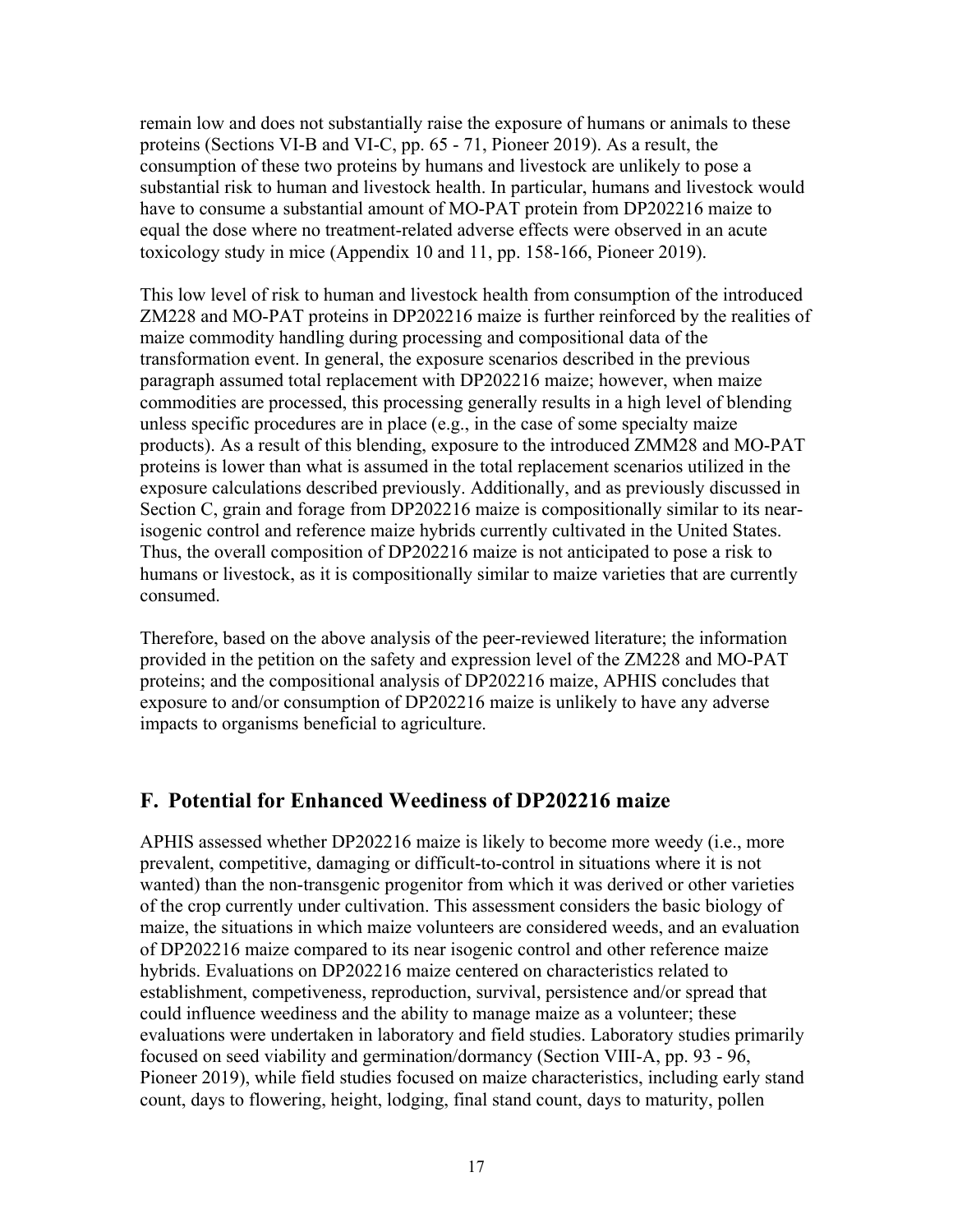remain low and does not substantially raise the exposure of humans or animals to these proteins (Sections VI-B and VI-C, pp. 65 - 71, Pioneer 2019). As a result, the consumption of these two proteins by humans and livestock are unlikely to pose a substantial risk to human and livestock health. In particular, humans and livestock would have to consume a substantial amount of MO-PAT protein from DP202216 maize to equal the dose where no treatment-related adverse effects were observed in an acute toxicology study in mice (Appendix 10 and 11, pp. 158-166, Pioneer 2019).

This low level of risk to human and livestock health from consumption of the introduced ZM228 and MO-PAT proteins in DP202216 maize is further reinforced by the realities of maize commodity handling during processing and compositional data of the transformation event. In general, the exposure scenarios described in the previous paragraph assumed total replacement with DP202216 maize; however, when maize commodities are processed, this processing generally results in a high level of blending unless specific procedures are in place (e.g., in the case of some specialty maize products). As a result of this blending, exposure to the introduced ZMM28 and MO-PAT proteins is lower than what is assumed in the total replacement scenarios utilized in the exposure calculations described previously. Additionally, and as previously discussed in Section C, grain and forage from DP202216 maize is compositionally similar to its nearisogenic control and reference maize hybrids currently cultivated in the United States. Thus, the overall composition of DP202216 maize is not anticipated to pose a risk to humans or livestock, as it is compositionally similar to maize varieties that are currently consumed.

Therefore, based on the above analysis of the peer-reviewed literature; the information provided in the petition on the safety and expression level of the ZM228 and MO-PAT proteins; and the compositional analysis of DP202216 maize, APHIS concludes that exposure to and/or consumption of DP202216 maize is unlikely to have any adverse impacts to organisms beneficial to agriculture.

### **F. Potential for Enhanced Weediness of DP202216 maize**

APHIS assessed whether DP202216 maize is likely to become more weedy (i.e., more prevalent, competitive, damaging or difficult-to-control in situations where it is not wanted) than the non-transgenic progenitor from which it was derived or other varieties of the crop currently under cultivation. This assessment considers the basic biology of maize, the situations in which maize volunteers are considered weeds, and an evaluation of DP202216 maize compared to its near isogenic control and other reference maize hybrids. Evaluations on DP202216 maize centered on characteristics related to establishment, competiveness, reproduction, survival, persistence and/or spread that could influence weediness and the ability to manage maize as a volunteer; these evaluations were undertaken in laboratory and field studies. Laboratory studies primarily focused on seed viability and germination/dormancy (Section VIII-A, pp. 93 - 96, Pioneer 2019), while field studies focused on maize characteristics, including early stand count, days to flowering, height, lodging, final stand count, days to maturity, pollen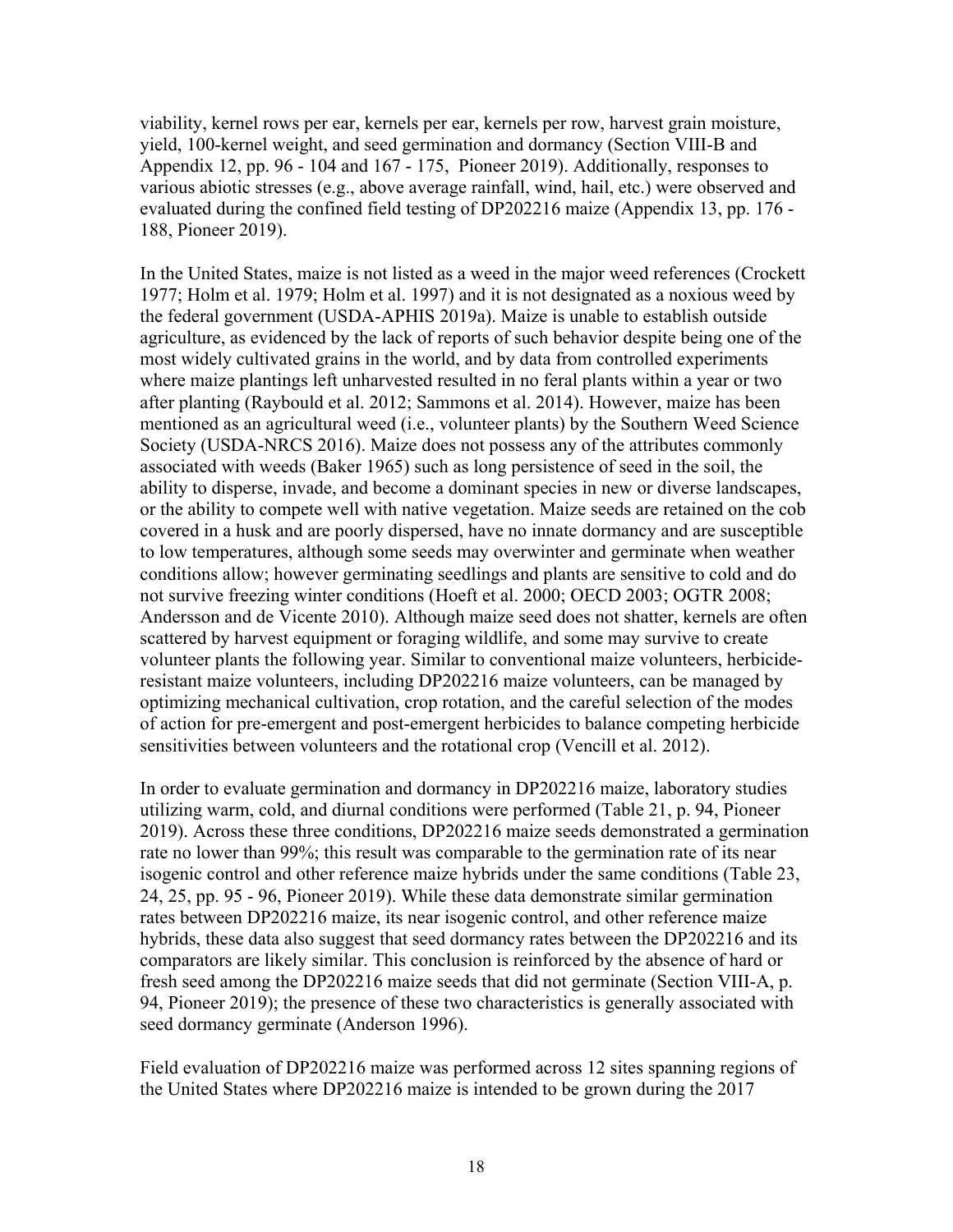viability, kernel rows per ear, kernels per ear, kernels per row, harvest grain moisture, yield, 100-kernel weight, and seed germination and dormancy (Section VIII-B and Appendix 12, pp. 96 - 104 and 167 - 175, Pioneer 2019). Additionally, responses to various abiotic stresses (e.g., above average rainfall, wind, hail, etc.) were observed and evaluated during the confined field testing of DP202216 maize (Appendix 13, pp. 176 - 188, Pioneer 2019).

In the United States, maize is not listed as a weed in the major weed references (Crockett 1977; Holm et al. 1979; Holm et al. 1997) and it is not designated as a noxious weed by the federal government (USDA-APHIS 2019a). Maize is unable to establish outside agriculture, as evidenced by the lack of reports of such behavior despite being one of the most widely cultivated grains in the world, and by data from controlled experiments where maize plantings left unharvested resulted in no feral plants within a year or two after planting (Raybould et al. 2012; Sammons et al. 2014). However, maize has been mentioned as an agricultural weed (i.e., volunteer plants) by the Southern Weed Science Society (USDA-NRCS 2016). Maize does not possess any of the attributes commonly associated with weeds (Baker 1965) such as long persistence of seed in the soil, the ability to disperse, invade, and become a dominant species in new or diverse landscapes, or the ability to compete well with native vegetation. Maize seeds are retained on the cob covered in a husk and are poorly dispersed, have no innate dormancy and are susceptible to low temperatures, although some seeds may overwinter and germinate when weather conditions allow; however germinating seedlings and plants are sensitive to cold and do not survive freezing winter conditions (Hoeft et al. 2000; OECD 2003; OGTR 2008; Andersson and de Vicente 2010). Although maize seed does not shatter, kernels are often scattered by harvest equipment or foraging wildlife, and some may survive to create volunteer plants the following year. Similar to conventional maize volunteers, herbicideresistant maize volunteers, including DP202216 maize volunteers, can be managed by optimizing mechanical cultivation, crop rotation, and the careful selection of the modes of action for pre-emergent and post-emergent herbicides to balance competing herbicide sensitivities between volunteers and the rotational crop (Vencill et al. 2012).

In order to evaluate germination and dormancy in DP202216 maize, laboratory studies utilizing warm, cold, and diurnal conditions were performed (Table 21, p. 94, Pioneer 2019). Across these three conditions, DP202216 maize seeds demonstrated a germination rate no lower than 99%; this result was comparable to the germination rate of its near isogenic control and other reference maize hybrids under the same conditions (Table 23, 24, 25, pp. 95 - 96, Pioneer 2019). While these data demonstrate similar germination rates between DP202216 maize, its near isogenic control, and other reference maize hybrids, these data also suggest that seed dormancy rates between the DP202216 and its comparators are likely similar. This conclusion is reinforced by the absence of hard or fresh seed among the DP202216 maize seeds that did not germinate (Section VIII-A, p. 94, Pioneer 2019); the presence of these two characteristics is generally associated with seed dormancy germinate (Anderson 1996).

Field evaluation of DP202216 maize was performed across 12 sites spanning regions of the United States where DP202216 maize is intended to be grown during the 2017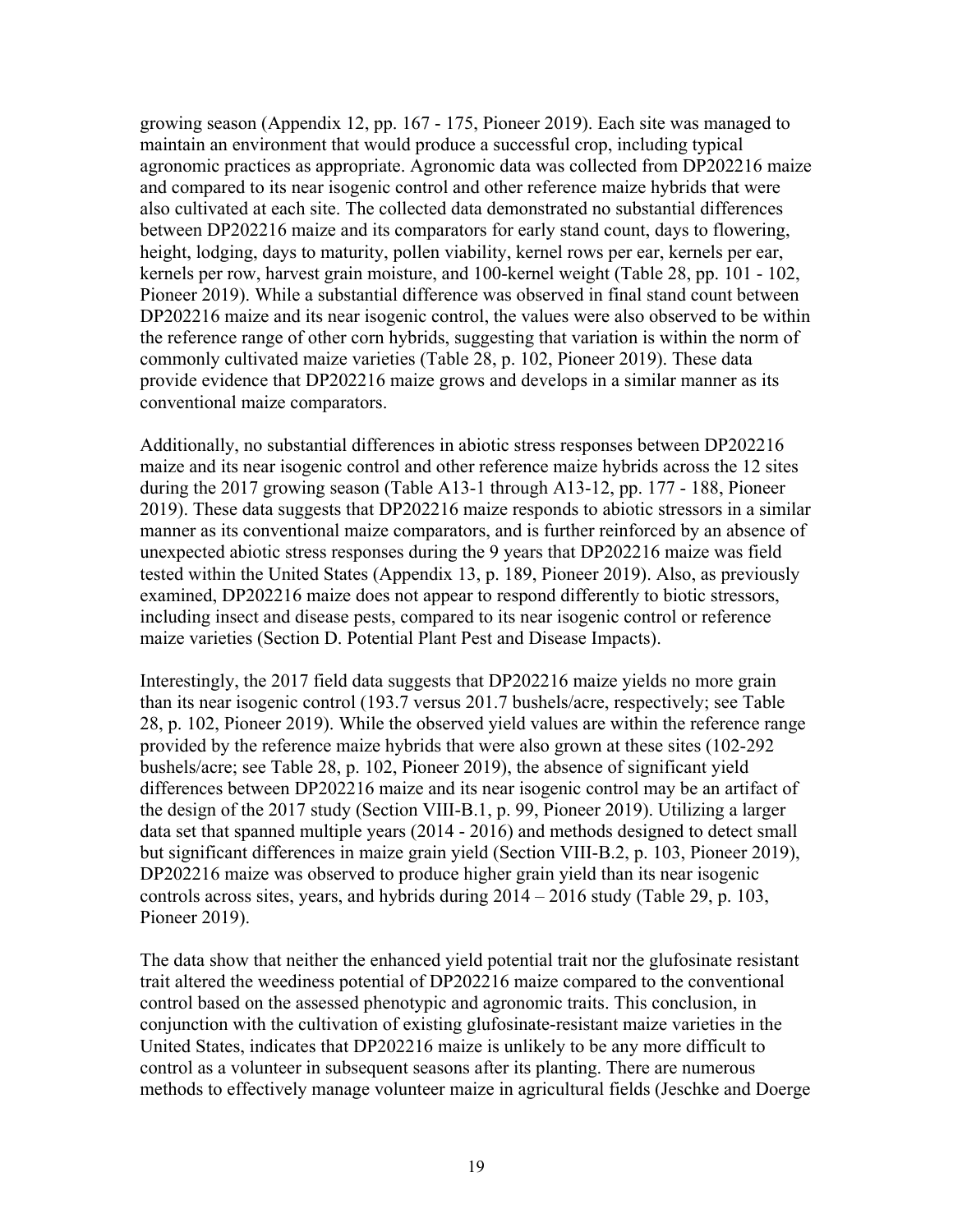growing season (Appendix 12, pp. 167 - 175, Pioneer 2019). Each site was managed to maintain an environment that would produce a successful crop, including typical agronomic practices as appropriate. Agronomic data was collected from DP202216 maize and compared to its near isogenic control and other reference maize hybrids that were also cultivated at each site. The collected data demonstrated no substantial differences between DP202216 maize and its comparators for early stand count, days to flowering, height, lodging, days to maturity, pollen viability, kernel rows per ear, kernels per ear, kernels per row, harvest grain moisture, and 100-kernel weight (Table 28, pp. 101 - 102, Pioneer 2019). While a substantial difference was observed in final stand count between DP202216 maize and its near isogenic control, the values were also observed to be within the reference range of other corn hybrids, suggesting that variation is within the norm of commonly cultivated maize varieties (Table 28, p. 102, Pioneer 2019). These data provide evidence that DP202216 maize grows and develops in a similar manner as its conventional maize comparators.

Additionally, no substantial differences in abiotic stress responses between DP202216 maize and its near isogenic control and other reference maize hybrids across the 12 sites during the 2017 growing season (Table A13-1 through A13-12, pp. 177 - 188, Pioneer 2019). These data suggests that DP202216 maize responds to abiotic stressors in a similar manner as its conventional maize comparators, and is further reinforced by an absence of unexpected abiotic stress responses during the 9 years that DP202216 maize was field tested within the United States (Appendix 13, p. 189, Pioneer 2019). Also, as previously examined, DP202216 maize does not appear to respond differently to biotic stressors, including insect and disease pests, compared to its near isogenic control or reference maize varieties (Section D. Potential Plant Pest and Disease Impacts).

Interestingly, the 2017 field data suggests that DP202216 maize yields no more grain than its near isogenic control (193.7 versus 201.7 bushels/acre, respectively; see Table 28, p. 102, Pioneer 2019). While the observed yield values are within the reference range provided by the reference maize hybrids that were also grown at these sites (102-292 bushels/acre; see Table 28, p. 102, Pioneer 2019), the absence of significant yield differences between DP202216 maize and its near isogenic control may be an artifact of the design of the 2017 study (Section VIII-B.1, p. 99, Pioneer 2019). Utilizing a larger data set that spanned multiple years (2014 - 2016) and methods designed to detect small but significant differences in maize grain yield (Section VIII-B.2, p. 103, Pioneer 2019), DP202216 maize was observed to produce higher grain yield than its near isogenic controls across sites, years, and hybrids during 2014 – 2016 study (Table 29, p. 103, Pioneer 2019).

The data show that neither the enhanced yield potential trait nor the glufosinate resistant trait altered the weediness potential of DP202216 maize compared to the conventional control based on the assessed phenotypic and agronomic traits. This conclusion, in conjunction with the cultivation of existing glufosinate-resistant maize varieties in the United States, indicates that DP202216 maize is unlikely to be any more difficult to control as a volunteer in subsequent seasons after its planting. There are numerous methods to effectively manage volunteer maize in agricultural fields (Jeschke and Doerge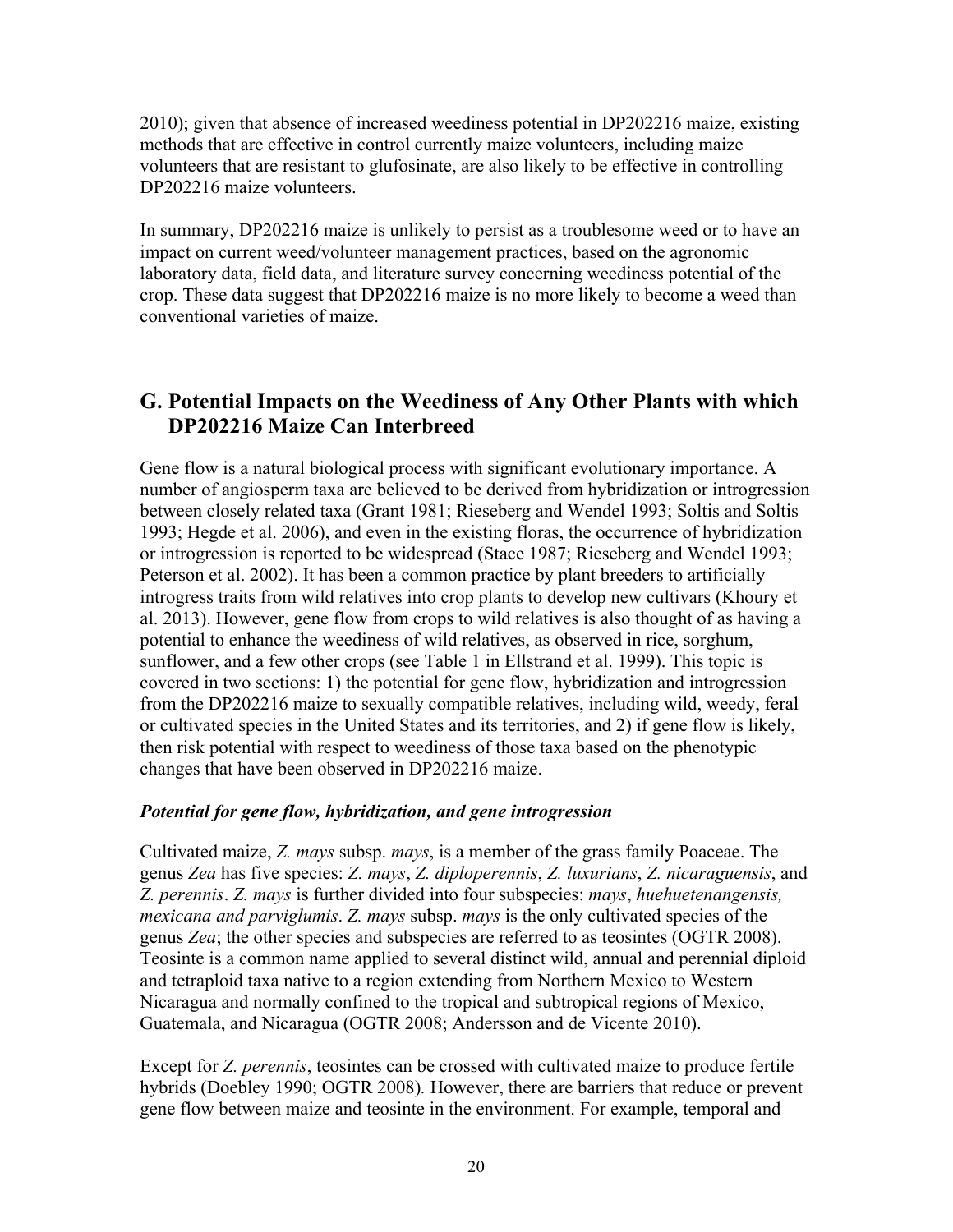2010); given that absence of increased weediness potential in DP202216 maize, existing methods that are effective in control currently maize volunteers, including maize volunteers that are resistant to glufosinate, are also likely to be effective in controlling DP202216 maize volunteers.

In summary, DP202216 maize is unlikely to persist as a troublesome weed or to have an impact on current weed/volunteer management practices, based on the agronomic laboratory data, field data, and literature survey concerning weediness potential of the crop. These data suggest that DP202216 maize is no more likely to become a weed than conventional varieties of maize.

### **G. Potential Impacts on the Weediness of Any Other Plants with which DP202216 Maize Can Interbreed**

Gene flow is a natural biological process with significant evolutionary importance. A number of angiosperm taxa are believed to be derived from hybridization or introgression between closely related taxa (Grant 1981; Rieseberg and Wendel 1993; Soltis and Soltis 1993; Hegde et al. 2006), and even in the existing floras, the occurrence of hybridization or introgression is reported to be widespread (Stace 1987; Rieseberg and Wendel 1993; Peterson et al. 2002). It has been a common practice by plant breeders to artificially introgress traits from wild relatives into crop plants to develop new cultivars (Khoury et al. 2013). However, gene flow from crops to wild relatives is also thought of as having a potential to enhance the weediness of wild relatives, as observed in rice, sorghum, sunflower, and a few other crops (see Table 1 in Ellstrand et al. 1999). This topic is covered in two sections: 1) the potential for gene flow, hybridization and introgression from the DP202216 maize to sexually compatible relatives, including wild, weedy, feral or cultivated species in the United States and its territories, and 2) if gene flow is likely, then risk potential with respect to weediness of those taxa based on the phenotypic changes that have been observed in DP202216 maize.

### *Potential for gene flow, hybridization, and gene introgression*

Cultivated maize, *Z. mays* subsp. *mays*, is a member of the grass family Poaceae. The genus *Zea* has five species: *Z. mays*, *Z. diploperennis*, *Z. luxurians*, *Z. nicaraguensis*, and *Z. perennis*. *Z. mays* is further divided into four subspecies: *mays*, *huehuetenangensis, mexicana and parviglumis*. *Z. mays* subsp. *mays* is the only cultivated species of the genus *Zea*; the other species and subspecies are referred to as teosintes (OGTR 2008). Teosinte is a common name applied to several distinct wild, annual and perennial diploid and tetraploid taxa native to a region extending from Northern Mexico to Western Nicaragua and normally confined to the tropical and subtropical regions of Mexico, Guatemala, and Nicaragua (OGTR 2008; Andersson and de Vicente 2010).

Except for *Z. perennis*, teosintes can be crossed with cultivated maize to produce fertile hybrids (Doebley 1990; OGTR 2008)*.* However, there are barriers that reduce or prevent gene flow between maize and teosinte in the environment. For example, temporal and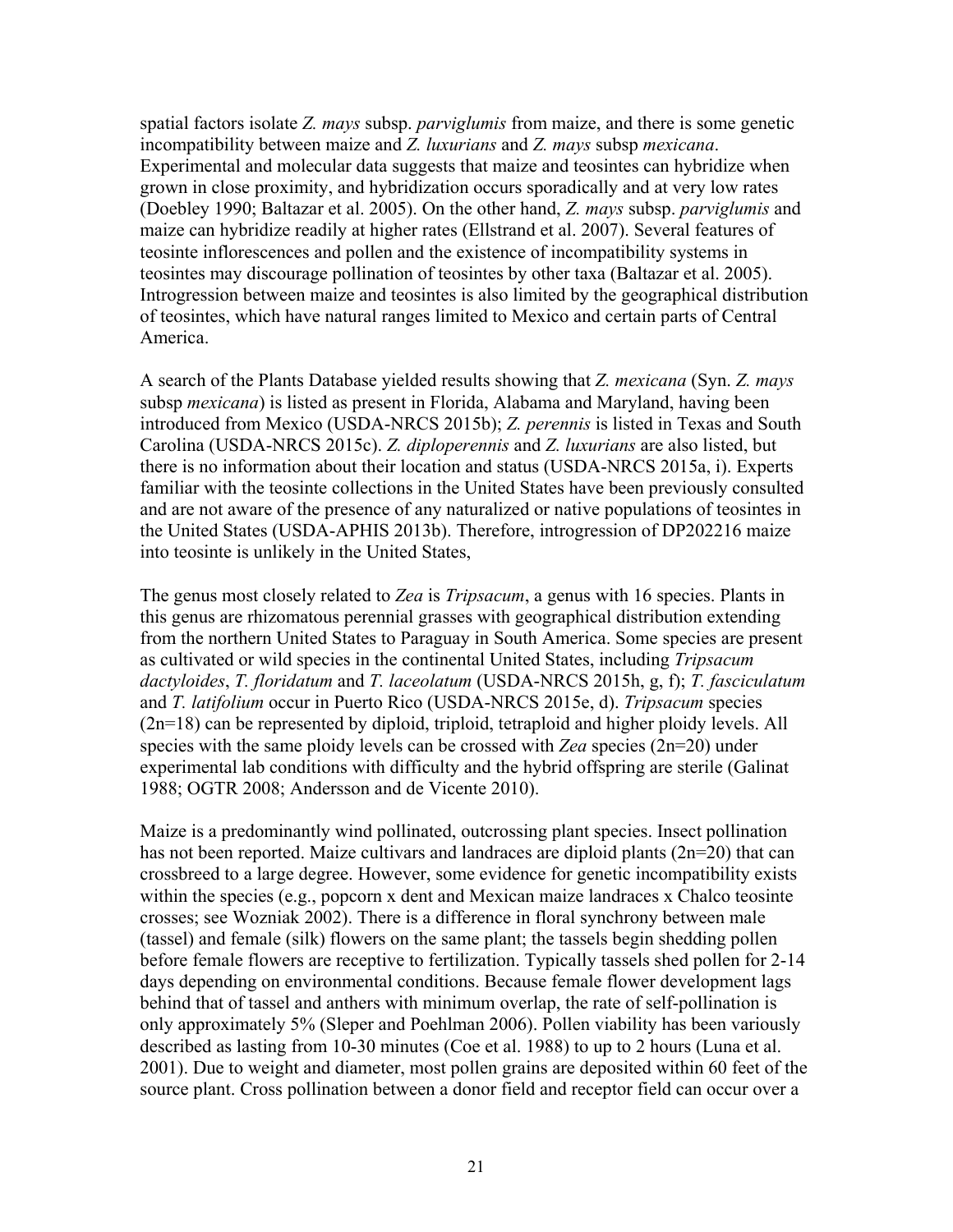spatial factors isolate *Z. mays* subsp. *parviglumis* from maize, and there is some genetic incompatibility between maize and *Z. luxurians* and *Z. mays* subsp *mexicana*. Experimental and molecular data suggests that maize and teosintes can hybridize when grown in close proximity, and hybridization occurs sporadically and at very low rates (Doebley 1990; Baltazar et al. 2005). On the other hand, *Z. mays* subsp. *parviglumis* and maize can hybridize readily at higher rates (Ellstrand et al. 2007). Several features of teosinte inflorescences and pollen and the existence of incompatibility systems in teosintes may discourage pollination of teosintes by other taxa (Baltazar et al. 2005). Introgression between maize and teosintes is also limited by the geographical distribution of teosintes, which have natural ranges limited to Mexico and certain parts of Central America.

A search of the Plants Database yielded results showing that *Z. mexicana* (Syn. *Z. mays*  subsp *mexicana*) is listed as present in Florida, Alabama and Maryland, having been introduced from Mexico (USDA-NRCS 2015b); *Z. perennis* is listed in Texas and South Carolina (USDA-NRCS 2015c). *Z. diploperennis* and *Z. luxurians* are also listed, but there is no information about their location and status (USDA-NRCS 2015a, i). Experts familiar with the teosinte collections in the United States have been previously consulted and are not aware of the presence of any naturalized or native populations of teosintes in the United States (USDA-APHIS 2013b). Therefore, introgression of DP202216 maize into teosinte is unlikely in the United States,

The genus most closely related to *Zea* is *Tripsacum*, a genus with 16 species. Plants in this genus are rhizomatous perennial grasses with geographical distribution extending from the northern United States to Paraguay in South America. Some species are present as cultivated or wild species in the continental United States, including *Tripsacum dactyloides*, *T. floridatum* and *T. laceolatum* (USDA-NRCS 2015h, g, f); *T. fasciculatum* and *T. latifolium* occur in Puerto Rico (USDA-NRCS 2015e, d). *Tripsacum* species (2n=18) can be represented by diploid, triploid, tetraploid and higher ploidy levels. All species with the same ploidy levels can be crossed with *Zea* species (2n=20) under experimental lab conditions with difficulty and the hybrid offspring are sterile (Galinat 1988; OGTR 2008; Andersson and de Vicente 2010).

Maize is a predominantly wind pollinated, outcrossing plant species. Insect pollination has not been reported. Maize cultivars and landraces are diploid plants (2n=20) that can crossbreed to a large degree. However, some evidence for genetic incompatibility exists within the species (e.g., popcorn x dent and Mexican maize landraces x Chalco teosinte crosses; see Wozniak 2002). There is a difference in floral synchrony between male (tassel) and female (silk) flowers on the same plant; the tassels begin shedding pollen before female flowers are receptive to fertilization. Typically tassels shed pollen for 2-14 days depending on environmental conditions. Because female flower development lags behind that of tassel and anthers with minimum overlap, the rate of self-pollination is only approximately 5% (Sleper and Poehlman 2006). Pollen viability has been variously described as lasting from 10-30 minutes (Coe et al. 1988) to up to 2 hours (Luna et al. 2001). Due to weight and diameter, most pollen grains are deposited within 60 feet of the source plant. Cross pollination between a donor field and receptor field can occur over a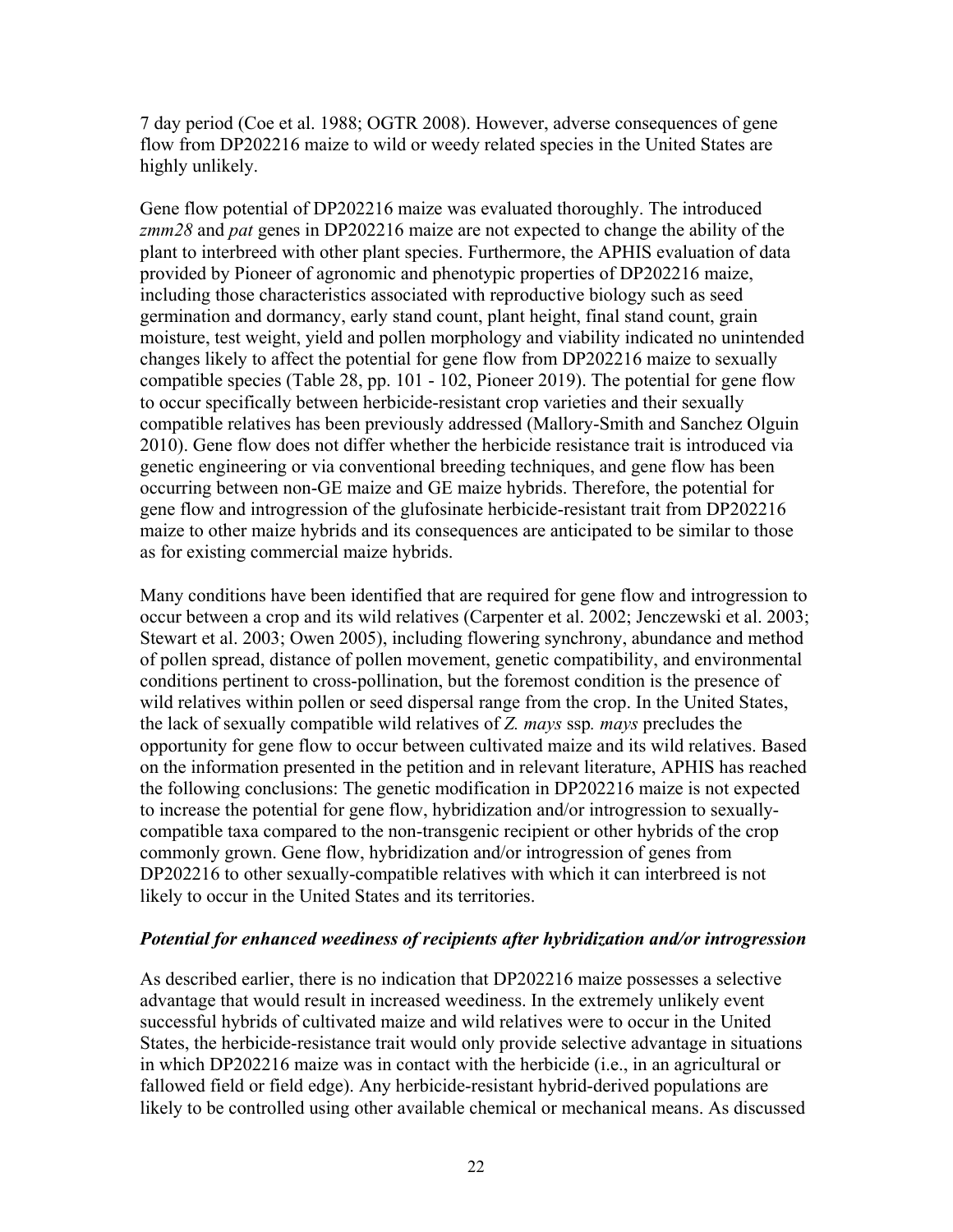7 day period (Coe et al. 1988; OGTR 2008). However, adverse consequences of gene flow from DP202216 maize to wild or weedy related species in the United States are highly unlikely.

Gene flow potential of DP202216 maize was evaluated thoroughly. The introduced *zmm28* and *pat* genes in DP202216 maize are not expected to change the ability of the plant to interbreed with other plant species. Furthermore, the APHIS evaluation of data provided by Pioneer of agronomic and phenotypic properties of DP202216 maize, including those characteristics associated with reproductive biology such as seed germination and dormancy, early stand count, plant height, final stand count, grain moisture, test weight, yield and pollen morphology and viability indicated no unintended changes likely to affect the potential for gene flow from DP202216 maize to sexually compatible species (Table 28, pp. 101 - 102, Pioneer 2019). The potential for gene flow to occur specifically between herbicide-resistant crop varieties and their sexually compatible relatives has been previously addressed (Mallory-Smith and Sanchez Olguin 2010). Gene flow does not differ whether the herbicide resistance trait is introduced via genetic engineering or via conventional breeding techniques, and gene flow has been occurring between non-GE maize and GE maize hybrids. Therefore, the potential for gene flow and introgression of the glufosinate herbicide-resistant trait from DP202216 maize to other maize hybrids and its consequences are anticipated to be similar to those as for existing commercial maize hybrids.

Many conditions have been identified that are required for gene flow and introgression to occur between a crop and its wild relatives (Carpenter et al. 2002; Jenczewski et al. 2003; Stewart et al. 2003; Owen 2005), including flowering synchrony, abundance and method of pollen spread, distance of pollen movement, genetic compatibility, and environmental conditions pertinent to cross-pollination, but the foremost condition is the presence of wild relatives within pollen or seed dispersal range from the crop. In the United States, the lack of sexually compatible wild relatives of *Z. mays* ssp*. mays* precludes the opportunity for gene flow to occur between cultivated maize and its wild relatives. Based on the information presented in the petition and in relevant literature, APHIS has reached the following conclusions: The genetic modification in DP202216 maize is not expected to increase the potential for gene flow, hybridization and/or introgression to sexuallycompatible taxa compared to the non-transgenic recipient or other hybrids of the crop commonly grown. Gene flow, hybridization and/or introgression of genes from DP202216 to other sexually-compatible relatives with which it can interbreed is not likely to occur in the United States and its territories.

#### *Potential for enhanced weediness of recipients after hybridization and/or introgression*

As described earlier, there is no indication that DP202216 maize possesses a selective advantage that would result in increased weediness. In the extremely unlikely event successful hybrids of cultivated maize and wild relatives were to occur in the United States, the herbicide-resistance trait would only provide selective advantage in situations in which DP202216 maize was in contact with the herbicide (i.e., in an agricultural or fallowed field or field edge). Any herbicide-resistant hybrid-derived populations are likely to be controlled using other available chemical or mechanical means. As discussed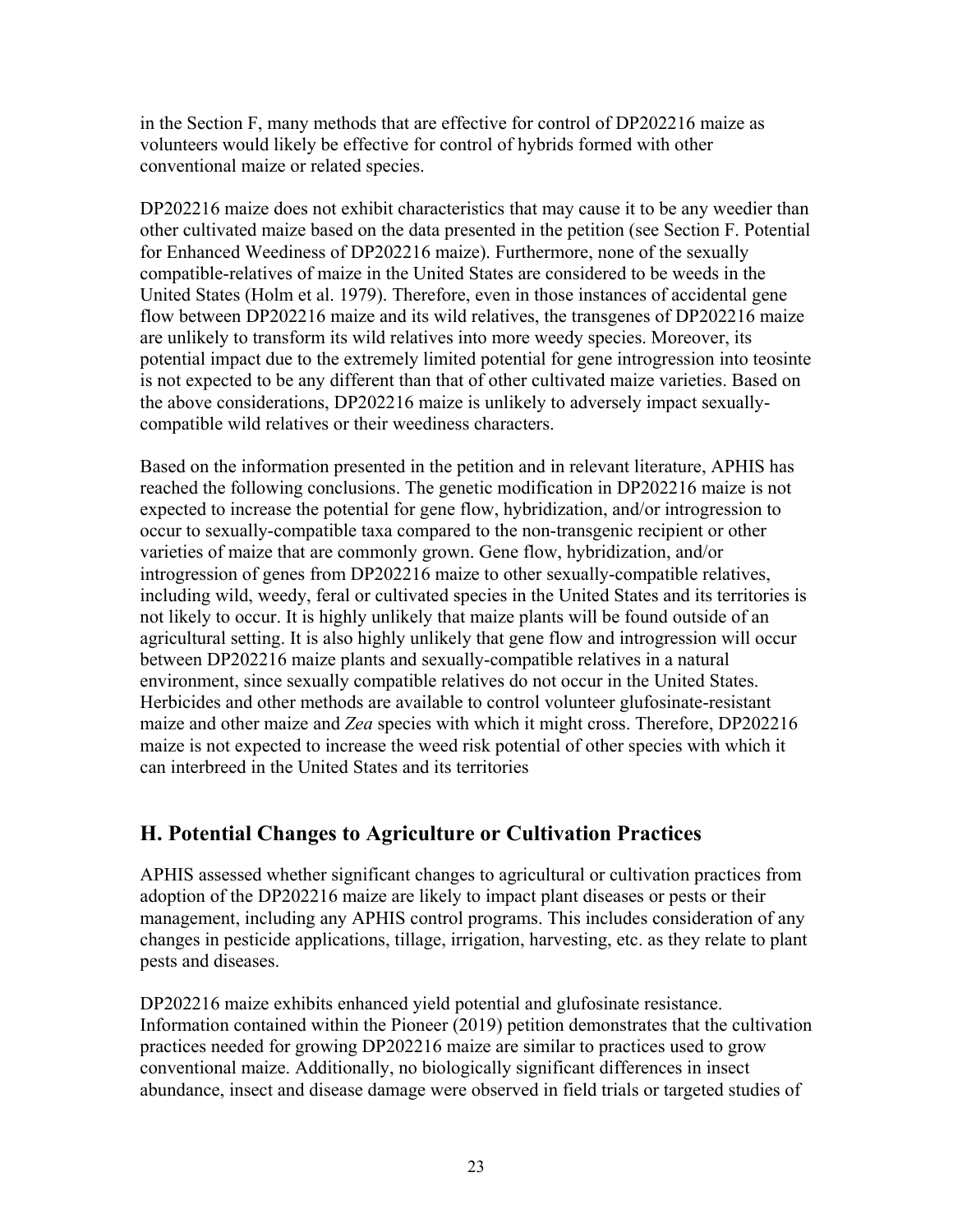in the Section F, many methods that are effective for control of DP202216 maize as volunteers would likely be effective for control of hybrids formed with other conventional maize or related species.

DP202216 maize does not exhibit characteristics that may cause it to be any weedier than other cultivated maize based on the data presented in the petition (see Section F. Potential for Enhanced Weediness of DP202216 maize). Furthermore, none of the sexually compatible-relatives of maize in the United States are considered to be weeds in the United States (Holm et al. 1979). Therefore, even in those instances of accidental gene flow between DP202216 maize and its wild relatives, the transgenes of DP202216 maize are unlikely to transform its wild relatives into more weedy species. Moreover, its potential impact due to the extremely limited potential for gene introgression into teosinte is not expected to be any different than that of other cultivated maize varieties. Based on the above considerations, DP202216 maize is unlikely to adversely impact sexuallycompatible wild relatives or their weediness characters.

Based on the information presented in the petition and in relevant literature, APHIS has reached the following conclusions. The genetic modification in DP202216 maize is not expected to increase the potential for gene flow, hybridization, and/or introgression to occur to sexually-compatible taxa compared to the non-transgenic recipient or other varieties of maize that are commonly grown. Gene flow, hybridization, and/or introgression of genes from DP202216 maize to other sexually-compatible relatives, including wild, weedy, feral or cultivated species in the United States and its territories is not likely to occur. It is highly unlikely that maize plants will be found outside of an agricultural setting. It is also highly unlikely that gene flow and introgression will occur between DP202216 maize plants and sexually-compatible relatives in a natural environment, since sexually compatible relatives do not occur in the United States. Herbicides and other methods are available to control volunteer glufosinate-resistant maize and other maize and *Zea* species with which it might cross. Therefore, DP202216 maize is not expected to increase the weed risk potential of other species with which it can interbreed in the United States and its territories

# **H. Potential Changes to Agriculture or Cultivation Practices**

APHIS assessed whether significant changes to agricultural or cultivation practices from adoption of the DP202216 maize are likely to impact plant diseases or pests or their management, including any APHIS control programs. This includes consideration of any changes in pesticide applications, tillage, irrigation, harvesting, etc. as they relate to plant pests and diseases.

DP202216 maize exhibits enhanced yield potential and glufosinate resistance. Information contained within the Pioneer (2019) petition demonstrates that the cultivation practices needed for growing DP202216 maize are similar to practices used to grow conventional maize. Additionally, no biologically significant differences in insect abundance, insect and disease damage were observed in field trials or targeted studies of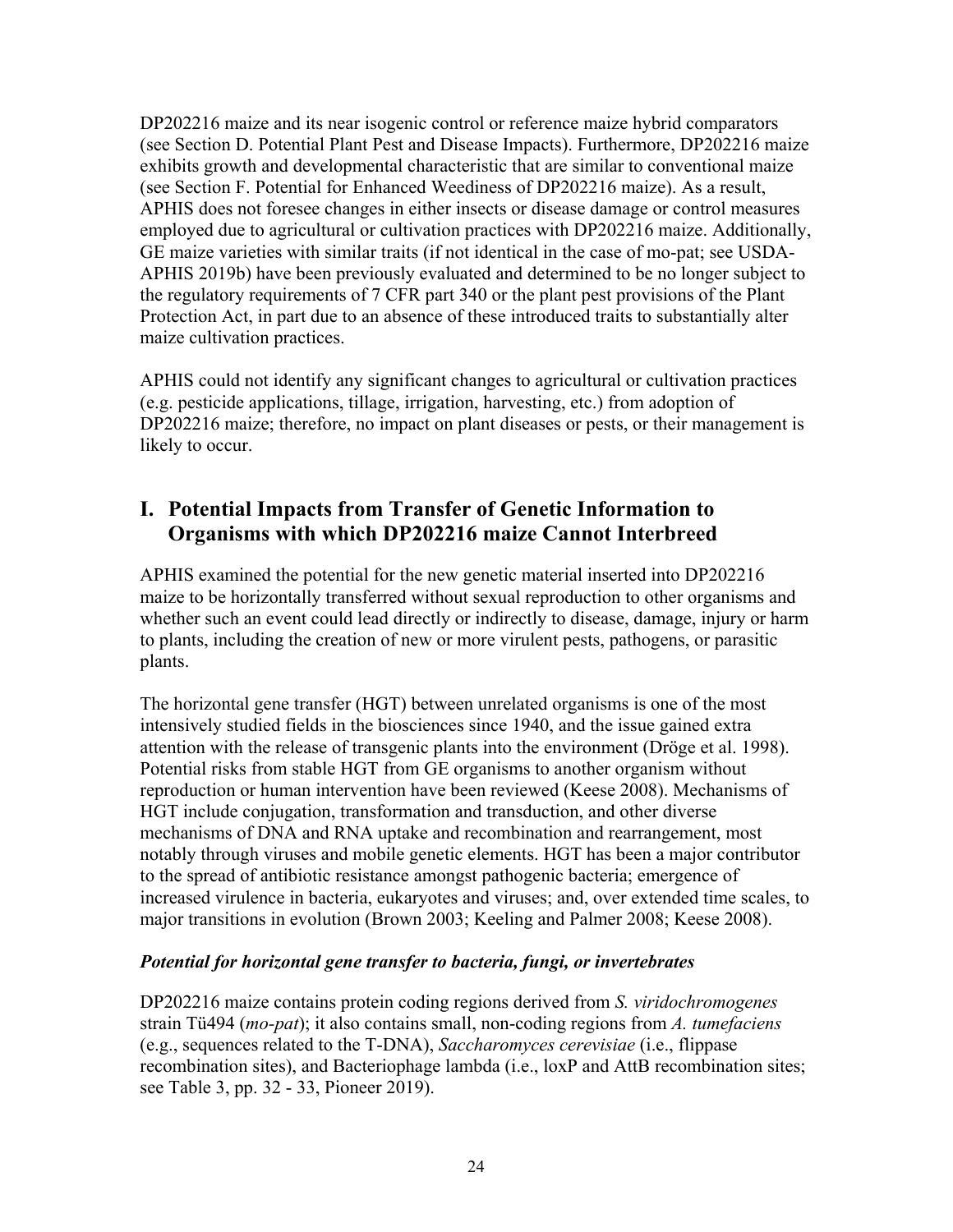DP202216 maize and its near isogenic control or reference maize hybrid comparators (see Section D. Potential Plant Pest and Disease Impacts). Furthermore, DP202216 maize exhibits growth and developmental characteristic that are similar to conventional maize (see Section F. Potential for Enhanced Weediness of DP202216 maize). As a result, APHIS does not foresee changes in either insects or disease damage or control measures employed due to agricultural or cultivation practices with DP202216 maize. Additionally, GE maize varieties with similar traits (if not identical in the case of mo-pat; see USDA-APHIS 2019b) have been previously evaluated and determined to be no longer subject to the regulatory requirements of 7 CFR part 340 or the plant pest provisions of the Plant Protection Act, in part due to an absence of these introduced traits to substantially alter maize cultivation practices.

APHIS could not identify any significant changes to agricultural or cultivation practices (e.g. pesticide applications, tillage, irrigation, harvesting, etc.) from adoption of DP202216 maize; therefore, no impact on plant diseases or pests, or their management is likely to occur.

### **I. Potential Impacts from Transfer of Genetic Information to Organisms with which DP202216 maize Cannot Interbreed**

APHIS examined the potential for the new genetic material inserted into DP202216 maize to be horizontally transferred without sexual reproduction to other organisms and whether such an event could lead directly or indirectly to disease, damage, injury or harm to plants, including the creation of new or more virulent pests, pathogens, or parasitic plants.

The horizontal gene transfer (HGT) between unrelated organisms is one of the most intensively studied fields in the biosciences since 1940, and the issue gained extra attention with the release of transgenic plants into the environment (Dröge et al. 1998). Potential risks from stable HGT from GE organisms to another organism without reproduction or human intervention have been reviewed (Keese 2008). Mechanisms of HGT include conjugation, transformation and transduction, and other diverse mechanisms of DNA and RNA uptake and recombination and rearrangement, most notably through viruses and mobile genetic elements. HGT has been a major contributor to the spread of antibiotic resistance amongst pathogenic bacteria; emergence of increased virulence in bacteria, eukaryotes and viruses; and, over extended time scales, to major transitions in evolution (Brown 2003; Keeling and Palmer 2008; Keese 2008).

### *Potential for horizontal gene transfer to bacteria, fungi, or invertebrates*

DP202216 maize contains protein coding regions derived from *S. viridochromogenes*  strain Tü494 (*mo-pat*); it also contains small, non-coding regions from *A. tumefaciens*  (e.g., sequences related to the T-DNA), *Saccharomyces cerevisiae* (i.e., flippase recombination sites), and Bacteriophage lambda (i.e., loxP and AttB recombination sites; see Table 3, pp. 32 - 33, Pioneer 2019).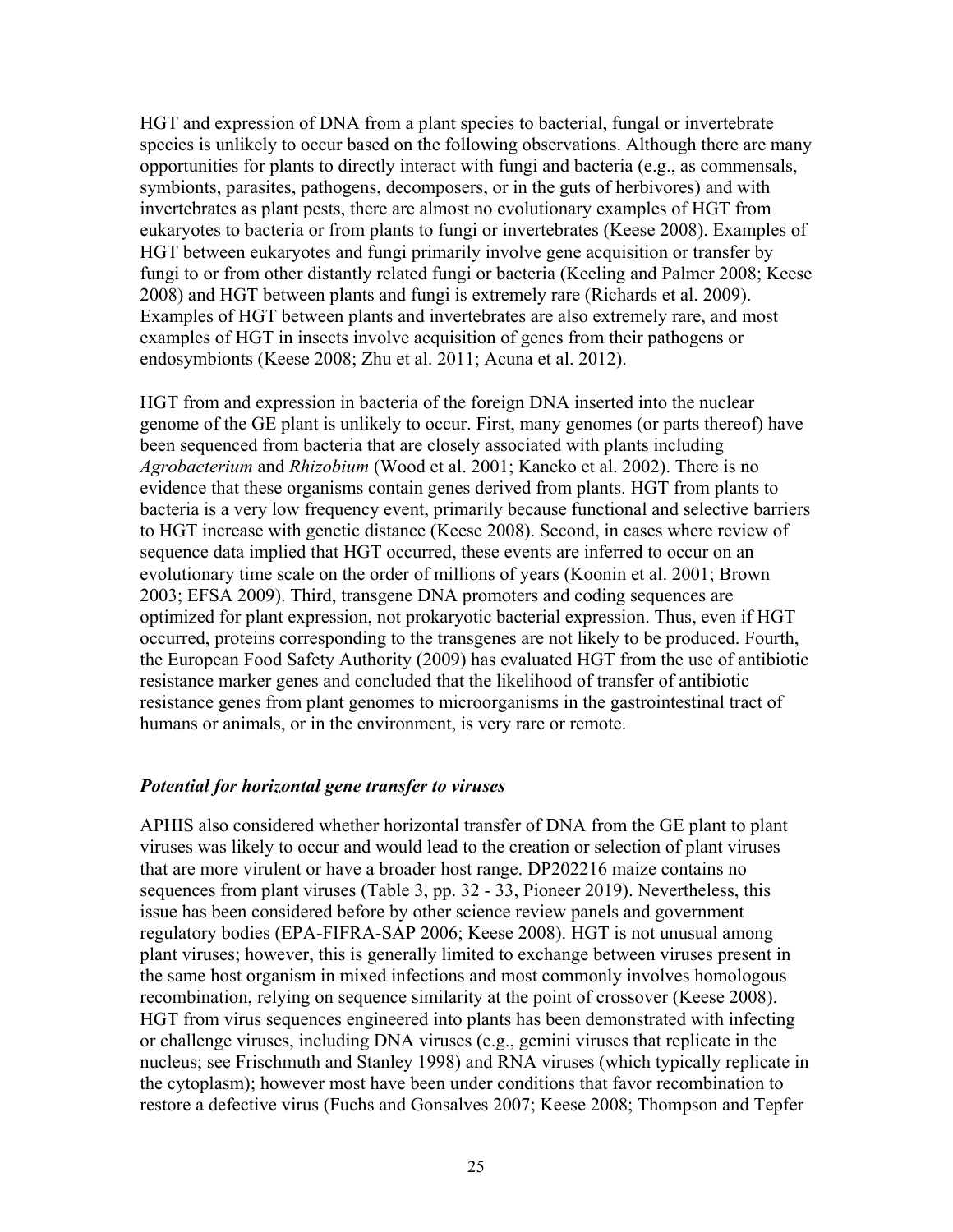HGT and expression of DNA from a plant species to bacterial, fungal or invertebrate species is unlikely to occur based on the following observations. Although there are many opportunities for plants to directly interact with fungi and bacteria (e.g., as commensals, symbionts, parasites, pathogens, decomposers, or in the guts of herbivores) and with invertebrates as plant pests, there are almost no evolutionary examples of HGT from eukaryotes to bacteria or from plants to fungi or invertebrates (Keese 2008). Examples of HGT between eukaryotes and fungi primarily involve gene acquisition or transfer by fungi to or from other distantly related fungi or bacteria (Keeling and Palmer 2008; Keese 2008) and HGT between plants and fungi is extremely rare (Richards et al. 2009). Examples of HGT between plants and invertebrates are also extremely rare, and most examples of HGT in insects involve acquisition of genes from their pathogens or endosymbionts (Keese 2008; Zhu et al. 2011; Acuna et al. 2012).

HGT from and expression in bacteria of the foreign DNA inserted into the nuclear genome of the GE plant is unlikely to occur. First, many genomes (or parts thereof) have been sequenced from bacteria that are closely associated with plants including *Agrobacterium* and *Rhizobium* (Wood et al. 2001; Kaneko et al. 2002). There is no evidence that these organisms contain genes derived from plants. HGT from plants to bacteria is a very low frequency event, primarily because functional and selective barriers to HGT increase with genetic distance (Keese 2008). Second, in cases where review of sequence data implied that HGT occurred, these events are inferred to occur on an evolutionary time scale on the order of millions of years (Koonin et al. 2001; Brown 2003; EFSA 2009). Third, transgene DNA promoters and coding sequences are optimized for plant expression, not prokaryotic bacterial expression. Thus, even if HGT occurred, proteins corresponding to the transgenes are not likely to be produced. Fourth, the European Food Safety Authority (2009) has evaluated HGT from the use of antibiotic resistance marker genes and concluded that the likelihood of transfer of antibiotic resistance genes from plant genomes to microorganisms in the gastrointestinal tract of humans or animals, or in the environment, is very rare or remote.

#### *Potential for horizontal gene transfer to viruses*

APHIS also considered whether horizontal transfer of DNA from the GE plant to plant viruses was likely to occur and would lead to the creation or selection of plant viruses that are more virulent or have a broader host range. DP202216 maize contains no sequences from plant viruses (Table 3, pp. 32 - 33, Pioneer 2019). Nevertheless, this issue has been considered before by other science review panels and government regulatory bodies (EPA-FIFRA-SAP 2006; Keese 2008). HGT is not unusual among plant viruses; however, this is generally limited to exchange between viruses present in the same host organism in mixed infections and most commonly involves homologous recombination, relying on sequence similarity at the point of crossover (Keese 2008). HGT from virus sequences engineered into plants has been demonstrated with infecting or challenge viruses, including DNA viruses (e.g., gemini viruses that replicate in the nucleus; see Frischmuth and Stanley 1998) and RNA viruses (which typically replicate in the cytoplasm); however most have been under conditions that favor recombination to restore a defective virus (Fuchs and Gonsalves 2007; Keese 2008; Thompson and Tepfer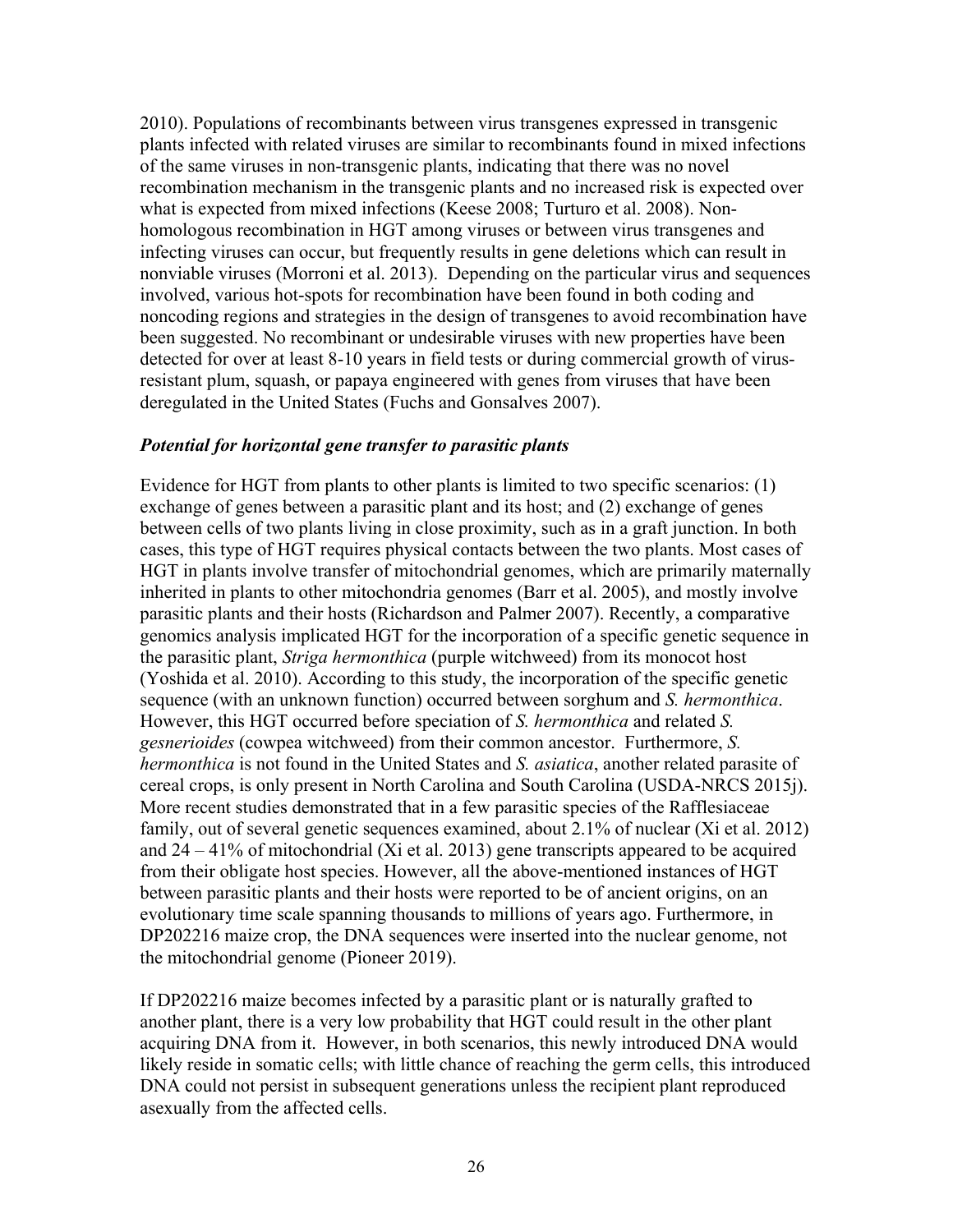2010). Populations of recombinants between virus transgenes expressed in transgenic plants infected with related viruses are similar to recombinants found in mixed infections of the same viruses in non-transgenic plants, indicating that there was no novel recombination mechanism in the transgenic plants and no increased risk is expected over what is expected from mixed infections (Keese 2008; Turturo et al. 2008). Nonhomologous recombination in HGT among viruses or between virus transgenes and infecting viruses can occur, but frequently results in gene deletions which can result in nonviable viruses (Morroni et al. 2013). Depending on the particular virus and sequences involved, various hot-spots for recombination have been found in both coding and noncoding regions and strategies in the design of transgenes to avoid recombination have been suggested. No recombinant or undesirable viruses with new properties have been detected for over at least 8-10 years in field tests or during commercial growth of virusresistant plum, squash, or papaya engineered with genes from viruses that have been deregulated in the United States (Fuchs and Gonsalves 2007).

#### *Potential for horizontal gene transfer to parasitic plants*

Evidence for HGT from plants to other plants is limited to two specific scenarios: (1) exchange of genes between a parasitic plant and its host; and (2) exchange of genes between cells of two plants living in close proximity, such as in a graft junction. In both cases, this type of HGT requires physical contacts between the two plants. Most cases of HGT in plants involve transfer of mitochondrial genomes, which are primarily maternally inherited in plants to other mitochondria genomes (Barr et al. 2005), and mostly involve parasitic plants and their hosts (Richardson and Palmer 2007). Recently, a comparative genomics analysis implicated HGT for the incorporation of a specific genetic sequence in the parasitic plant, *Striga hermonthica* (purple witchweed) from its monocot host (Yoshida et al. 2010). According to this study, the incorporation of the specific genetic sequence (with an unknown function) occurred between sorghum and *S. hermonthica*. However, this HGT occurred before speciation of *S. hermonthica* and related *S. gesnerioides* (cowpea witchweed) from their common ancestor. Furthermore, *S. hermonthica* is not found in the United States and *S. asiatica*, another related parasite of cereal crops, is only present in North Carolina and South Carolina (USDA-NRCS 2015j). More recent studies demonstrated that in a few parasitic species of the Rafflesiaceae family, out of several genetic sequences examined, about 2.1% of nuclear (Xi et al. 2012) and  $24 - 41\%$  of mitochondrial (Xi et al. 2013) gene transcripts appeared to be acquired from their obligate host species. However, all the above-mentioned instances of HGT between parasitic plants and their hosts were reported to be of ancient origins, on an evolutionary time scale spanning thousands to millions of years ago. Furthermore, in DP202216 maize crop, the DNA sequences were inserted into the nuclear genome, not the mitochondrial genome (Pioneer 2019).

If DP202216 maize becomes infected by a parasitic plant or is naturally grafted to another plant, there is a very low probability that HGT could result in the other plant acquiring DNA from it. However, in both scenarios, this newly introduced DNA would likely reside in somatic cells; with little chance of reaching the germ cells, this introduced DNA could not persist in subsequent generations unless the recipient plant reproduced asexually from the affected cells.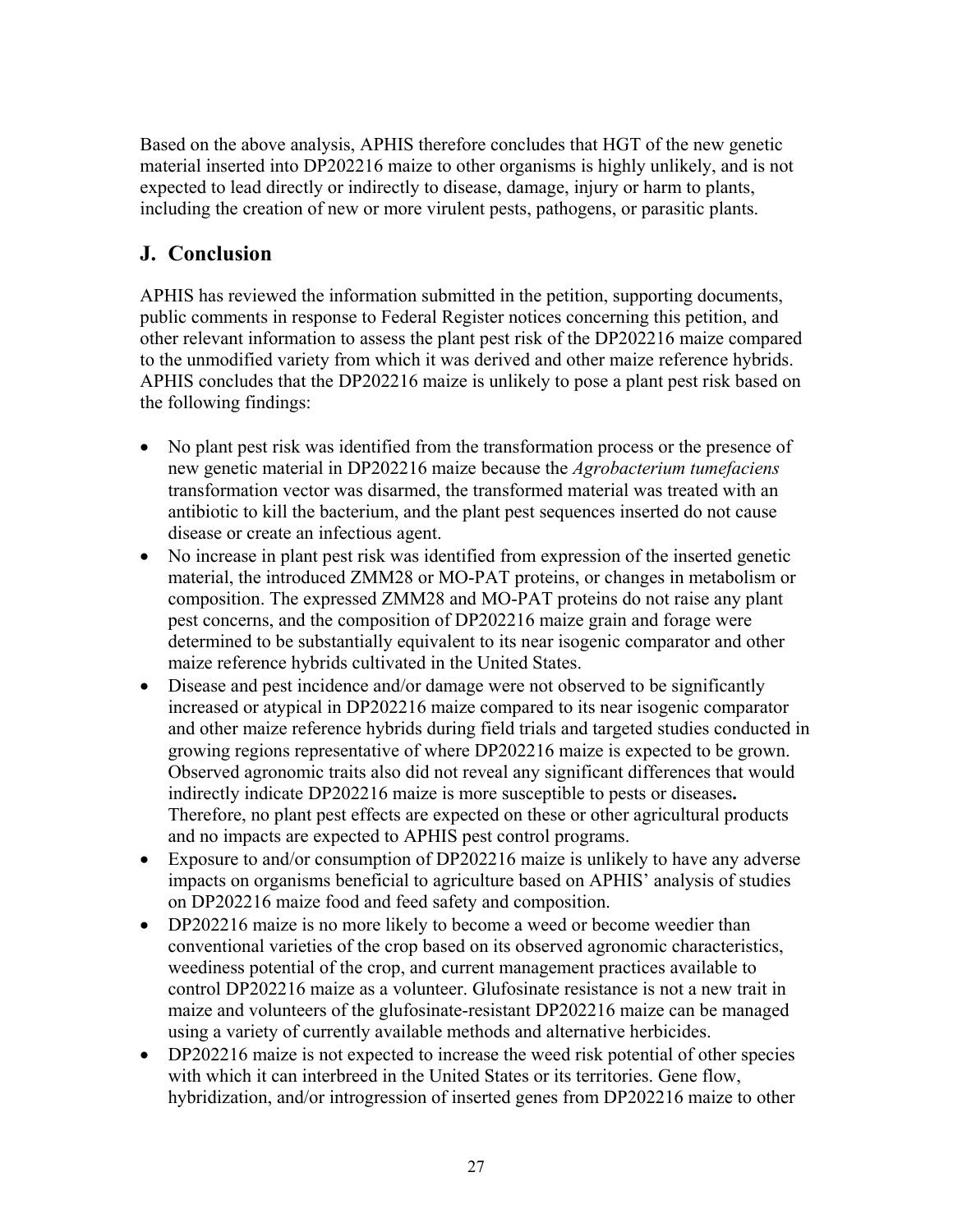Based on the above analysis, APHIS therefore concludes that HGT of the new genetic material inserted into DP202216 maize to other organisms is highly unlikely, and is not expected to lead directly or indirectly to disease, damage, injury or harm to plants, including the creation of new or more virulent pests, pathogens, or parasitic plants.

# **J. Conclusion**

APHIS has reviewed the information submitted in the petition, supporting documents, public comments in response to Federal Register notices concerning this petition, and other relevant information to assess the plant pest risk of the DP202216 maize compared to the unmodified variety from which it was derived and other maize reference hybrids. APHIS concludes that the DP202216 maize is unlikely to pose a plant pest risk based on the following findings:

- No plant pest risk was identified from the transformation process or the presence of new genetic material in DP202216 maize because the *Agrobacterium tumefaciens* transformation vector was disarmed, the transformed material was treated with an antibiotic to kill the bacterium, and the plant pest sequences inserted do not cause disease or create an infectious agent.
- No increase in plant pest risk was identified from expression of the inserted genetic material, the introduced ZMM28 or MO-PAT proteins, or changes in metabolism or composition. The expressed ZMM28 and MO-PAT proteins do not raise any plant pest concerns, and the composition of DP202216 maize grain and forage were determined to be substantially equivalent to its near isogenic comparator and other maize reference hybrids cultivated in the United States.
- Disease and pest incidence and/or damage were not observed to be significantly increased or atypical in DP202216 maize compared to its near isogenic comparator and other maize reference hybrids during field trials and targeted studies conducted in growing regions representative of where DP202216 maize is expected to be grown. Observed agronomic traits also did not reveal any significant differences that would indirectly indicate DP202216 maize is more susceptible to pests or diseases**.**  Therefore, no plant pest effects are expected on these or other agricultural products and no impacts are expected to APHIS pest control programs.
- Exposure to and/or consumption of DP202216 maize is unlikely to have any adverse impacts on organisms beneficial to agriculture based on APHIS' analysis of studies on DP202216 maize food and feed safety and composition.
- DP202216 maize is no more likely to become a weed or become weedier than conventional varieties of the crop based on its observed agronomic characteristics, weediness potential of the crop, and current management practices available to control DP202216 maize as a volunteer. Glufosinate resistance is not a new trait in maize and volunteers of the glufosinate-resistant DP202216 maize can be managed using a variety of currently available methods and alternative herbicides.
- DP202216 maize is not expected to increase the weed risk potential of other species with which it can interbreed in the United States or its territories. Gene flow, hybridization, and/or introgression of inserted genes from DP202216 maize to other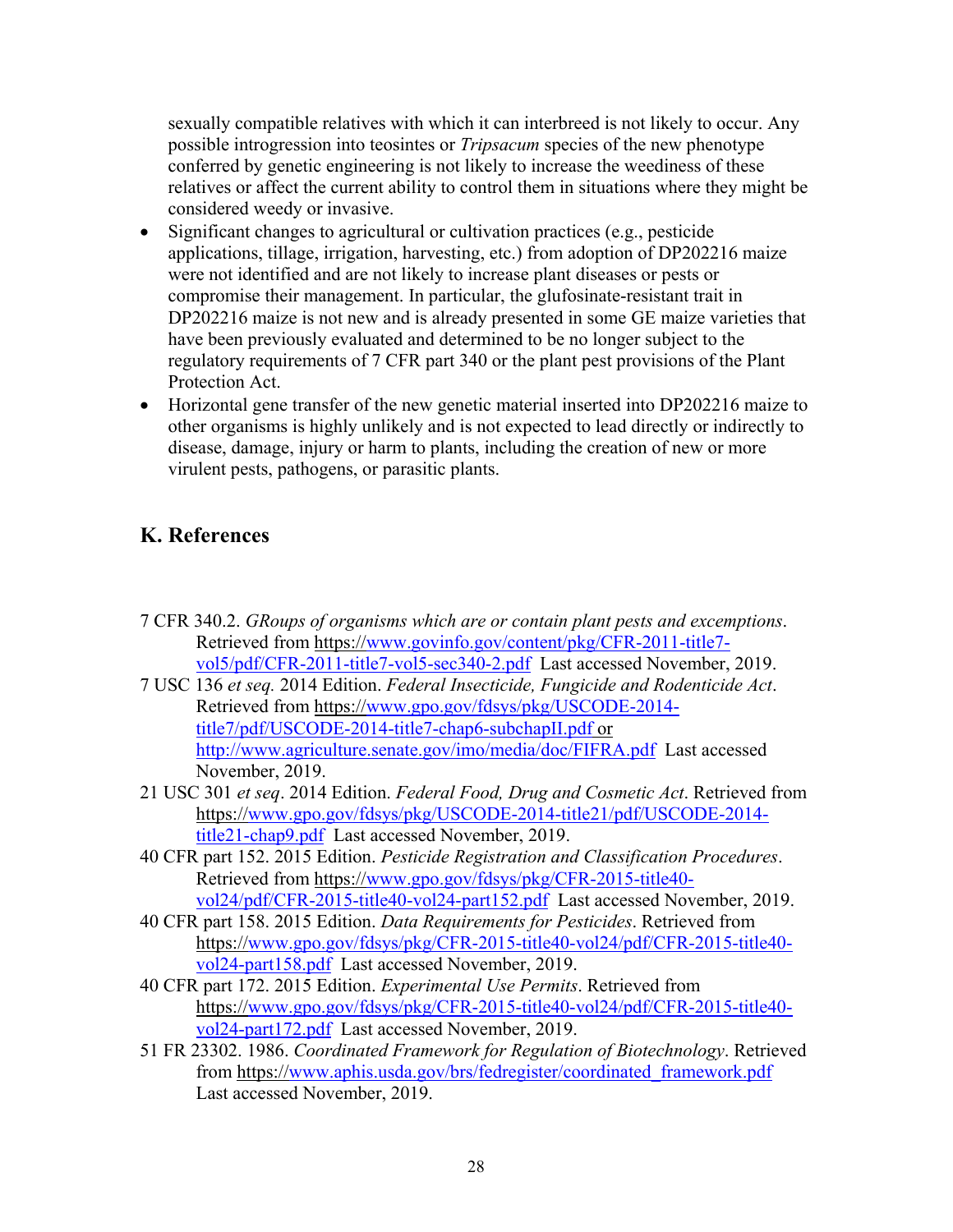sexually compatible relatives with which it can interbreed is not likely to occur. Any possible introgression into teosintes or *Tripsacum* species of the new phenotype conferred by genetic engineering is not likely to increase the weediness of these relatives or affect the current ability to control them in situations where they might be considered weedy or invasive.

- Significant changes to agricultural or cultivation practices (e.g., pesticide applications, tillage, irrigation, harvesting, etc.) from adoption of DP202216 maize were not identified and are not likely to increase plant diseases or pests or compromise their management. In particular, the glufosinate-resistant trait in DP202216 maize is not new and is already presented in some GE maize varieties that have been previously evaluated and determined to be no longer subject to the regulatory requirements of 7 CFR part 340 or the plant pest provisions of the Plant Protection Act.
- Horizontal gene transfer of the new genetic material inserted into DP202216 maize to other organisms is highly unlikely and is not expected to lead directly or indirectly to disease, damage, injury or harm to plants, including the creation of new or more virulent pests, pathogens, or parasitic plants.

# **K. References**

- 7 CFR 340.2. *GRoups of organisms which are or contain plant pests and excemptions*. Retrieved from https://www.govinfo.gov/content/pkg/CFR-2011-title7 vol5/pdf/CFR-2011-title7-vol5-sec340-2.pdf Last accessed November, 2019.
- 7 USC 136 *et seq.* 2014 Edition. *Federal Insecticide, Fungicide and Rodenticide Act*. Retrieved from https://www.gpo.gov/fdsys/pkg/USCODE-2014 title7/pdf/USCODE-2014-title7-chap6-subchapII.pdf or http://www.agriculture.senate.gov/imo/media/doc/FIFRA.pdf Last accessed November, 2019.
- 21 USC 301 *et seq*. 2014 Edition. *Federal Food, Drug and Cosmetic Act*. Retrieved from https://www.gpo.gov/fdsys/pkg/USCODE-2014-title21/pdf/USCODE-2014 title21-chap9.pdf Last accessed November, 2019.
- 40 CFR part 152. 2015 Edition. *Pesticide Registration and Classification Procedures*. Retrieved from https://www.gpo.gov/fdsys/pkg/CFR-2015-title40 vol24/pdf/CFR-2015-title40-vol24-part152.pdf Last accessed November, 2019.
- 40 CFR part 158. 2015 Edition. *Data Requirements for Pesticides*. Retrieved from https://www.gpo.gov/fdsys/pkg/CFR-2015-title40-vol24/pdf/CFR-2015-title40 vol24-part158.pdf Last accessed November, 2019.
- 40 CFR part 172. 2015 Edition. *Experimental Use Permits*. Retrieved from https://www.gpo.gov/fdsys/pkg/CFR-2015-title40-vol24/pdf/CFR-2015-title40 vol24-part172.pdf Last accessed November, 2019.
- 51 FR 23302. 1986. *Coordinated Framework for Regulation of Biotechnology*. Retrieved from https://www.aphis.usda.gov/brs/fedregister/coordinated\_framework.pdf Last accessed November, 2019.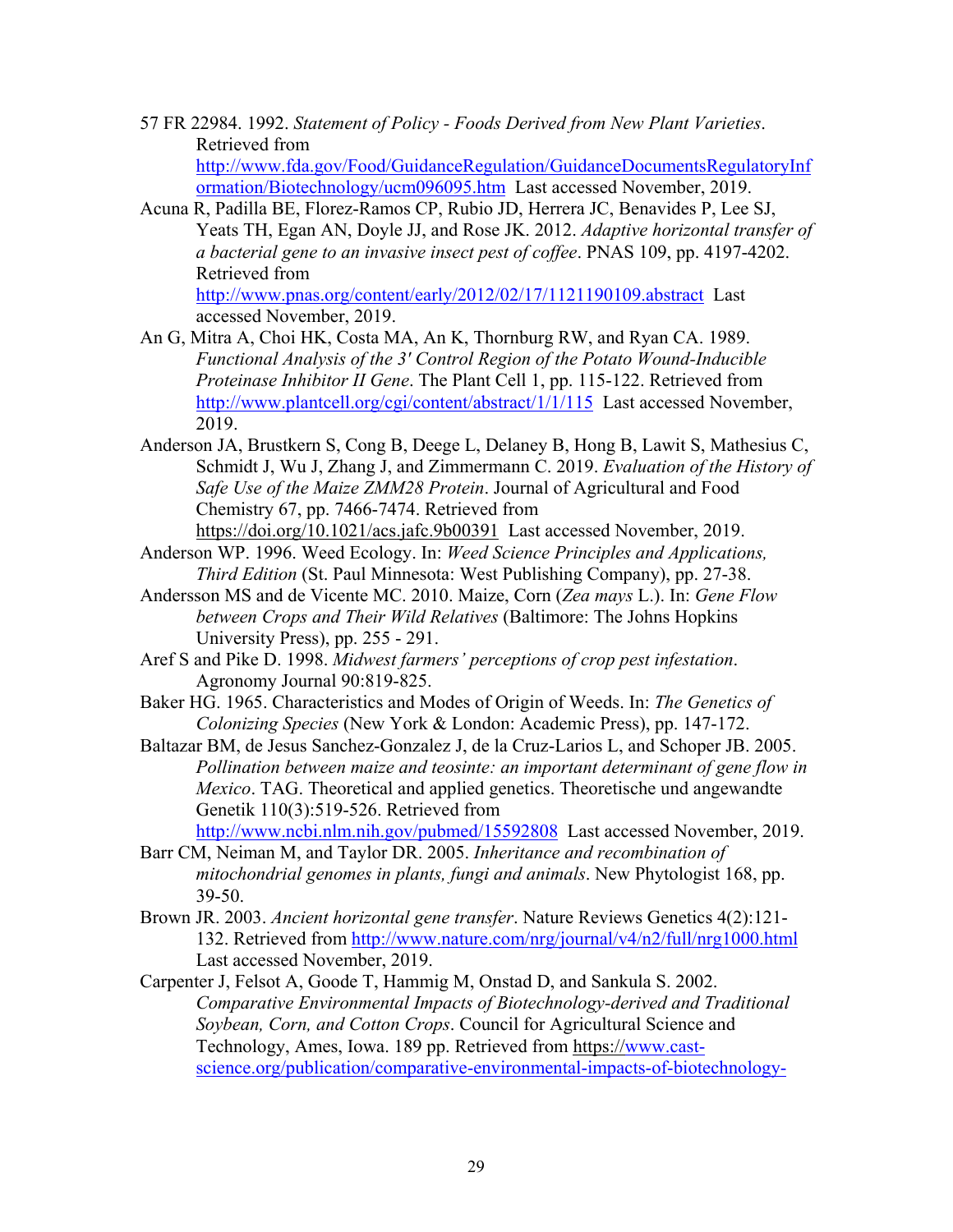- 57 FR 22984. 1992. *Statement of Policy Foods Derived from New Plant Varieties*. Retrieved from http://www.fda.gov/Food/GuidanceRegulation/GuidanceDocumentsRegulatoryInf ormation/Biotechnology/ucm096095.htm Last accessed November, 2019.
- Acuna R, Padilla BE, Florez-Ramos CP, Rubio JD, Herrera JC, Benavides P, Lee SJ, Yeats TH, Egan AN, Doyle JJ, and Rose JK. 2012. *Adaptive horizontal transfer of a bacterial gene to an invasive insect pest of coffee*. PNAS 109, pp. 4197-4202. Retrieved from http://www.pnas.org/content/early/2012/02/17/1121190109.abstract Last accessed November, 2019.
- An G, Mitra A, Choi HK, Costa MA, An K, Thornburg RW, and Ryan CA. 1989. *Functional Analysis of the 3' Control Region of the Potato Wound-Inducible Proteinase Inhibitor II Gene*. The Plant Cell 1, pp. 115-122. Retrieved from http://www.plantcell.org/cgi/content/abstract/1/1/115 Last accessed November, 2019.
- Anderson JA, Brustkern S, Cong B, Deege L, Delaney B, Hong B, Lawit S, Mathesius C, Schmidt J, Wu J, Zhang J, and Zimmermann C. 2019. *Evaluation of the History of Safe Use of the Maize ZMM28 Protein*. Journal of Agricultural and Food Chemistry 67, pp. 7466-7474. Retrieved from

https://doi.org/10.1021/acs.jafc.9b00391 Last accessed November, 2019.

- Anderson WP. 1996. Weed Ecology. In: *Weed Science Principles and Applications, Third Edition* (St. Paul Minnesota: West Publishing Company), pp. 27-38.
- Andersson MS and de Vicente MC. 2010. Maize, Corn (*Zea mays* L.). In: *Gene Flow between Crops and Their Wild Relatives* (Baltimore: The Johns Hopkins University Press), pp. 255 - 291.
- Aref S and Pike D. 1998. *Midwest farmers' perceptions of crop pest infestation*. Agronomy Journal 90:819-825.
- Baker HG. 1965. Characteristics and Modes of Origin of Weeds. In: *The Genetics of Colonizing Species* (New York & London: Academic Press), pp. 147-172.
- Baltazar BM, de Jesus Sanchez-Gonzalez J, de la Cruz-Larios L, and Schoper JB. 2005. *Pollination between maize and teosinte: an important determinant of gene flow in Mexico*. TAG. Theoretical and applied genetics. Theoretische und angewandte Genetik 110(3):519-526. Retrieved from

http://www.ncbi.nlm.nih.gov/pubmed/15592808 Last accessed November, 2019.

- Barr CM, Neiman M, and Taylor DR. 2005. *Inheritance and recombination of mitochondrial genomes in plants, fungi and animals*. New Phytologist 168, pp. 39-50.
- Brown JR. 2003. *Ancient horizontal gene transfer*. Nature Reviews Genetics 4(2):121- 132. Retrieved from http://www.nature.com/nrg/journal/v4/n2/full/nrg1000.html Last accessed November, 2019.
- Carpenter J, Felsot A, Goode T, Hammig M, Onstad D, and Sankula S. 2002. *Comparative Environmental Impacts of Biotechnology-derived and Traditional Soybean, Corn, and Cotton Crops*. Council for Agricultural Science and Technology, Ames, Iowa. 189 pp. Retrieved from https://www.castscience.org/publication/comparative-environmental-impacts-of-biotechnology-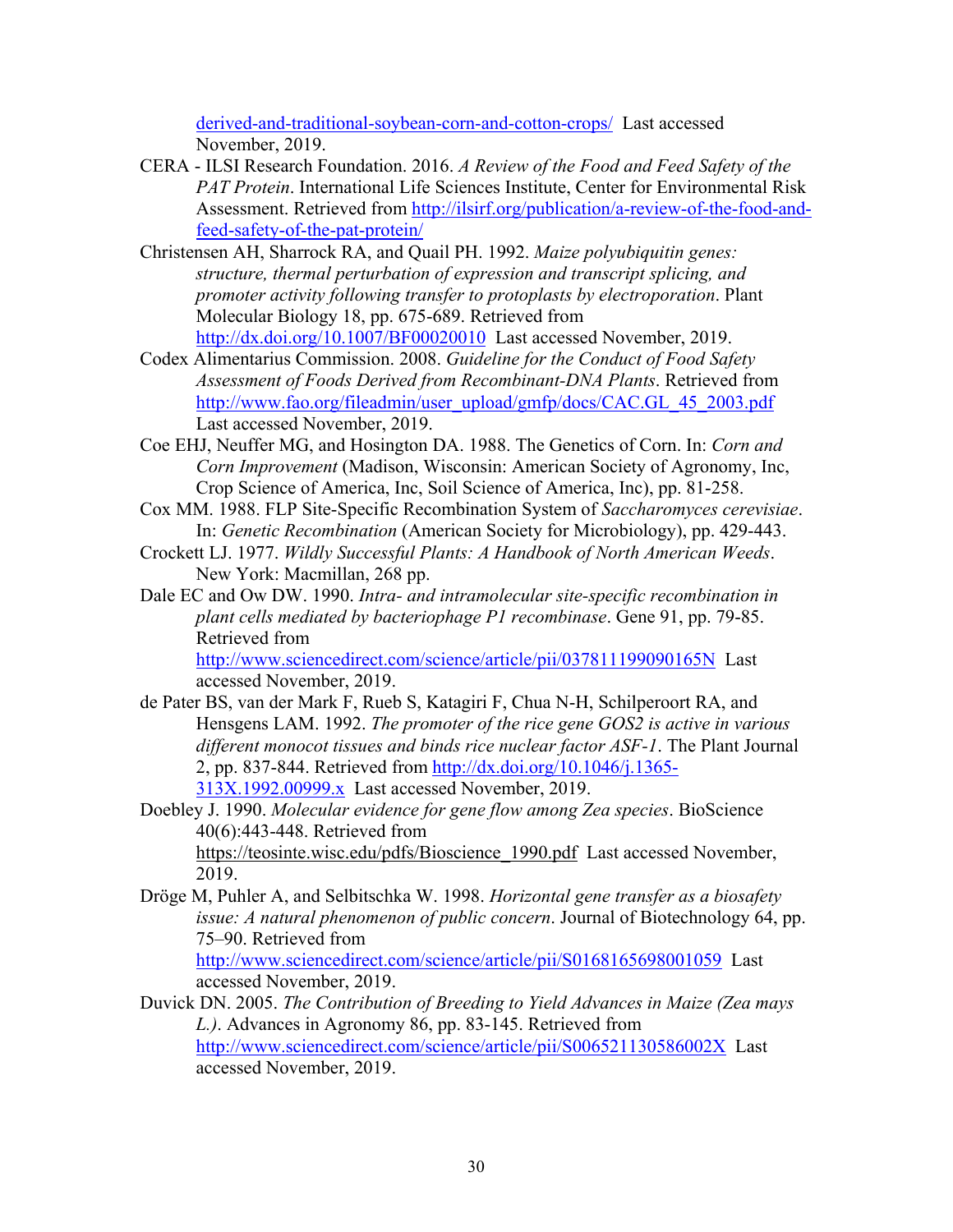derived-and-traditional-soybean-corn-and-cotton-crops/ Last accessed November, 2019.

- CERA ILSI Research Foundation. 2016. *A Review of the Food and Feed Safety of the PAT Protein*. International Life Sciences Institute, Center for Environmental Risk Assessment. Retrieved from http://ilsirf.org/publication/a-review-of-the-food-andfeed-safety-of-the-pat-protein/
- Christensen AH, Sharrock RA, and Quail PH. 1992. *Maize polyubiquitin genes: structure, thermal perturbation of expression and transcript splicing, and promoter activity following transfer to protoplasts by electroporation*. Plant Molecular Biology 18, pp. 675-689. Retrieved from http://dx.doi.org/10.1007/BF00020010 Last accessed November, 2019.
- Codex Alimentarius Commission. 2008. *Guideline for the Conduct of Food Safety Assessment of Foods Derived from Recombinant-DNA Plants*. Retrieved from http://www.fao.org/fileadmin/user\_upload/gmfp/docs/CAC.GL\_45\_2003.pdf Last accessed November, 2019.
- Coe EHJ, Neuffer MG, and Hosington DA. 1988. The Genetics of Corn. In: *Corn and Corn Improvement* (Madison, Wisconsin: American Society of Agronomy, Inc, Crop Science of America, Inc, Soil Science of America, Inc), pp. 81-258.
- Cox MM. 1988. FLP Site-Specific Recombination System of *Saccharomyces cerevisiae*. In: *Genetic Recombination* (American Society for Microbiology), pp. 429-443.
- Crockett LJ. 1977. *Wildly Successful Plants: A Handbook of North American Weeds*. New York: Macmillan, 268 pp.
- Dale EC and Ow DW. 1990. *Intra- and intramolecular site-specific recombination in plant cells mediated by bacteriophage P1 recombinase*. Gene 91, pp. 79-85. Retrieved from

http://www.sciencedirect.com/science/article/pii/037811199090165N Last accessed November, 2019.

- de Pater BS, van der Mark F, Rueb S, Katagiri F, Chua N-H, Schilperoort RA, and Hensgens LAM. 1992. *The promoter of the rice gene GOS2 is active in various different monocot tissues and binds rice nuclear factor ASF-1*. The Plant Journal 2, pp. 837-844. Retrieved from http://dx.doi.org/10.1046/j.1365- 313X.1992.00999.x Last accessed November, 2019.
- Doebley J. 1990. *Molecular evidence for gene flow among Zea species*. BioScience 40(6):443-448. Retrieved from https://teosinte.wisc.edu/pdfs/Bioscience\_1990.pdf Last accessed November, 2019.
- Dröge M, Puhler A, and Selbitschka W. 1998. *Horizontal gene transfer as a biosafety issue: A natural phenomenon of public concern*. Journal of Biotechnology 64, pp. 75–90. Retrieved from http://www.sciencedirect.com/science/article/pii/S0168165698001059 Last

accessed November, 2019.

Duvick DN. 2005. *The Contribution of Breeding to Yield Advances in Maize (Zea mays L.)*. Advances in Agronomy 86, pp. 83-145. Retrieved from http://www.sciencedirect.com/science/article/pii/S006521130586002X Last accessed November, 2019.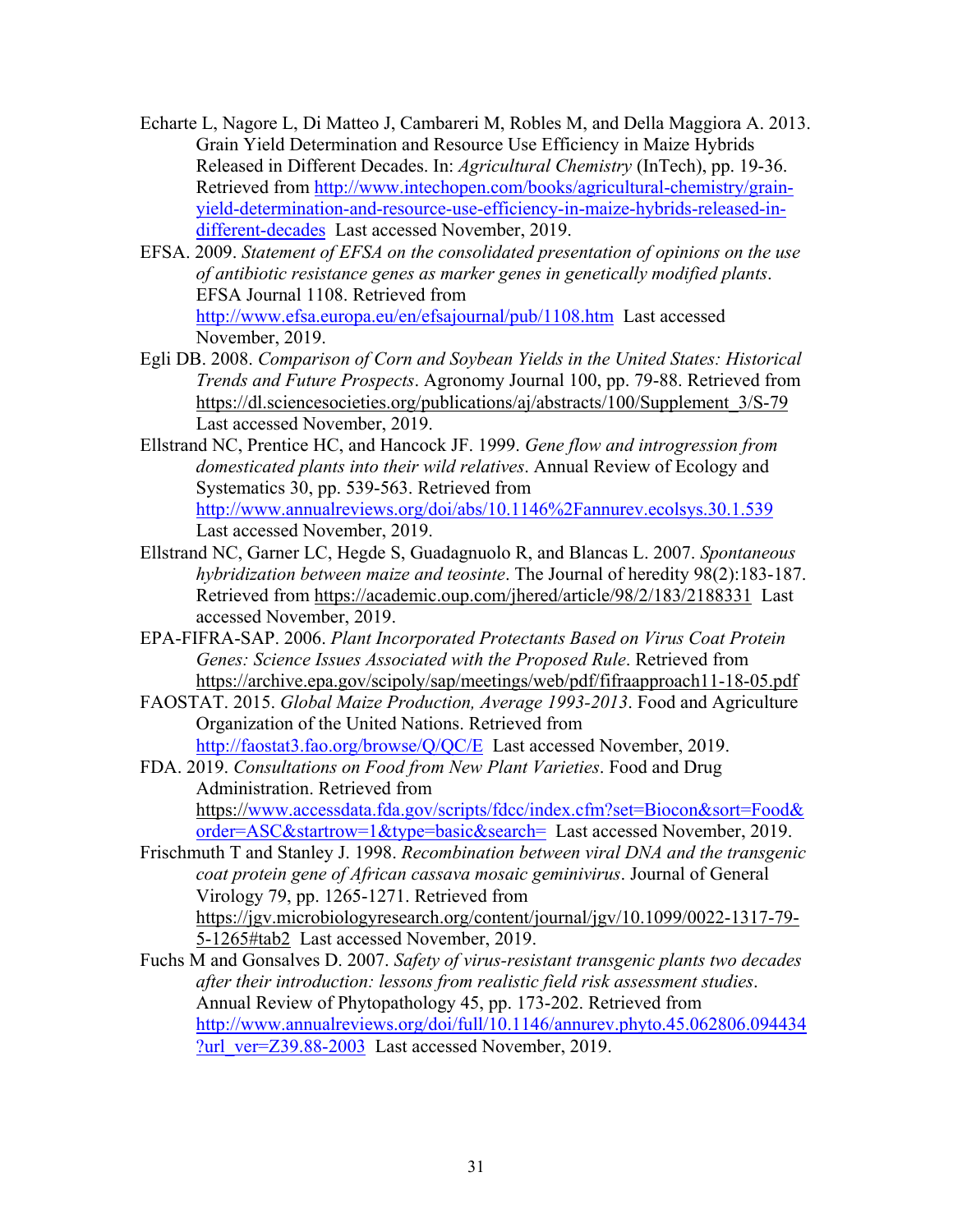- Echarte L, Nagore L, Di Matteo J, Cambareri M, Robles M, and Della Maggiora A. 2013. Grain Yield Determination and Resource Use Efficiency in Maize Hybrids Released in Different Decades. In: *Agricultural Chemistry* (InTech), pp. 19-36. Retrieved from http://www.intechopen.com/books/agricultural-chemistry/grainyield-determination-and-resource-use-efficiency-in-maize-hybrids-released-indifferent-decades Last accessed November, 2019.
- EFSA. 2009. *Statement of EFSA on the consolidated presentation of opinions on the use of antibiotic resistance genes as marker genes in genetically modified plants*. EFSA Journal 1108. Retrieved from http://www.efsa.europa.eu/en/efsajournal/pub/1108.htm Last accessed November, 2019.
- Egli DB. 2008. *Comparison of Corn and Soybean Yields in the United States: Historical Trends and Future Prospects*. Agronomy Journal 100, pp. 79-88. Retrieved from https://dl.sciencesocieties.org/publications/aj/abstracts/100/Supplement\_3/S-79 Last accessed November, 2019.
- Ellstrand NC, Prentice HC, and Hancock JF. 1999. *Gene flow and introgression from domesticated plants into their wild relatives*. Annual Review of Ecology and Systematics 30, pp. 539-563. Retrieved from http://www.annualreviews.org/doi/abs/10.1146%2Fannurev.ecolsys.30.1.539 Last accessed November, 2019.
- Ellstrand NC, Garner LC, Hegde S, Guadagnuolo R, and Blancas L. 2007. *Spontaneous hybridization between maize and teosinte*. The Journal of heredity 98(2):183-187. Retrieved from https://academic.oup.com/jhered/article/98/2/183/2188331 Last accessed November, 2019.
- EPA-FIFRA-SAP. 2006. *Plant Incorporated Protectants Based on Virus Coat Protein Genes: Science Issues Associated with the Proposed Rule*. Retrieved from https://archive.epa.gov/scipoly/sap/meetings/web/pdf/fifraapproach11-18-05.pdf
- FAOSTAT. 2015. *Global Maize Production, Average 1993-2013*. Food and Agriculture Organization of the United Nations. Retrieved from http://faostat3.fao.org/browse/Q/QC/E Last accessed November, 2019.
- FDA. 2019. *Consultations on Food from New Plant Varieties*. Food and Drug Administration. Retrieved from https://www.accessdata.fda.gov/scripts/fdcc/index.cfm?set=Biocon&sort=Food& order=ASC&startrow=1&type=basic&search= Last accessed November, 2019.
- Frischmuth T and Stanley J. 1998. *Recombination between viral DNA and the transgenic coat protein gene of African cassava mosaic geminivirus*. Journal of General Virology 79, pp. 1265-1271. Retrieved from https://jgv.microbiologyresearch.org/content/journal/jgv/10.1099/0022-1317-79- 5-1265#tab2 Last accessed November, 2019.
- Fuchs M and Gonsalves D. 2007. *Safety of virus-resistant transgenic plants two decades after their introduction: lessons from realistic field risk assessment studies*. Annual Review of Phytopathology 45, pp. 173-202. Retrieved from http://www.annualreviews.org/doi/full/10.1146/annurev.phyto.45.062806.094434 ?url\_ver=Z39.88-2003 Last accessed November, 2019.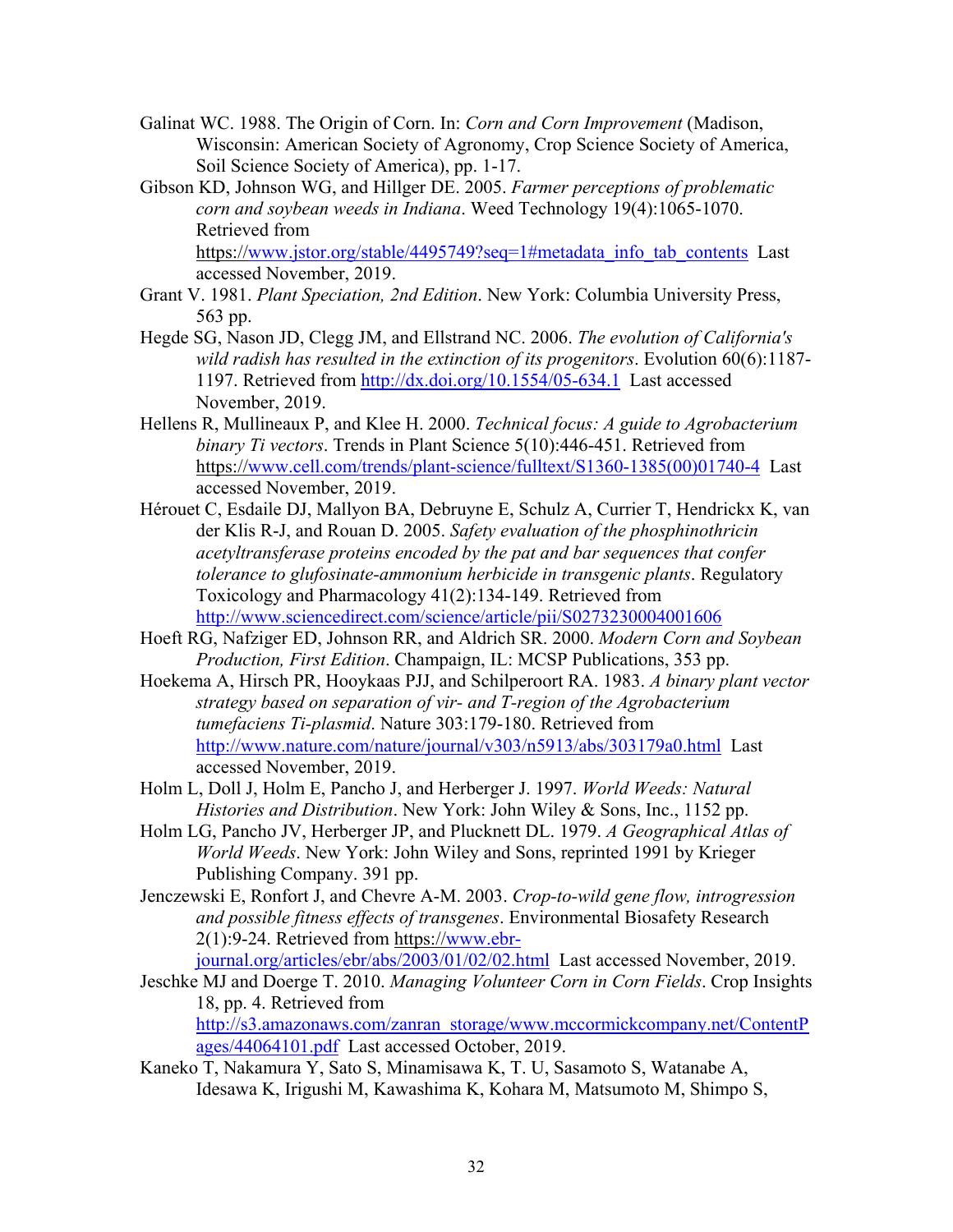- Galinat WC. 1988. The Origin of Corn. In: *Corn and Corn Improvement* (Madison, Wisconsin: American Society of Agronomy, Crop Science Society of America, Soil Science Society of America), pp. 1-17.
- Gibson KD, Johnson WG, and Hillger DE. 2005. *Farmer perceptions of problematic corn and soybean weeds in Indiana*. Weed Technology 19(4):1065-1070. Retrieved from

https://www.jstor.org/stable/4495749?seq=1#metadata\_info\_tab\_contents Last accessed November, 2019.

- Grant V. 1981. *Plant Speciation, 2nd Edition*. New York: Columbia University Press, 563 pp.
- Hegde SG, Nason JD, Clegg JM, and Ellstrand NC. 2006. *The evolution of California's wild radish has resulted in the extinction of its progenitors*. Evolution 60(6):1187- 1197. Retrieved from http://dx.doi.org/10.1554/05-634.1 Last accessed November, 2019.
- Hellens R, Mullineaux P, and Klee H. 2000. *Technical focus: A guide to Agrobacterium binary Ti vectors*. Trends in Plant Science 5(10):446-451. Retrieved from https://www.cell.com/trends/plant-science/fulltext/S1360-1385(00)01740-4 Last accessed November, 2019.
- Hérouet C, Esdaile DJ, Mallyon BA, Debruyne E, Schulz A, Currier T, Hendrickx K, van der Klis R-J, and Rouan D. 2005. *Safety evaluation of the phosphinothricin acetyltransferase proteins encoded by the pat and bar sequences that confer tolerance to glufosinate-ammonium herbicide in transgenic plants*. Regulatory Toxicology and Pharmacology 41(2):134-149. Retrieved from http://www.sciencedirect.com/science/article/pii/S0273230004001606
- Hoeft RG, Nafziger ED, Johnson RR, and Aldrich SR. 2000. *Modern Corn and Soybean Production, First Edition*. Champaign, IL: MCSP Publications, 353 pp.
- Hoekema A, Hirsch PR, Hooykaas PJJ, and Schilperoort RA. 1983. *A binary plant vector strategy based on separation of vir- and T-region of the Agrobacterium tumefaciens Ti-plasmid*. Nature 303:179-180. Retrieved from http://www.nature.com/nature/journal/v303/n5913/abs/303179a0.html Last accessed November, 2019.
- Holm L, Doll J, Holm E, Pancho J, and Herberger J. 1997. *World Weeds: Natural Histories and Distribution*. New York: John Wiley & Sons, Inc., 1152 pp.
- Holm LG, Pancho JV, Herberger JP, and Plucknett DL. 1979. *A Geographical Atlas of World Weeds*. New York: John Wiley and Sons, reprinted 1991 by Krieger Publishing Company. 391 pp.
- Jenczewski E, Ronfort J, and Chevre A-M. 2003. *Crop-to-wild gene flow, introgression and possible fitness effects of transgenes*. Environmental Biosafety Research 2(1):9-24. Retrieved from https://www.ebr-

journal.org/articles/ebr/abs/2003/01/02/02.html Last accessed November, 2019.

Jeschke MJ and Doerge T. 2010. *Managing Volunteer Corn in Corn Fields*. Crop Insights 18, pp. 4. Retrieved from http://s3.amazonaws.com/zanran\_storage/www.mccormickcompany.net/ContentP

ages/44064101.pdf Last accessed October, 2019.

Kaneko T, Nakamura Y, Sato S, Minamisawa K, T. U, Sasamoto S, Watanabe A, Idesawa K, Irigushi M, Kawashima K, Kohara M, Matsumoto M, Shimpo S,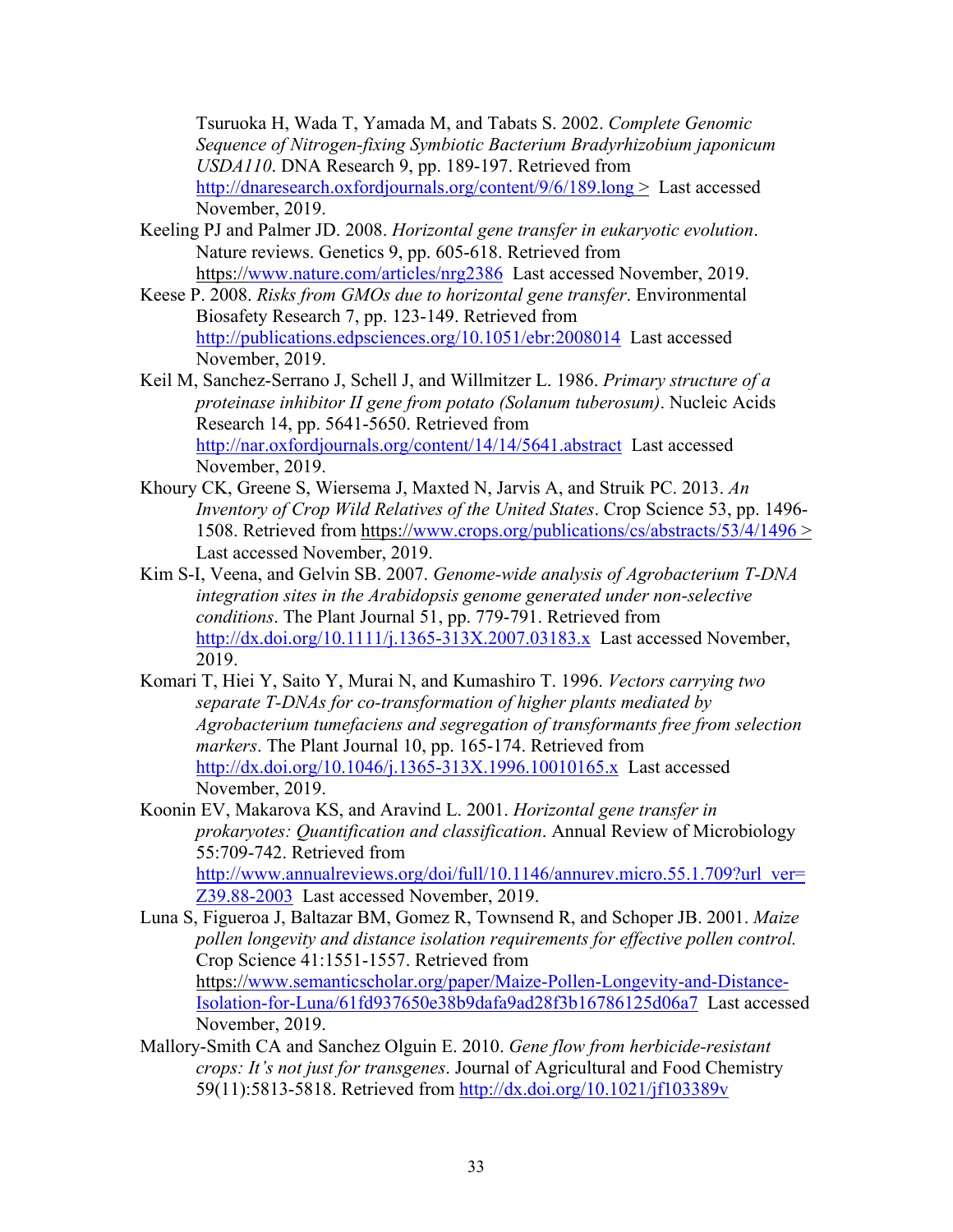Tsuruoka H, Wada T, Yamada M, and Tabats S. 2002. *Complete Genomic Sequence of Nitrogen-fixing Symbiotic Bacterium Bradyrhizobium japonicum USDA110*. DNA Research 9, pp. 189-197. Retrieved from http://dnaresearch.oxfordjournals.org/content/9/6/189.long > Last accessed November, 2019.

- Keeling PJ and Palmer JD. 2008. *Horizontal gene transfer in eukaryotic evolution*. Nature reviews. Genetics 9, pp. 605-618. Retrieved from https://www.nature.com/articles/nrg2386 Last accessed November, 2019.
- Keese P. 2008. *Risks from GMOs due to horizontal gene transfer*. Environmental Biosafety Research 7, pp. 123-149. Retrieved from http://publications.edpsciences.org/10.1051/ebr:2008014 Last accessed November, 2019.
- Keil M, Sanchez-Serrano J, Schell J, and Willmitzer L. 1986. *Primary structure of a proteinase inhibitor II gene from potato (Solanum tuberosum)*. Nucleic Acids Research 14, pp. 5641-5650. Retrieved from http://nar.oxfordjournals.org/content/14/14/5641.abstract Last accessed November, 2019.
- Khoury CK, Greene S, Wiersema J, Maxted N, Jarvis A, and Struik PC. 2013. *An Inventory of Crop Wild Relatives of the United States*. Crop Science 53, pp. 1496- 1508. Retrieved from https://www.crops.org/publications/cs/abstracts/53/4/1496 > Last accessed November, 2019.
- Kim S-I, Veena, and Gelvin SB. 2007. *Genome-wide analysis of Agrobacterium T-DNA integration sites in the Arabidopsis genome generated under non-selective conditions*. The Plant Journal 51, pp. 779-791. Retrieved from http://dx.doi.org/10.1111/j.1365-313X.2007.03183.x Last accessed November, 2019.
- Komari T, Hiei Y, Saito Y, Murai N, and Kumashiro T. 1996. *Vectors carrying two separate T-DNAs for co-transformation of higher plants mediated by Agrobacterium tumefaciens and segregation of transformants free from selection markers*. The Plant Journal 10, pp. 165-174. Retrieved from http://dx.doi.org/10.1046/j.1365-313X.1996.10010165.x Last accessed November, 2019.
- Koonin EV, Makarova KS, and Aravind L. 2001. *Horizontal gene transfer in prokaryotes: Quantification and classification*. Annual Review of Microbiology 55:709-742. Retrieved from http://www.annualreviews.org/doi/full/10.1146/annurev.micro.55.1.709?url\_ver= Z39.88-2003 Last accessed November, 2019.
- Luna S, Figueroa J, Baltazar BM, Gomez R, Townsend R, and Schoper JB. 2001. *Maize pollen longevity and distance isolation requirements for effective pollen control.* Crop Science 41:1551-1557. Retrieved from https://www.semanticscholar.org/paper/Maize-Pollen-Longevity-and-Distance-Isolation-for-Luna/61fd937650e38b9dafa9ad28f3b16786125d06a7 Last accessed November, 2019.
- Mallory-Smith CA and Sanchez Olguin E. 2010. *Gene flow from herbicide-resistant crops: It's not just for transgenes*. Journal of Agricultural and Food Chemistry 59(11):5813-5818. Retrieved from http://dx.doi.org/10.1021/jf103389v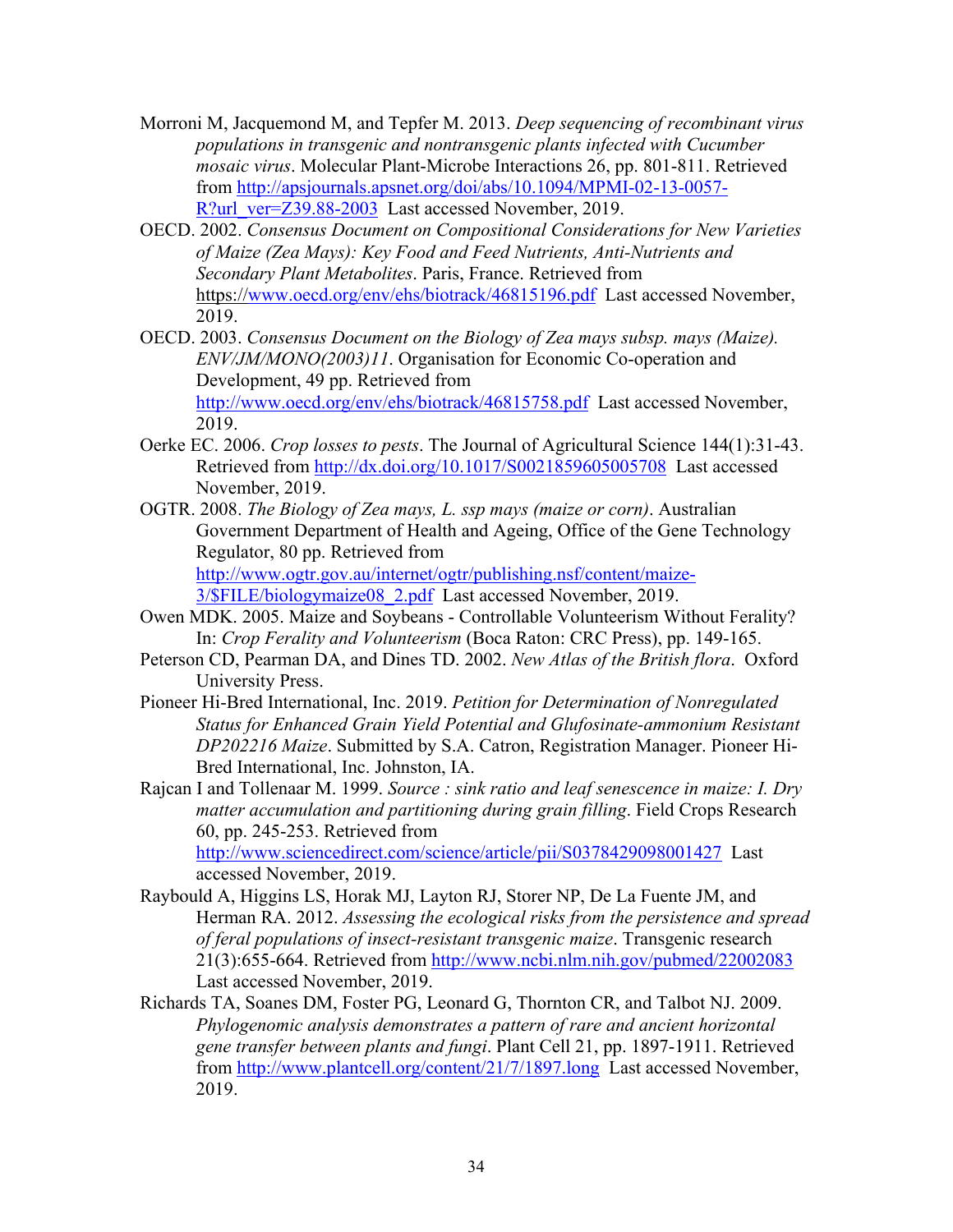- Morroni M, Jacquemond M, and Tepfer M. 2013. *Deep sequencing of recombinant virus populations in transgenic and nontransgenic plants infected with Cucumber mosaic virus*. Molecular Plant-Microbe Interactions 26, pp. 801-811. Retrieved from http://apsjournals.apsnet.org/doi/abs/10.1094/MPMI-02-13-0057- R?url\_ver=Z39.88-2003 Last accessed November, 2019.
- OECD. 2002. *Consensus Document on Compositional Considerations for New Varieties of Maize (Zea Mays): Key Food and Feed Nutrients, Anti-Nutrients and Secondary Plant Metabolites*. Paris, France. Retrieved from https://www.oecd.org/env/ehs/biotrack/46815196.pdf Last accessed November, 2019.
- OECD. 2003. *Consensus Document on the Biology of Zea mays subsp. mays (Maize). ENV/JM/MONO(2003)11*. Organisation for Economic Co-operation and Development, 49 pp. Retrieved from http://www.oecd.org/env/ehs/biotrack/46815758.pdf Last accessed November, 2019.
- Oerke EC. 2006. *Crop losses to pests*. The Journal of Agricultural Science 144(1):31-43. Retrieved from http://dx.doi.org/10.1017/S0021859605005708 Last accessed November, 2019.
- OGTR. 2008. *The Biology of Zea mays, L. ssp mays (maize or corn)*. Australian Government Department of Health and Ageing, Office of the Gene Technology Regulator, 80 pp. Retrieved from http://www.ogtr.gov.au/internet/ogtr/publishing.nsf/content/maize-3/\$FILE/biologymaize08\_2.pdf Last accessed November, 2019.
- Owen MDK. 2005. Maize and Soybeans Controllable Volunteerism Without Ferality? In: *Crop Ferality and Volunteerism* (Boca Raton: CRC Press), pp. 149-165.
- Peterson CD, Pearman DA, and Dines TD. 2002. *New Atlas of the British flora*. Oxford University Press.
- Pioneer Hi-Bred International, Inc. 2019. *Petition for Determination of Nonregulated Status for Enhanced Grain Yield Potential and Glufosinate-ammonium Resistant DP202216 Maize*. Submitted by S.A. Catron, Registration Manager. Pioneer Hi-Bred International, Inc. Johnston, IA.
- Rajcan I and Tollenaar M. 1999. *Source : sink ratio and leaf senescence in maize: I. Dry matter accumulation and partitioning during grain filling*. Field Crops Research 60, pp. 245-253. Retrieved from

http://www.sciencedirect.com/science/article/pii/S0378429098001427 Last accessed November, 2019.

- Raybould A, Higgins LS, Horak MJ, Layton RJ, Storer NP, De La Fuente JM, and Herman RA. 2012. *Assessing the ecological risks from the persistence and spread of feral populations of insect-resistant transgenic maize*. Transgenic research 21(3):655-664. Retrieved from http://www.ncbi.nlm.nih.gov/pubmed/22002083 Last accessed November, 2019.
- Richards TA, Soanes DM, Foster PG, Leonard G, Thornton CR, and Talbot NJ. 2009. *Phylogenomic analysis demonstrates a pattern of rare and ancient horizontal gene transfer between plants and fungi*. Plant Cell 21, pp. 1897-1911. Retrieved from http://www.plantcell.org/content/21/7/1897.long Last accessed November, 2019.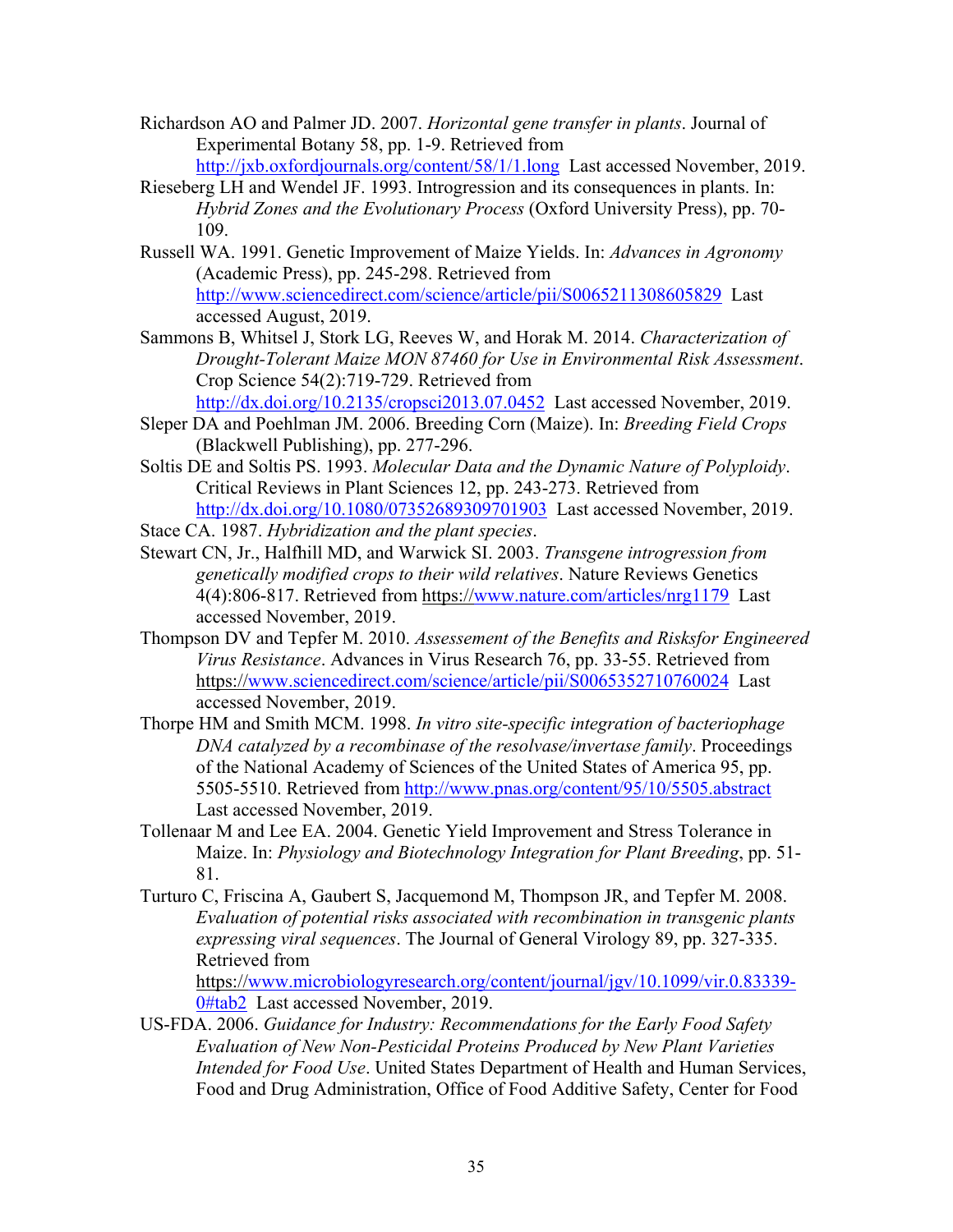- Richardson AO and Palmer JD. 2007. *Horizontal gene transfer in plants*. Journal of Experimental Botany 58, pp. 1-9. Retrieved from
	- http://jxb.oxfordjournals.org/content/58/1/1.long Last accessed November, 2019.
- Rieseberg LH and Wendel JF. 1993. Introgression and its consequences in plants. In: *Hybrid Zones and the Evolutionary Process* (Oxford University Press), pp. 70- 109.
- Russell WA. 1991. Genetic Improvement of Maize Yields. In: *Advances in Agronomy* (Academic Press), pp. 245-298. Retrieved from http://www.sciencedirect.com/science/article/pii/S0065211308605829 Last accessed August, 2019.
- Sammons B, Whitsel J, Stork LG, Reeves W, and Horak M. 2014. *Characterization of Drought-Tolerant Maize MON 87460 for Use in Environmental Risk Assessment*. Crop Science 54(2):719-729. Retrieved from http://dx.doi.org/10.2135/cropsci2013.07.0452 Last accessed November, 2019.
- Sleper DA and Poehlman JM. 2006. Breeding Corn (Maize). In: *Breeding Field Crops*
	- (Blackwell Publishing), pp. 277-296.
- Soltis DE and Soltis PS. 1993. *Molecular Data and the Dynamic Nature of Polyploidy*. Critical Reviews in Plant Sciences 12, pp. 243-273. Retrieved from http://dx.doi.org/10.1080/07352689309701903 Last accessed November, 2019.
- Stace CA. 1987. *Hybridization and the plant species*.
- Stewart CN, Jr., Halfhill MD, and Warwick SI. 2003. *Transgene introgression from genetically modified crops to their wild relatives*. Nature Reviews Genetics 4(4):806-817. Retrieved from https://www.nature.com/articles/nrg1179 Last accessed November, 2019.
- Thompson DV and Tepfer M. 2010. *Assessement of the Benefits and Risksfor Engineered Virus Resistance*. Advances in Virus Research 76, pp. 33-55. Retrieved from https://www.sciencedirect.com/science/article/pii/S0065352710760024 Last accessed November, 2019.
- Thorpe HM and Smith MCM. 1998. *In vitro site-specific integration of bacteriophage DNA catalyzed by a recombinase of the resolvase/invertase family*. Proceedings of the National Academy of Sciences of the United States of America 95, pp. 5505-5510. Retrieved from http://www.pnas.org/content/95/10/5505.abstract Last accessed November, 2019.
- Tollenaar M and Lee EA. 2004. Genetic Yield Improvement and Stress Tolerance in Maize. In: *Physiology and Biotechnology Integration for Plant Breeding*, pp. 51- 81.
- Turturo C, Friscina A, Gaubert S, Jacquemond M, Thompson JR, and Tepfer M. 2008. *Evaluation of potential risks associated with recombination in transgenic plants expressing viral sequences*. The Journal of General Virology 89, pp. 327-335. Retrieved from

https://www.microbiologyresearch.org/content/journal/jgv/10.1099/vir.0.83339- 0#tab2 Last accessed November, 2019.

US-FDA. 2006. *Guidance for Industry: Recommendations for the Early Food Safety Evaluation of New Non-Pesticidal Proteins Produced by New Plant Varieties Intended for Food Use*. United States Department of Health and Human Services, Food and Drug Administration, Office of Food Additive Safety, Center for Food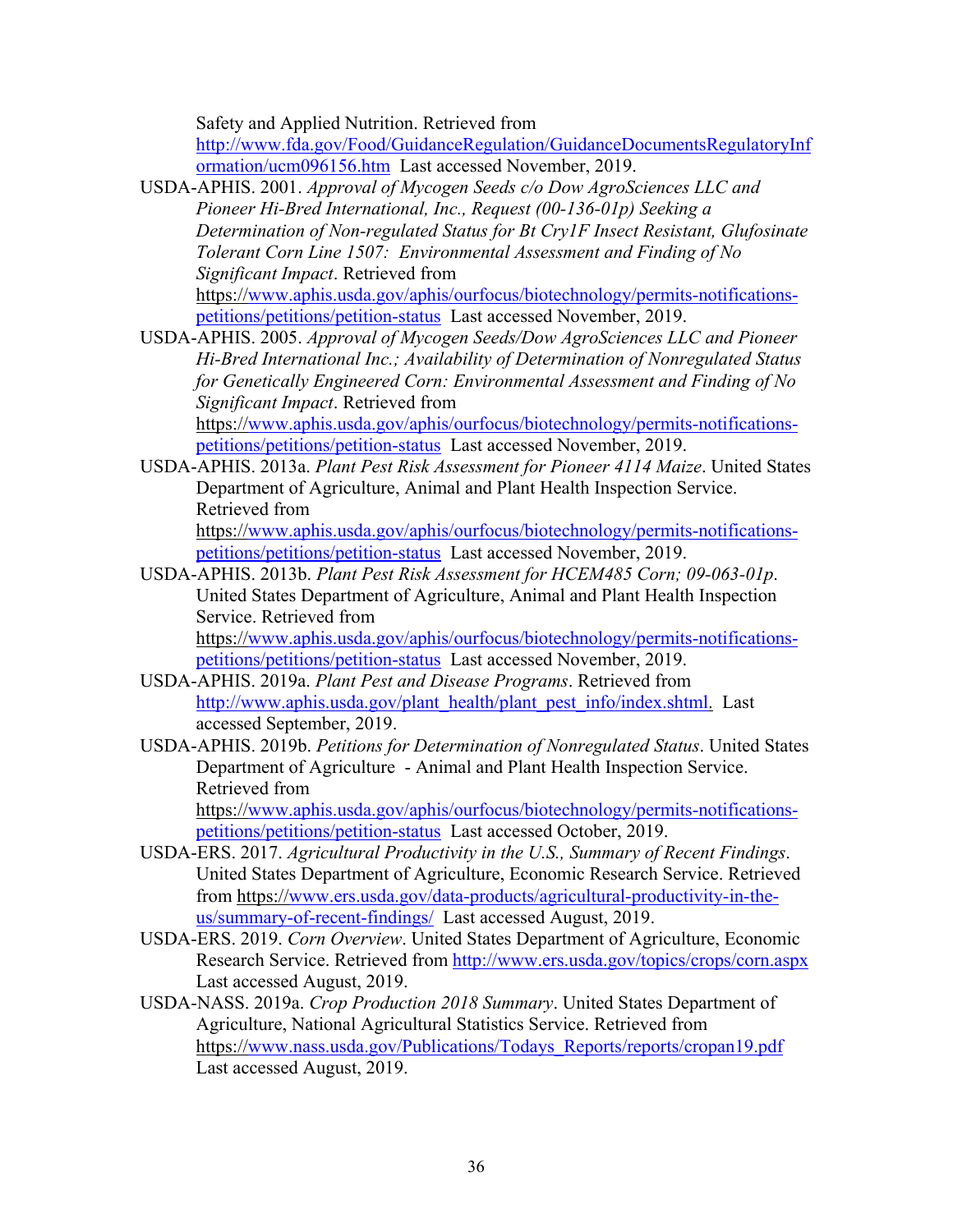Safety and Applied Nutrition. Retrieved from

http://www.fda.gov/Food/GuidanceRegulation/GuidanceDocumentsRegulatoryInf ormation/ucm096156.htm Last accessed November, 2019.

- USDA-APHIS. 2001. *Approval of Mycogen Seeds c/o Dow AgroSciences LLC and Pioneer Hi-Bred International, Inc., Request (00-136-01p) Seeking a Determination of Non-regulated Status for Bt Cry1F Insect Resistant, Glufosinate Tolerant Corn Line 1507: Environmental Assessment and Finding of No Significant Impact*. Retrieved from https://www.aphis.usda.gov/aphis/ourfocus/biotechnology/permits-notificationspetitions/petitions/petition-status Last accessed November, 2019.
- USDA-APHIS. 2005. *Approval of Mycogen Seeds/Dow AgroSciences LLC and Pioneer Hi-Bred International Inc.; Availability of Determination of Nonregulated Status for Genetically Engineered Corn: Environmental Assessment and Finding of No Significant Impact*. Retrieved from https://www.aphis.usda.gov/aphis/ourfocus/biotechnology/permits-notifications-

petitions/petitions/petition-status Last accessed November, 2019.

USDA-APHIS. 2013a. *Plant Pest Risk Assessment for Pioneer 4114 Maize*. United States Department of Agriculture, Animal and Plant Health Inspection Service. Retrieved from https://www.aphis.usda.gov/aphis/ourfocus/biotechnology/permits-notifications-

petitions/petitions/petition-status Last accessed November, 2019. USDA-APHIS. 2013b. *Plant Pest Risk Assessment for HCEM485 Corn; 09-063-01p*.

United States Department of Agriculture, Animal and Plant Health Inspection Service. Retrieved from https://www.aphis.usda.gov/aphis/ourfocus/biotechnology/permits-notifications-

petitions/petitions/petition-status Last accessed November, 2019.

- USDA-APHIS. 2019a. *Plant Pest and Disease Programs*. Retrieved from http://www.aphis.usda.gov/plant\_health/plant\_pest\_info/index.shtml. Last accessed September, 2019.
- USDA-APHIS. 2019b. *Petitions for Determination of Nonregulated Status*. United States Department of Agriculture - Animal and Plant Health Inspection Service. Retrieved from https://www.aphis.usda.gov/aphis/ourfocus/biotechnology/permits-notifications-

petitions/petitions/petition-status Last accessed October, 2019.

- USDA-ERS. 2017. *Agricultural Productivity in the U.S., Summary of Recent Findings*. United States Department of Agriculture, Economic Research Service. Retrieved from https://www.ers.usda.gov/data-products/agricultural-productivity-in-theus/summary-of-recent-findings/ Last accessed August, 2019.
- USDA-ERS. 2019. *Corn Overview*. United States Department of Agriculture, Economic Research Service. Retrieved from http://www.ers.usda.gov/topics/crops/corn.aspx Last accessed August, 2019.
- USDA-NASS. 2019a. *Crop Production 2018 Summary*. United States Department of Agriculture, National Agricultural Statistics Service. Retrieved from https://www.nass.usda.gov/Publications/Todays\_Reports/reports/cropan19.pdf Last accessed August, 2019.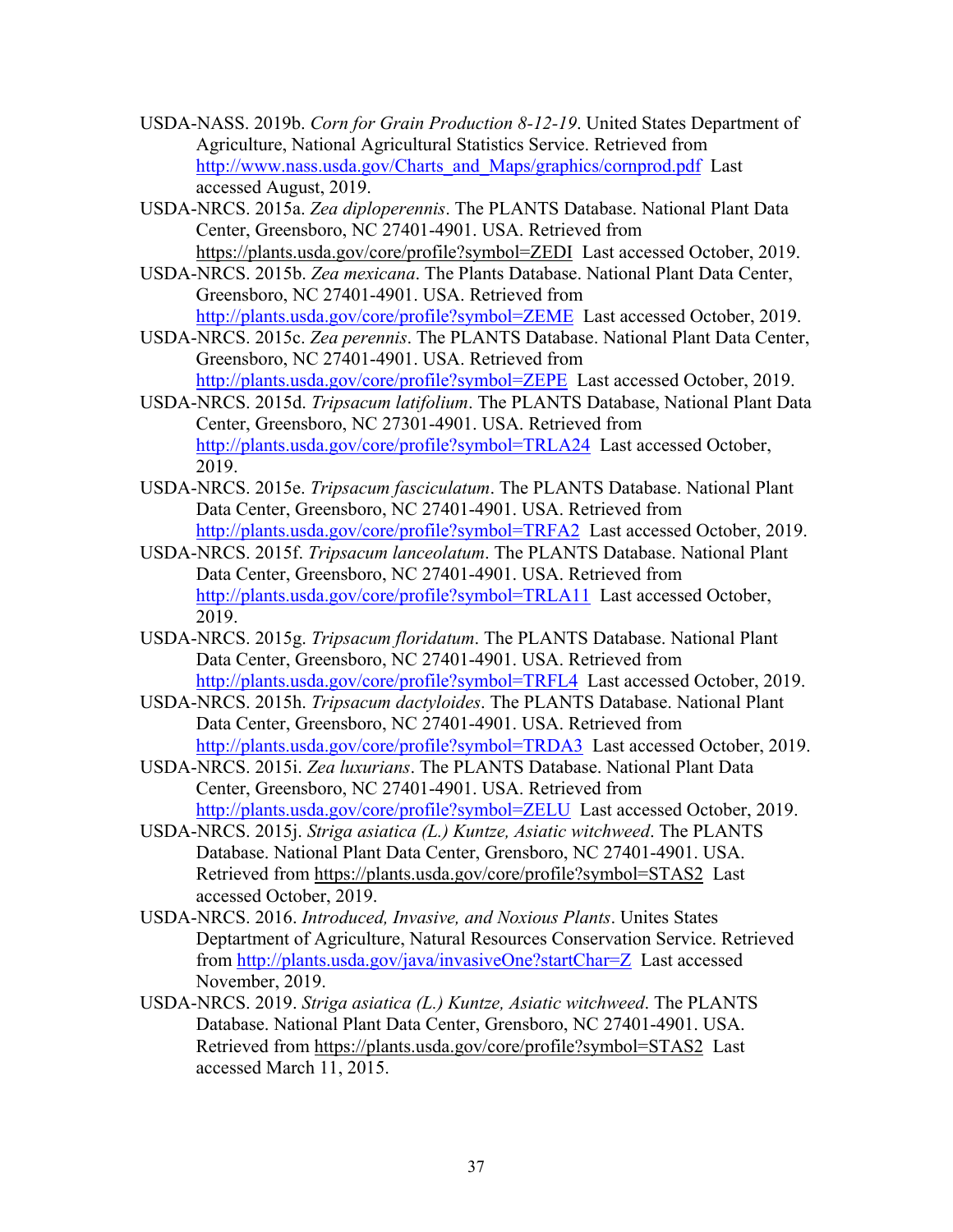- USDA-NASS. 2019b. *Corn for Grain Production 8-12-19*. United States Department of Agriculture, National Agricultural Statistics Service. Retrieved from http://www.nass.usda.gov/Charts\_and\_Maps/graphics/cornprod.pdf Last accessed August, 2019.
- USDA-NRCS. 2015a. *Zea diploperennis*. The PLANTS Database. National Plant Data Center, Greensboro, NC 27401-4901. USA. Retrieved from https://plants.usda.gov/core/profile?symbol=ZEDI Last accessed October, 2019.
- USDA-NRCS. 2015b. *Zea mexicana*. The Plants Database. National Plant Data Center, Greensboro, NC 27401-4901. USA. Retrieved from http://plants.usda.gov/core/profile?symbol=ZEME Last accessed October, 2019.
- USDA-NRCS. 2015c. *Zea perennis*. The PLANTS Database. National Plant Data Center, Greensboro, NC 27401-4901. USA. Retrieved from http://plants.usda.gov/core/profile?symbol=ZEPE Last accessed October, 2019.
- USDA-NRCS. 2015d. *Tripsacum latifolium*. The PLANTS Database, National Plant Data Center, Greensboro, NC 27301-4901. USA. Retrieved from http://plants.usda.gov/core/profile?symbol=TRLA24 Last accessed October, 2019.
- USDA-NRCS. 2015e. *Tripsacum fasciculatum*. The PLANTS Database. National Plant Data Center, Greensboro, NC 27401-4901. USA. Retrieved from http://plants.usda.gov/core/profile?symbol=TRFA2 Last accessed October, 2019.
- USDA-NRCS. 2015f. *Tripsacum lanceolatum*. The PLANTS Database. National Plant Data Center, Greensboro, NC 27401-4901. USA. Retrieved from http://plants.usda.gov/core/profile?symbol=TRLA11 Last accessed October, 2019.
- USDA-NRCS. 2015g. *Tripsacum floridatum*. The PLANTS Database. National Plant Data Center, Greensboro, NC 27401-4901. USA. Retrieved from http://plants.usda.gov/core/profile?symbol=TRFL4 Last accessed October, 2019.
- USDA-NRCS. 2015h. *Tripsacum dactyloides*. The PLANTS Database. National Plant Data Center, Greensboro, NC 27401-4901. USA. Retrieved from http://plants.usda.gov/core/profile?symbol=TRDA3 Last accessed October, 2019.
- USDA-NRCS. 2015i. *Zea luxurians*. The PLANTS Database. National Plant Data Center, Greensboro, NC 27401-4901. USA. Retrieved from http://plants.usda.gov/core/profile?symbol=ZELU Last accessed October, 2019.
- USDA-NRCS. 2015j. *Striga asiatica (L.) Kuntze, Asiatic witchweed*. The PLANTS Database. National Plant Data Center, Grensboro, NC 27401-4901. USA. Retrieved from https://plants.usda.gov/core/profile?symbol=STAS2 Last accessed October, 2019.
- USDA-NRCS. 2016. *Introduced, Invasive, and Noxious Plants*. Unites States Deptartment of Agriculture, Natural Resources Conservation Service. Retrieved from http://plants.usda.gov/java/invasiveOne?startChar=Z Last accessed November, 2019.
- USDA-NRCS. 2019. *Striga asiatica (L.) Kuntze, Asiatic witchweed*. The PLANTS Database. National Plant Data Center, Grensboro, NC 27401-4901. USA. Retrieved from https://plants.usda.gov/core/profile?symbol=STAS2 Last accessed March 11, 2015.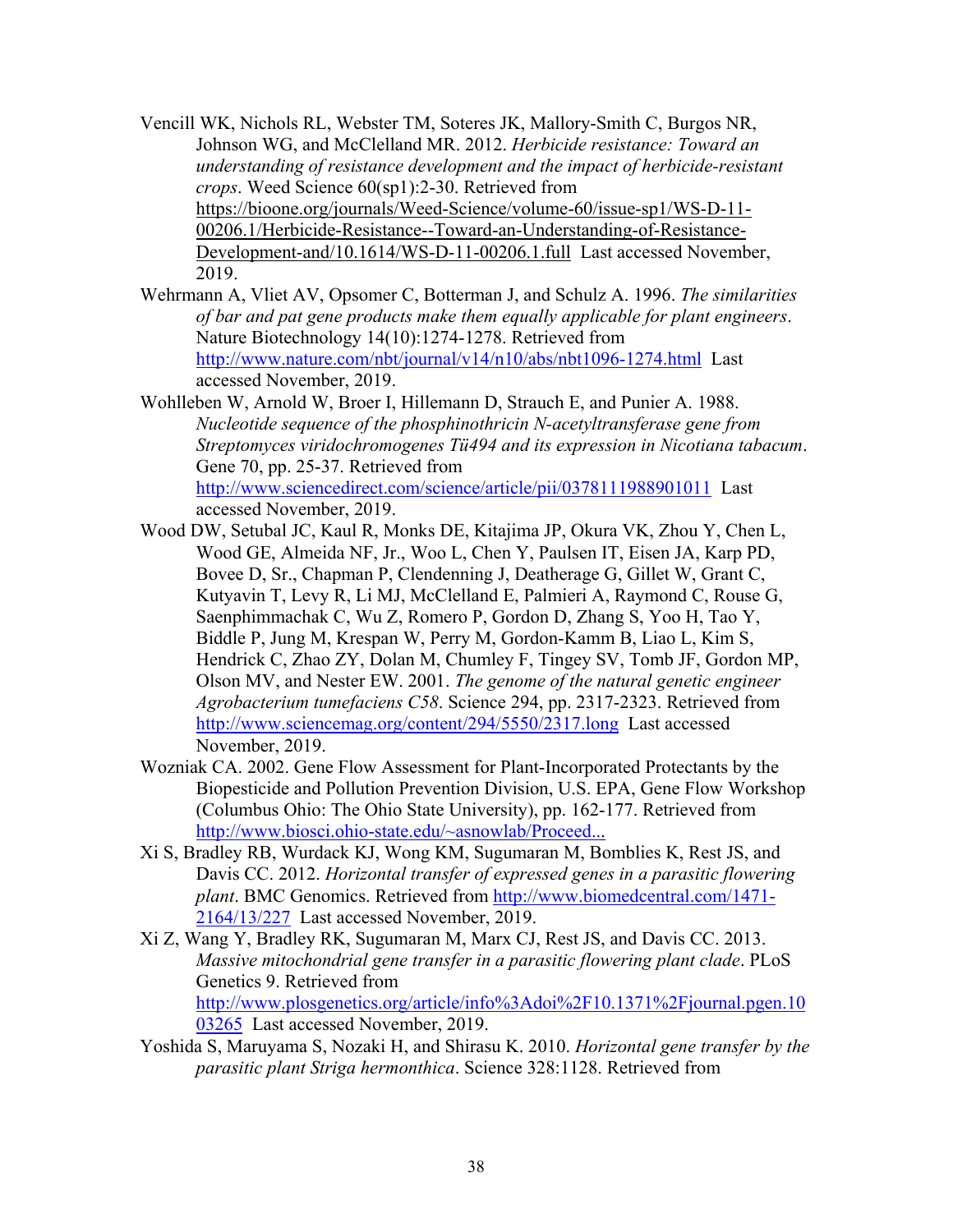- Vencill WK, Nichols RL, Webster TM, Soteres JK, Mallory-Smith C, Burgos NR, Johnson WG, and McClelland MR. 2012. *Herbicide resistance: Toward an understanding of resistance development and the impact of herbicide-resistant crops*. Weed Science 60(sp1):2-30. Retrieved from https://bioone.org/journals/Weed-Science/volume-60/issue-sp1/WS-D-11- 00206.1/Herbicide-Resistance--Toward-an-Understanding-of-Resistance-Development-and/10.1614/WS-D-11-00206.1.full Last accessed November, 2019.
- Wehrmann A, Vliet AV, Opsomer C, Botterman J, and Schulz A. 1996. *The similarities of bar and pat gene products make them equally applicable for plant engineers*. Nature Biotechnology 14(10):1274-1278. Retrieved from http://www.nature.com/nbt/journal/v14/n10/abs/nbt1096-1274.html Last accessed November, 2019.
- Wohlleben W, Arnold W, Broer I, Hillemann D, Strauch E, and Punier A. 1988. *Nucleotide sequence of the phosphinothricin N-acetyltransferase gene from Streptomyces viridochromogenes Tü494 and its expression in Nicotiana tabacum*. Gene 70, pp. 25-37. Retrieved from

http://www.sciencedirect.com/science/article/pii/0378111988901011 Last accessed November, 2019.

- Wood DW, Setubal JC, Kaul R, Monks DE, Kitajima JP, Okura VK, Zhou Y, Chen L, Wood GE, Almeida NF, Jr., Woo L, Chen Y, Paulsen IT, Eisen JA, Karp PD, Bovee D, Sr., Chapman P, Clendenning J, Deatherage G, Gillet W, Grant C, Kutyavin T, Levy R, Li MJ, McClelland E, Palmieri A, Raymond C, Rouse G, Saenphimmachak C, Wu Z, Romero P, Gordon D, Zhang S, Yoo H, Tao Y, Biddle P, Jung M, Krespan W, Perry M, Gordon-Kamm B, Liao L, Kim S, Hendrick C, Zhao ZY, Dolan M, Chumley F, Tingey SV, Tomb JF, Gordon MP, Olson MV, and Nester EW. 2001. *The genome of the natural genetic engineer Agrobacterium tumefaciens C58*. Science 294, pp. 2317-2323. Retrieved from http://www.sciencemag.org/content/294/5550/2317.long Last accessed November, 2019.
- Wozniak CA. 2002. Gene Flow Assessment for Plant-Incorporated Protectants by the Biopesticide and Pollution Prevention Division, U.S. EPA, Gene Flow Workshop (Columbus Ohio: The Ohio State University), pp. 162-177. Retrieved from http://www.biosci.ohio-state.edu/~asnowlab/Proceed...
- Xi S, Bradley RB, Wurdack KJ, Wong KM, Sugumaran M, Bomblies K, Rest JS, and Davis CC. 2012. *Horizontal transfer of expressed genes in a parasitic flowering plant*. BMC Genomics. Retrieved from http://www.biomedcentral.com/1471- 2164/13/227 Last accessed November, 2019.
- Xi Z, Wang Y, Bradley RK, Sugumaran M, Marx CJ, Rest JS, and Davis CC. 2013. *Massive mitochondrial gene transfer in a parasitic flowering plant clade*. PLoS Genetics 9. Retrieved from http://www.plosgenetics.org/article/info%3Adoi%2F10.1371%2Fjournal.pgen.10 03265 Last accessed November, 2019.
- Yoshida S, Maruyama S, Nozaki H, and Shirasu K. 2010. *Horizontal gene transfer by the parasitic plant Striga hermonthica*. Science 328:1128. Retrieved from